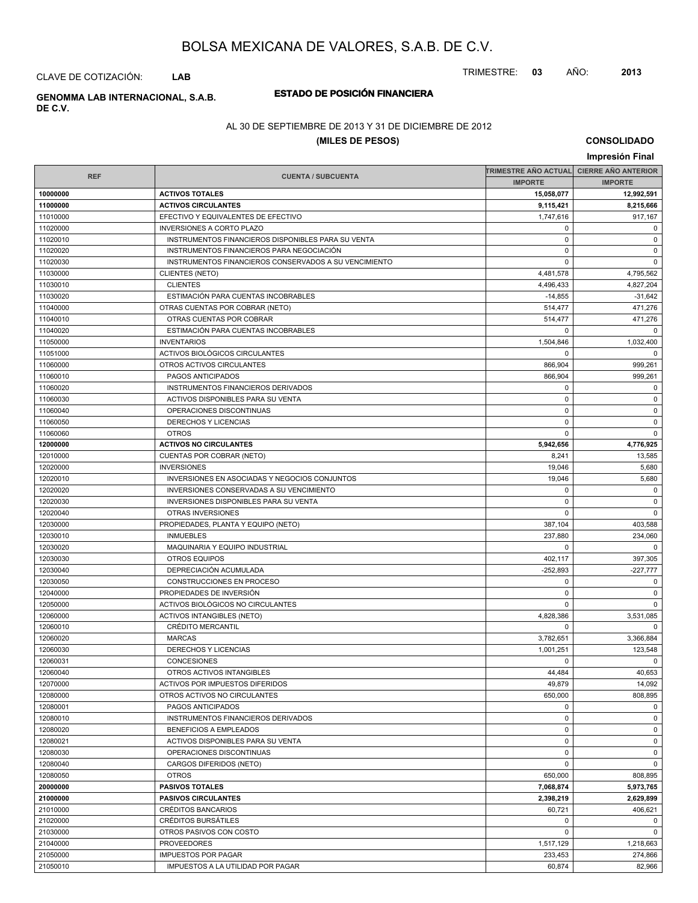TRIMESTRE: **03** AÑO: **2013**

CLAVE DE COTIZACIÓN: **LAB**

## **ESTADO DE POSICIÓN FINANCIERA GENOMMA LAB INTERNACIONAL, S.A.B.**

**DE C.V.**

### AL 30 DE SEPTIEMBRE DE 2013 Y 31 DE DICIEMBRE DE 2012

### **(MILES DE PESOS)**

**CONSOLIDADO**

| Impresión Final      |                                                       |                                          |                      |  |
|----------------------|-------------------------------------------------------|------------------------------------------|----------------------|--|
|                      |                                                       | TRIMESTRE AÑO ACTUAL CIERRE AÑO ANTERIOR |                      |  |
| <b>REF</b>           | <b>CUENTA / SUBCUENTA</b>                             | <b>IMPORTE</b>                           | <b>IMPORTE</b>       |  |
| 10000000             | <b>ACTIVOS TOTALES</b>                                | 15,058,077                               | 12,992,591           |  |
| 11000000             | <b>ACTIVOS CIRCULANTES</b>                            | 9,115,421                                | 8,215,666            |  |
| 11010000             | EFECTIVO Y EQUIVALENTES DE EFECTIVO                   | 1,747,616                                | 917,167              |  |
| 11020000             | <b>INVERSIONES A CORTO PLAZO</b>                      | 0                                        | $\mathbf 0$          |  |
| 11020010             | INSTRUMENTOS FINANCIEROS DISPONIBLES PARA SU VENTA    | $\mathbf 0$                              | $\mathbf 0$          |  |
| 11020020             | INSTRUMENTOS FINANCIEROS PARA NEGOCIACIÓN             | $\mathbf 0$                              | $\mathbf 0$          |  |
| 11020030             | INSTRUMENTOS FINANCIEROS CONSERVADOS A SU VENCIMIENTO | 0                                        | $\mathbf 0$          |  |
| 11030000             | <b>CLIENTES (NETO)</b>                                | 4,481,578                                | 4,795,562            |  |
| 11030010             | <b>CLIENTES</b>                                       | 4,496,433                                | 4,827,204            |  |
| 11030020             | ESTIMACIÓN PARA CUENTAS INCOBRABLES                   | $-14,855$                                | $-31,642$            |  |
| 11040000             | OTRAS CUENTAS POR COBRAR (NETO)                       | 514,477                                  | 471,276              |  |
| 11040010             | OTRAS CUENTAS POR COBRAR                              | 514,477                                  | 471,276              |  |
| 11040020             | ESTIMACIÓN PARA CUENTAS INCOBRABLES                   | $\mathbf 0$                              | $\mathbf 0$          |  |
| 11050000             | <b>INVENTARIOS</b>                                    | 1,504,846                                | 1,032,400            |  |
| 11051000             | ACTIVOS BIOLÓGICOS CIRCULANTES                        | 0                                        | $\Omega$             |  |
| 11060000             | OTROS ACTIVOS CIRCULANTES                             | 866,904                                  | 999,261              |  |
| 11060010             | PAGOS ANTICIPADOS                                     | 866,904                                  | 999,261              |  |
| 11060020             | INSTRUMENTOS FINANCIEROS DERIVADOS                    | $\mathbf 0$                              | $\mathbf 0$          |  |
| 11060030             | ACTIVOS DISPONIBLES PARA SU VENTA                     | $\mathbf 0$                              | $\mathbf 0$          |  |
| 11060040             | OPERACIONES DISCONTINUAS                              | $\mathbf 0$                              | $\mathbf 0$          |  |
| 11060050             | DERECHOS Y LICENCIAS                                  | $\mathbf 0$                              | $\mathbf 0$          |  |
| 11060060             | <b>OTROS</b>                                          | 0                                        | $\mathbf 0$          |  |
| 12000000             | <b>ACTIVOS NO CIRCULANTES</b>                         | 5,942,656                                | 4,776,925            |  |
| 12010000             | <b>CUENTAS POR COBRAR (NETO)</b>                      | 8,241                                    | 13,585               |  |
| 12020000             | <b>INVERSIONES</b>                                    | 19,046                                   | 5,680                |  |
| 12020010             | INVERSIONES EN ASOCIADAS Y NEGOCIOS CONJUNTOS         | 19,046                                   | 5,680                |  |
| 12020020             | INVERSIONES CONSERVADAS A SU VENCIMIENTO              | $\mathbf 0$                              | $\mathbf 0$          |  |
| 12020030             | <b>INVERSIONES DISPONIBLES PARA SU VENTA</b>          | 0                                        | $\mathbf 0$          |  |
| 12020040             | OTRAS INVERSIONES                                     | $\mathbf 0$                              | $\mathbf 0$          |  |
| 12030000             | PROPIEDADES, PLANTA Y EQUIPO (NETO)                   | 387,104                                  | 403,588              |  |
| 12030010             | <b>INMUEBLES</b>                                      | 237,880                                  | 234,060              |  |
| 12030020             | MAQUINARIA Y EQUIPO INDUSTRIAL                        | 0                                        | $\mathbf 0$          |  |
| 12030030             | <b>OTROS EQUIPOS</b>                                  | 402,117                                  | 397,305              |  |
| 12030040             | DEPRECIACIÓN ACUMULADA                                | $-252,893$                               | $-227,777$           |  |
| 12030050             | CONSTRUCCIONES EN PROCESO                             | $\mathbf 0$                              | $\mathbf 0$          |  |
| 12040000             | PROPIEDADES DE INVERSIÓN                              | $\mathbf 0$                              | $\mathbf 0$          |  |
| 12050000             | ACTIVOS BIOLÓGICOS NO CIRCULANTES                     | 0                                        | $\mathbf 0$          |  |
| 12060000             | <b>ACTIVOS INTANGIBLES (NETO)</b>                     | 4,828,386                                | 3,531,085            |  |
| 12060010             | <b>CRÉDITO MERCANTIL</b>                              | $\mathbf 0$                              | $\mathbf 0$          |  |
| 12060020             | <b>MARCAS</b>                                         | 3,782,651                                | 3.366.884            |  |
| 12060030             | DERECHOS Y LICENCIAS                                  | 1,001,251                                | 123,548              |  |
| 12060031             | CONCESIONES                                           | 0                                        | $\mathbf 0$          |  |
| 12060040             | OTROS ACTIVOS INTANGIBLES                             | 44,484                                   | 40,653               |  |
| 12070000             | ACTIVOS POR IMPUESTOS DIFERIDOS                       | 49,879                                   | 14,092               |  |
| 12080000             | OTROS ACTIVOS NO CIRCULANTES                          | 650,000                                  | 808,895              |  |
| 12080001             | PAGOS ANTICIPADOS                                     | 0                                        | $\mathbf 0$          |  |
| 12080010             | INSTRUMENTOS FINANCIEROS DERIVADOS                    | $\mathbf 0$                              | $\mathbf 0$          |  |
| 12080020             | BENEFICIOS A EMPLEADOS                                | $\mathbf 0$                              | $\mathbf 0$          |  |
| 12080021             | ACTIVOS DISPONIBLES PARA SU VENTA                     | 0                                        | $\mathbf 0$          |  |
| 12080030             | OPERACIONES DISCONTINUAS                              | $\mathbf 0$                              | $\mathbf 0$          |  |
| 12080040             | CARGOS DIFERIDOS (NETO)                               | $\mathbf 0$                              | $\mathbf 0$          |  |
| 12080050             | <b>OTROS</b>                                          | 650,000                                  |                      |  |
| 20000000             | <b>PASIVOS TOTALES</b>                                | 7,068,874                                | 808,895<br>5,973,765 |  |
|                      | <b>PASIVOS CIRCULANTES</b>                            |                                          | 2,629,899            |  |
| 21000000<br>21010000 | CRÉDITOS BANCARIOS                                    | 2,398,219                                | 406,621              |  |
|                      |                                                       | 60,721                                   |                      |  |
| 21020000             | <b>CRÉDITOS BURSATILES</b>                            | $\mathbf 0$                              | $\mathbf 0$          |  |
| 21030000             | OTROS PASIVOS CON COSTO                               | $\mathbf 0$                              | $\mathbf 0$          |  |
| 21040000             | <b>PROVEEDORES</b>                                    | 1,517,129                                | 1,218,663            |  |
| 21050000             | <b>IMPUESTOS POR PAGAR</b>                            | 233,453                                  | 274,866              |  |
| 21050010             | IMPUESTOS A LA UTILIDAD POR PAGAR                     | 60,874                                   | 82,966               |  |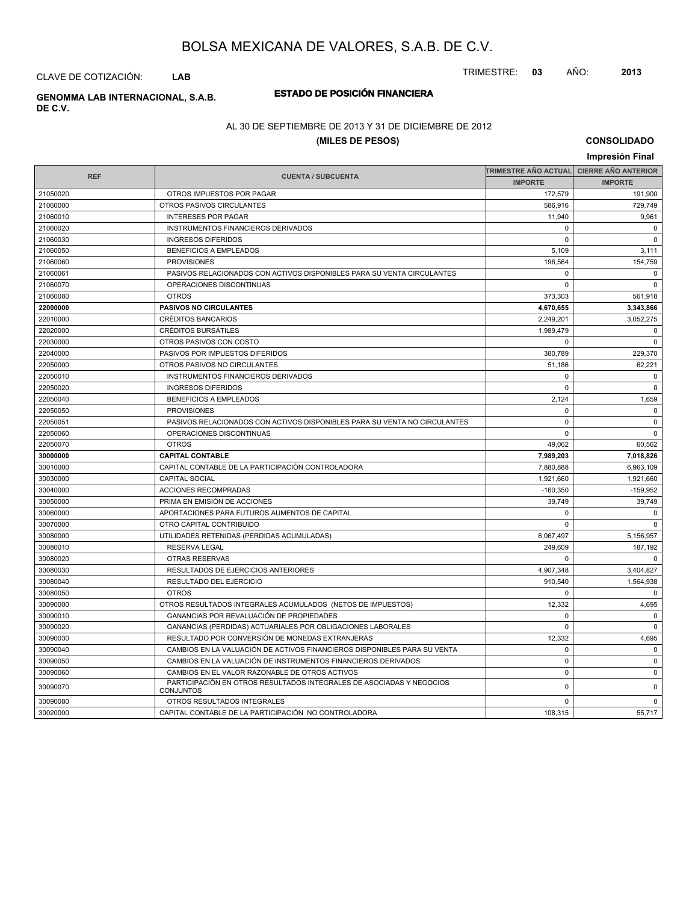TRIMESTRE: **03** AÑO: **2013**

CLAVE DE COTIZACIÓN: **LAB**

**ESTADO DE POSICIÓN FINANCIERA GENOMMA LAB INTERNACIONAL, S.A.B. DE C.V.**

### AL 30 DE SEPTIEMBRE DE 2013 Y 31 DE DICIEMBRE DE 2012

### **(MILES DE PESOS)**

**CONSOLIDADO Impresión Final**

|            |                                                                                   |                | TRIMESTRE AÑO ACTUAL│ CIERRE AÑO ANTERIOR |
|------------|-----------------------------------------------------------------------------------|----------------|-------------------------------------------|
| <b>REF</b> | <b>CUENTA / SUBCUENTA</b>                                                         | <b>IMPORTE</b> | <b>IMPORTE</b>                            |
| 21050020   | OTROS IMPUESTOS POR PAGAR                                                         | 172,579        | 191,900                                   |
| 21060000   | OTROS PASIVOS CIRCULANTES                                                         | 586.916        | 729,749                                   |
| 21060010   | <b>INTERESES POR PAGAR</b>                                                        | 11,940         | 9,961                                     |
| 21060020   | INSTRUMENTOS FINANCIEROS DERIVADOS                                                | $\mathbf 0$    | $\mathbf 0$                               |
| 21060030   | <b>INGRESOS DIFERIDOS</b>                                                         | $\mathbf 0$    | $\mathbf 0$                               |
| 21060050   | <b>BENEFICIOS A EMPLEADOS</b>                                                     | 5,109          | 3,111                                     |
| 21060060   | <b>PROVISIONES</b>                                                                | 196,564        | 154,759                                   |
| 21060061   | PASIVOS RELACIONADOS CON ACTIVOS DISPONIBLES PARA SU VENTA CIRCULANTES            | $\mathbf 0$    | $\Omega$                                  |
| 21060070   | OPERACIONES DISCONTINUAS                                                          | $\mathbf 0$    | $\mathsf 0$                               |
| 21060080   | <b>OTROS</b>                                                                      | 373,303        | 561,918                                   |
| 22000000   | <b>PASIVOS NO CIRCULANTES</b>                                                     | 4,670,655      | 3,343,866                                 |
| 22010000   | <b>CRÉDITOS BANCARIOS</b>                                                         | 2,249,201      | 3,052,275                                 |
| 22020000   | <b>CRÉDITOS BURSÁTILES</b>                                                        | 1.989.479      | $\mathbf 0$                               |
| 22030000   | OTROS PASIVOS CON COSTO                                                           | $\Omega$       | $\Omega$                                  |
| 22040000   | PASIVOS POR IMPUESTOS DIFERIDOS                                                   | 380,789        | 229,370                                   |
| 22050000   | OTROS PASIVOS NO CIRCULANTES                                                      | 51,186         | 62,221                                    |
| 22050010   | INSTRUMENTOS FINANCIEROS DERIVADOS                                                | $\mathbf 0$    | $\mathbf 0$                               |
| 22050020   | <b>INGRESOS DIFERIDOS</b>                                                         | $\mathbf 0$    | $\mathbf 0$                               |
| 22050040   | <b>BENEFICIOS A EMPLEADOS</b>                                                     | 2,124          | 1,659                                     |
| 22050050   | <b>PROVISIONES</b>                                                                | $\Omega$       | $\mathbf 0$                               |
| 22050051   | PASIVOS RELACIONADOS CON ACTIVOS DISPONIBLES PARA SU VENTA NO CIRCULANTES         | $\Omega$       | $\Omega$                                  |
| 22050060   | OPERACIONES DISCONTINUAS                                                          | $\mathbf 0$    | $\mathbf 0$                               |
| 22050070   | <b>OTROS</b>                                                                      | 49,062         | 60,562                                    |
| 30000000   | <b>CAPITAL CONTABLE</b>                                                           | 7,989,203      | 7,018,826                                 |
| 30010000   | CAPITAL CONTABLE DE LA PARTICIPACIÓN CONTROLADORA                                 | 7,880,888      | 6,963,109                                 |
| 30030000   | <b>CAPITAL SOCIAL</b>                                                             | 1,921,660      | 1,921,660                                 |
| 30040000   | <b>ACCIONES RECOMPRADAS</b>                                                       | $-160,350$     | $-159,952$                                |
| 30050000   | PRIMA EN EMISIÓN DE ACCIONES                                                      | 39,749         | 39,749                                    |
| 30060000   | APORTACIONES PARA FUTUROS AUMENTOS DE CAPITAL                                     | 0              | $\mathbf 0$                               |
| 30070000   | OTRO CAPITAL CONTRIBUIDO                                                          | $\Omega$       | $\Omega$                                  |
| 30080000   | UTILIDADES RETENIDAS (PERDIDAS ACUMULADAS)                                        | 6,067,497      | 5,156,957                                 |
| 30080010   | <b>RESERVA LEGAL</b>                                                              | 249,609        | 187,192                                   |
| 30080020   | <b>OTRAS RESERVAS</b>                                                             | $\Omega$       | $\Omega$                                  |
| 30080030   | RESULTADOS DE EJERCICIOS ANTERIORES                                               | 4,907,348      | 3,404,827                                 |
| 30080040   | RESULTADO DEL EJERCICIO                                                           | 910,540        | 1,564,938                                 |
| 30080050   | <b>OTROS</b>                                                                      | $\mathbf 0$    | $\mathbf 0$                               |
| 30090000   | OTROS RESULTADOS INTEGRALES ACUMULADOS (NETOS DE IMPUESTOS)                       | 12,332         | 4,695                                     |
| 30090010   | <b>GANANCIAS POR REVALUACIÓN DE PROPIEDADES</b>                                   | $\Omega$       | $\Omega$                                  |
| 30090020   | GANANCIAS (PERDIDAS) ACTUARIALES POR OBLIGACIONES LABORALES                       | $\Omega$       | $\Omega$                                  |
| 30090030   | RESULTADO POR CONVERSIÓN DE MONEDAS EXTRANJERAS                                   | 12,332         | 4,695                                     |
| 30090040   | CAMBIOS EN LA VALUACIÓN DE ACTIVOS FINANCIEROS DISPONIBLES PARA SU VENTA          | 0              | $\mathbf 0$                               |
| 30090050   | CAMBIOS EN LA VALUACIÓN DE INSTRUMENTOS FINANCIEROS DERIVADOS                     | $\mathbf 0$    | $\mathbf 0$                               |
| 30090060   | CAMBIOS EN EL VALOR RAZONABLE DE OTROS ACTIVOS                                    | $\mathbf 0$    | $\mathbf 0$                               |
| 30090070   | PARTICIPACIÓN EN OTROS RESULTADOS INTEGRALES DE ASOCIADAS Y NEGOCIOS<br>CONJUNTOS | $\mathbf 0$    | $\mathsf 0$                               |
| 30090080   | OTROS RESULTADOS INTEGRALES                                                       | $\Omega$       | $\Omega$                                  |
| 30020000   | CAPITAL CONTABLE DE LA PARTICIPACIÓN NO CONTROLADORA                              | 108,315        | 55,717                                    |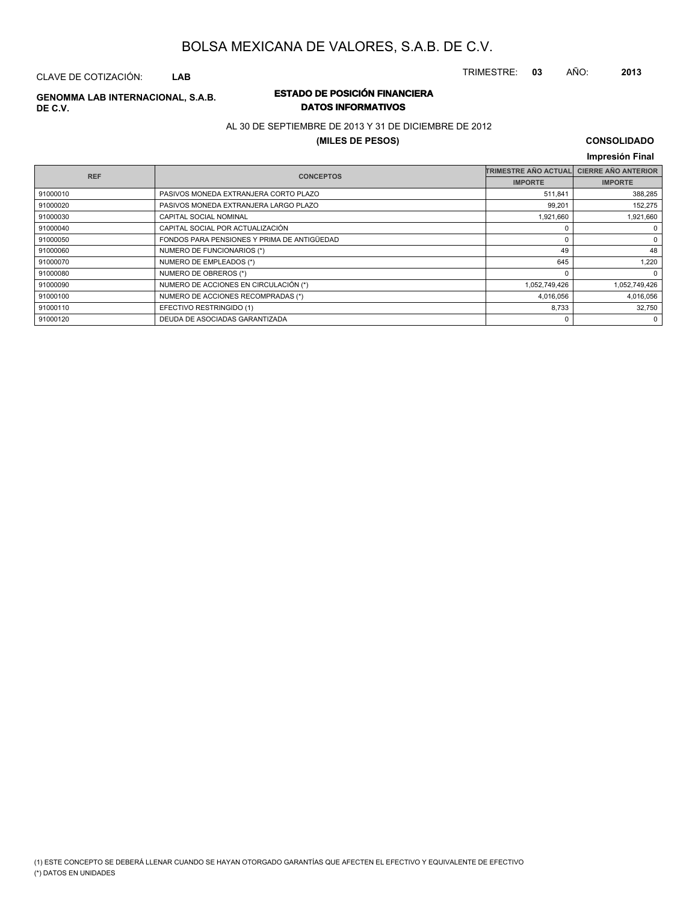CLAVE DE COTIZACIÓN: **LAB**

# **DE C.V.**

### **ESTADO DE POSICIÓN FINANCIERA GENOMMA LAB INTERNACIONAL, S.A.B. DATOS INFORMATIVOS**

### AL 30 DE SEPTIEMBRE DE 2013 Y 31 DE DICIEMBRE DE 2012

### **(MILES DE PESOS)**

# **CONSOLIDADO**

|            |                                             |                             | Impresión Final            |
|------------|---------------------------------------------|-----------------------------|----------------------------|
| <b>REF</b> | <b>CONCEPTOS</b>                            | <b>TRIMESTRE AÑO ACTUAL</b> | <b>CIERRE AÑO ANTERIOR</b> |
|            |                                             | <b>IMPORTE</b>              | <b>IMPORTE</b>             |
| 91000010   | PASIVOS MONEDA EXTRANJERA CORTO PLAZO       | 511,841                     | 388,285                    |
| 91000020   | PASIVOS MONEDA EXTRANJERA LARGO PLAZO       | 99,201                      | 152,275                    |
| 91000030   | CAPITAL SOCIAL NOMINAL                      | 1,921,660                   | 1,921,660                  |
| 91000040   | CAPITAL SOCIAL POR ACTUALIZACIÓN            |                             | $\mathbf 0$                |
| 91000050   | FONDOS PARA PENSIONES Y PRIMA DE ANTIGÜEDAD | O                           | 0                          |
| 91000060   | NUMERO DE FUNCIONARIOS (*)                  | 49                          | 48                         |
| 91000070   | NUMERO DE EMPLEADOS (*)                     | 645                         | 1,220                      |
| 91000080   | NUMERO DE OBREROS (*)                       | $\Omega$                    | $\Omega$                   |
| 91000090   | NUMERO DE ACCIONES EN CIRCULACIÓN (*)       | 1,052,749,426               | 1,052,749,426              |
| 91000100   | NUMERO DE ACCIONES RECOMPRADAS (*)          | 4,016,056                   | 4,016,056                  |
| 91000110   | EFECTIVO RESTRINGIDO (1)                    | 8,733                       | 32,750                     |
| 91000120   | DEUDA DE ASOCIADAS GARANTIZADA              | 0                           | 0                          |

TRIMESTRE: **03** AÑO: **2013**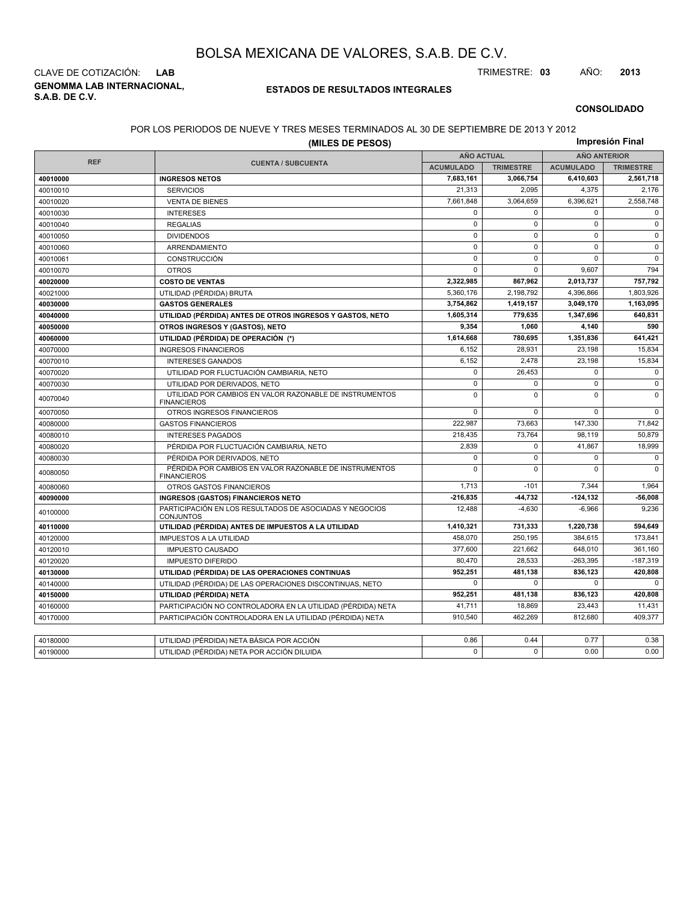**GENOMMA LAB INTERNACIONAL, S.A.B. DE C.V.** CLAVE DE COTIZACIÓN: **LAB** TRIMESTRE: **03** AÑO: **2013**

### **ESTADOS DE RESULTADOS INTEGRALES**

**CONSOLIDADO**

### POR LOS PERIODOS DE NUEVE Y TRES MESES TERMINADOS AL 30 DE SEPTIEMBRE DE 2013 Y 2012

|            | (MILES DE PESOS)                                                              |                   |                  |                     | Impresión Final  |  |
|------------|-------------------------------------------------------------------------------|-------------------|------------------|---------------------|------------------|--|
|            |                                                                               | <b>AÑO ACTUAL</b> |                  | <b>AÑO ANTERIOR</b> |                  |  |
| <b>REF</b> | <b>CUENTA / SUBCUENTA</b>                                                     | <b>ACUMULADO</b>  | <b>TRIMESTRE</b> | <b>ACUMULADO</b>    | <b>TRIMESTRE</b> |  |
| 40010000   | <b>INGRESOS NETOS</b>                                                         | 7,683,161         | 3,066,754        | 6,410,603           | 2,561,718        |  |
| 40010010   | <b>SERVICIOS</b>                                                              | 21,313            | 2,095            | 4,375               | 2,176            |  |
| 40010020   | <b>VENTA DE BIENES</b>                                                        | 7.661.848         | 3,064,659        | 6,396,621           | 2,558,748        |  |
| 40010030   | <b>INTERESES</b>                                                              | 0                 | $\mathbf 0$      | $\mathbf 0$         | 0                |  |
| 40010040   | <b>REGALIAS</b>                                                               | $\mathbf 0$       | $\mathbf 0$      | $\mathbf 0$         | $\mathbf 0$      |  |
| 40010050   | <b>DIVIDENDOS</b>                                                             | $\mathbf 0$       | $\mathbf 0$      | $\mathbf 0$         | $\mathbf 0$      |  |
| 40010060   | ARRENDAMIENTO                                                                 | $\mathsf 0$       | $\mathbf 0$      | $\mathbf 0$         | 0                |  |
| 40010061   | CONSTRUCCIÓN                                                                  | $\mathbf 0$       | $\Omega$         | $\mathbf 0$         | $\mathbf 0$      |  |
| 40010070   | <b>OTROS</b>                                                                  | $\mathbf 0$       | $\mathbf 0$      | 9,607               | 794              |  |
| 40020000   | <b>COSTO DE VENTAS</b>                                                        | 2,322,985         | 867,962          | 2,013,737           | 757,792          |  |
| 40021000   | UTILIDAD (PÉRDIDA) BRUTA                                                      | 5,360,176         | 2,198,792        | 4,396,866           | 1,803,926        |  |
| 40030000   | <b>GASTOS GENERALES</b>                                                       | 3,754,862         | 1,419,157        | 3,049,170           | 1,163,095        |  |
| 40040000   | UTILIDAD (PÉRDIDA) ANTES DE OTROS INGRESOS Y GASTOS, NETO                     | 1,605,314         | 779,635          | 1,347,696           | 640,831          |  |
| 40050000   | OTROS INGRESOS Y (GASTOS), NETO                                               | 9,354             | 1,060            | 4,140               | 590              |  |
| 40060000   | UTILIDAD (PÉRDIDA) DE OPERACIÓN (*)                                           | 1,614,668         | 780.695          | 1,351,836           | 641,421          |  |
| 40070000   | <b>INGRESOS FINANCIEROS</b>                                                   | 6,152             | 28,931           | 23,198              | 15,834           |  |
| 40070010   | <b>INTERESES GANADOS</b>                                                      | 6.152             | 2.478            | 23,198              | 15,834           |  |
| 40070020   | UTILIDAD POR FLUCTUACIÓN CAMBIARIA, NETO                                      | $\mathbf 0$       | 26,453           | $\mathbf 0$         | $\mathbf 0$      |  |
| 40070030   | UTILIDAD POR DERIVADOS, NETO                                                  | $\mathbf 0$       | $\mathbf 0$      | $\mathbf 0$         | $\mathbf 0$      |  |
| 40070040   | UTILIDAD POR CAMBIOS EN VALOR RAZONABLE DE INSTRUMENTOS<br><b>FINANCIEROS</b> | $\mathbf 0$       | $\Omega$         | $\Omega$            | $\mathbf 0$      |  |
| 40070050   | OTROS INGRESOS FINANCIEROS                                                    | $\mathbf 0$       | $\Omega$         | $\mathbf 0$         | $\mathbf 0$      |  |
| 40080000   | <b>GASTOS FINANCIEROS</b>                                                     | 222,987           | 73,663           | 147,330             | 71,842           |  |
| 40080010   | <b>INTERESES PAGADOS</b>                                                      | 218,435           | 73,764           | 98,119              | 50,879           |  |
| 40080020   | PÉRDIDA POR FLUCTUACIÓN CAMBIARIA, NETO                                       | 2,839             | $\mathbf 0$      | 41,867              | 18,999           |  |
| 40080030   | PÉRDIDA POR DERIVADOS, NETO                                                   | $\Omega$          | $\Omega$         | $\Omega$            | $\mathbf 0$      |  |
| 40080050   | PÉRDIDA POR CAMBIOS EN VALOR RAZONABLE DE INSTRUMENTOS<br><b>FINANCIEROS</b>  | $\mathbf 0$       | $\mathbf 0$      | $\mathbf 0$         | $\mathbf 0$      |  |
| 40080060   | OTROS GASTOS FINANCIEROS                                                      | 1,713             | $-101$           | 7,344               | 1,964            |  |
| 40090000   | <b>INGRESOS (GASTOS) FINANCIEROS NETO</b>                                     | -216,835          | -44,732          | $-124, 132$         | $-56,008$        |  |
| 40100000   | PARTICIPACIÓN EN LOS RESULTADOS DE ASOCIADAS Y NEGOCIOS<br><b>CONJUNTOS</b>   | 12,488            | $-4,630$         | $-6,966$            | 9,236            |  |
| 40110000   | UTILIDAD (PÉRDIDA) ANTES DE IMPUESTOS A LA UTILIDAD                           | 1,410,321         | 731,333          | 1,220,738           | 594,649          |  |
| 40120000   | <b>IMPUESTOS A LA UTILIDAD</b>                                                | 458,070           | 250,195          | 384,615             | 173,841          |  |
| 40120010   | <b>IMPUESTO CAUSADO</b>                                                       | 377,600           | 221.662          | 648,010             | 361,160          |  |
| 40120020   | <b>IMPUESTO DIFERIDO</b>                                                      | 80,470            | 28,533           | $-263,395$          | $-187,319$       |  |
| 40130000   | UTILIDAD (PÉRDIDA) DE LAS OPERACIONES CONTINUAS                               | 952,251           | 481,138          | 836,123             | 420,808          |  |
| 40140000   | UTILIDAD (PÉRDIDA) DE LAS OPERACIONES DISCONTINUAS, NETO                      | $\Omega$          | $\Omega$         | $\Omega$            | $\Omega$         |  |
| 40150000   | UTILIDAD (PÉRDIDA) NETA                                                       | 952.251           | 481.138          | 836.123             | 420,808          |  |
| 40160000   | PARTICIPACIÓN NO CONTROLADORA EN LA UTILIDAD (PÉRDIDA) NETA                   | 41,711            | 18,869           | 23,443              | 11,431           |  |
| 40170000   | PARTICIPACIÓN CONTROLADORA EN LA UTILIDAD (PÉRDIDA) NETA                      | 910,540           | 462,269          | 812,680             | 409,377          |  |
|            |                                                                               |                   |                  |                     |                  |  |
| 40180000   | UTILIDAD (PÉRDIDA) NETA BÁSICA POR ACCIÓN                                     | 0.86              | 0.44             | 0.77                | 0.38             |  |
| 40190000   | UTILIDAD (PÉRDIDA) NETA POR ACCIÓN DILUIDA                                    | $\Omega$          | $\Omega$         | 0.00                | 0.00             |  |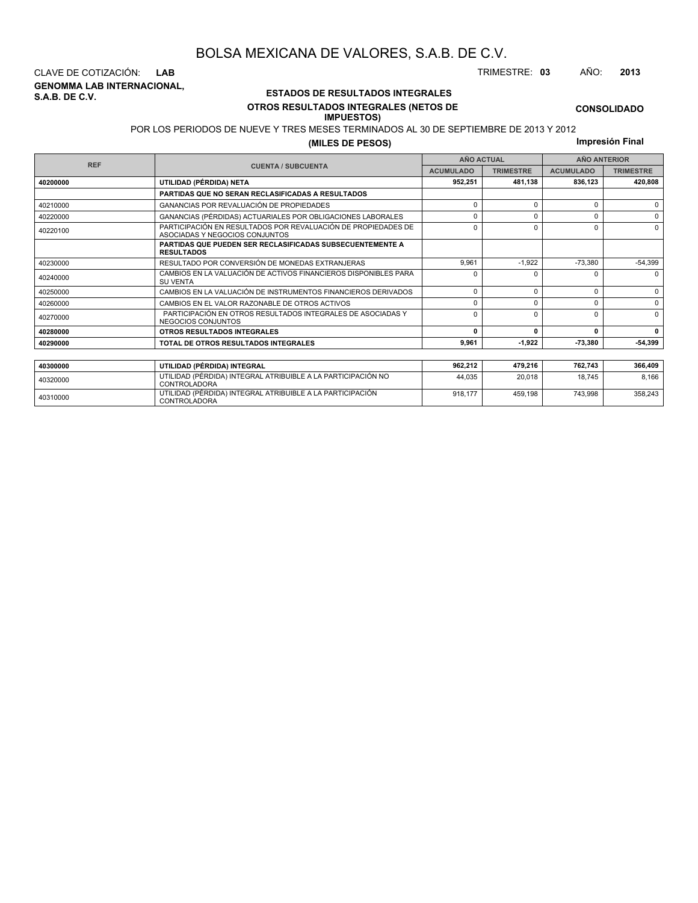**GENOMMA LAB INTERNACIONAL, S.A.B. DE C.V.** CLAVE DE COTIZACIÓN: **LAB** TRIMESTRE: **03** AÑO: **2013**

<sup>40310000</sup> UTILIDAD (PÉRDIDA) INTEGRAL ATRIBUIBLE A LA PARTICIPACIÓN CONTROLADORA

### **ESTADOS DE RESULTADOS INTEGRALES OTROS RESULTADOS INTEGRALES (NETOS DE**

# **IMPUESTOS)**

POR LOS PERIODOS DE NUEVE Y TRES MESES TERMINADOS AL 30 DE SEPTIEMBRE DE 2013 Y 2012

**(MILES DE PESOS)**

**Impresión Final**

918,177 459,198 743,998 358,243

|            |                                                                                                 | <b>AÑO ACTUAL</b> |                  | <b>AÑO ANTERIOR</b> |                  |  |
|------------|-------------------------------------------------------------------------------------------------|-------------------|------------------|---------------------|------------------|--|
| <b>REF</b> | <b>CUENTA / SUBCUENTA</b>                                                                       | <b>ACUMULADO</b>  | <b>TRIMESTRE</b> | <b>ACUMULADO</b>    | <b>TRIMESTRE</b> |  |
| 40200000   | UTILIDAD (PÉRDIDA) NETA                                                                         | 952,251           | 481,138          | 836,123             | 420,808          |  |
|            | PARTIDAS QUE NO SERAN RECLASIFICADAS A RESULTADOS                                               |                   |                  |                     |                  |  |
| 40210000   | GANANCIAS POR REVALUACIÓN DE PROPIEDADES                                                        | $\Omega$          | $\Omega$         | $\Omega$            | 0                |  |
| 40220000   | GANANCIAS (PÉRDIDAS) ACTUARIALES POR OBLIGACIONES LABORALES                                     | $\Omega$          | $\Omega$         | O                   | $\Omega$         |  |
| 40220100   | PARTICIPACIÓN EN RESULTADOS POR REVALUACIÓN DE PROPIEDADES DE<br>ASOCIADAS Y NEGOCIOS CONJUNTOS | $\Omega$          | $\Omega$         |                     |                  |  |
|            | PARTIDAS QUE PUEDEN SER RECLASIFICADAS SUBSECUENTEMENTE A<br><b>RESULTADOS</b>                  |                   |                  |                     |                  |  |
| 40230000   | RESULTADO POR CONVERSIÓN DE MONEDAS EXTRANJERAS                                                 | 9.961             | $-1.922$         | $-73.380$           | $-54,399$        |  |
| 40240000   | CAMBIOS EN LA VALUACIÓN DE ACTIVOS FINANCIEROS DISPONIBLES PARA<br><b>SU VENTA</b>              | $\Omega$          | <sup>0</sup>     |                     | $\Omega$         |  |
| 40250000   | CAMBIOS EN LA VALUACIÓN DE INSTRUMENTOS FINANCIEROS DERIVADOS                                   | $\mathbf 0$       | $\Omega$         | $\Omega$            | 0                |  |
| 40260000   | CAMBIOS EN EL VALOR RAZONABLE DE OTROS ACTIVOS                                                  | $\Omega$          | $\Omega$         | $\Omega$            | $\mathbf 0$      |  |
| 40270000   | PARTICIPACIÓN EN OTROS RESULTADOS INTEGRALES DE ASOCIADAS Y<br>NEGOCIOS CONJUNTOS               | $\Omega$          | $\Omega$         | $\Omega$            | $\Omega$         |  |
| 40280000   | <b>OTROS RESULTADOS INTEGRALES</b>                                                              | 0                 | $\Omega$         |                     | 0                |  |
| 40290000   | TOTAL DE OTROS RESULTADOS INTEGRALES                                                            | 9,961             | $-1,922$         | -73,380             | -54,399          |  |
|            |                                                                                                 |                   |                  |                     |                  |  |
| 40300000   | UTILIDAD (PÉRDIDA) INTEGRAL                                                                     | 962,212           | 479,216          | 762,743             | 366,409          |  |
| 40320000   | UTILIDAD (PÉRDIDA) INTEGRAL ATRIBUIBLE A LA PARTICIPACIÓN NO<br>CONTROL ADORA                   |                   | 20,018           | 18,745              | 8,166            |  |

**CONSOLIDADO**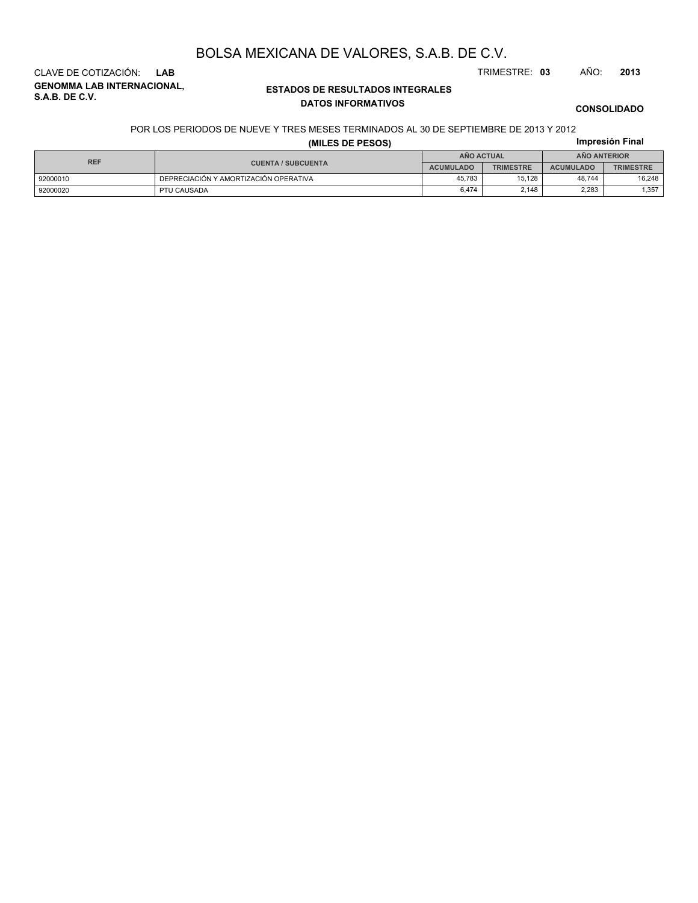**GENOMMA LAB INTERNACIONAL, S.A.B. DE C.V.** CLAVE DE COTIZACIÓN: **LAB** TRIMESTRE: **03** AÑO: **2013**

### **ESTADOS DE RESULTADOS INTEGRALES DATOS INFORMATIVOS**

**CONSOLIDADO**

### **Impresión Final** POR LOS PERIODOS DE NUEVE Y TRES MESES TERMINADOS AL 30 DE SEPTIEMBRE DE 2013 Y 2012

**(MILES DE PESOS)**

| <b>REF</b> |                                       | AÑO ACTUAL       |                  | <b>ANO ANTERIOR</b> |                  |  |
|------------|---------------------------------------|------------------|------------------|---------------------|------------------|--|
|            | <b>CUENTA / SUBCUENTA</b>             | <b>ACUMULADO</b> | <b>TRIMESTRE</b> | <b>ACUMULADO</b>    | <b>TRIMESTRE</b> |  |
| 92000010   | DEPRECIACIÓN Y AMORTIZACIÓN OPERATIVA | 45.783           | 15.128           | 48.744              | 16.248           |  |
| 92000020   | PTU CAUSADA                           | 6.474            | 2.148            | 2.283               | .357             |  |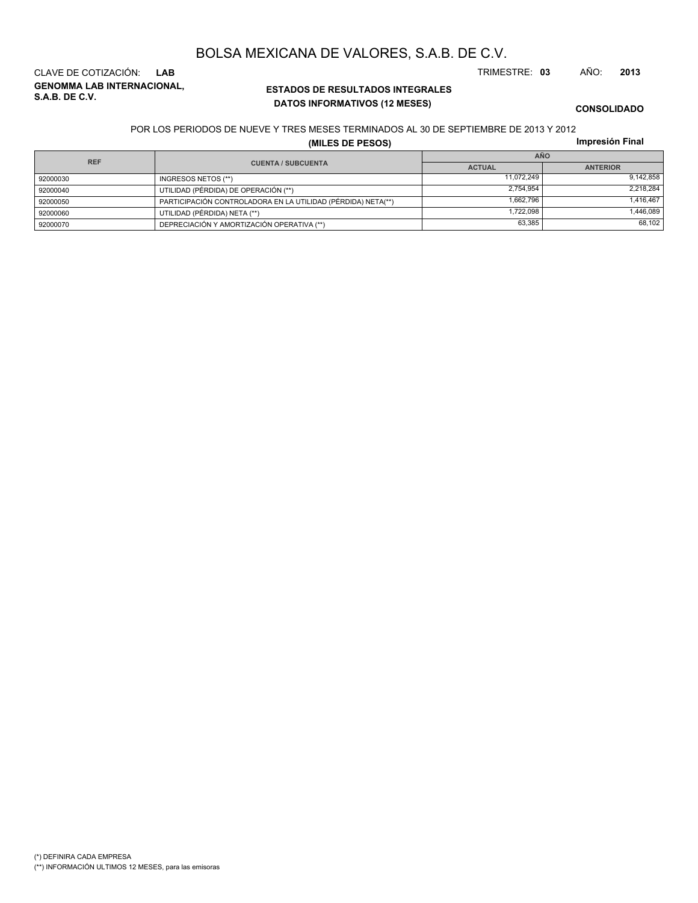**ESTADOS DE RESULTADOS INTEGRALES**

### **CONSOLIDADO**

### POR LOS PERIODOS DE NUEVE Y TRES MESES TERMINADOS AL 30 DE SEPTIEMBRE DE 2013 Y 2012

**DATOS INFORMATIVOS (12 MESES)**

BOLSA MEXICANA DE VALORES, S.A.B. DE C.V.

**(MILES DE PESOS)**

| Impresión Final |  |
|-----------------|--|

|            |          |                                                              | <b>AÑO</b>    |                 |  |  |  |  |
|------------|----------|--------------------------------------------------------------|---------------|-----------------|--|--|--|--|
| <b>REF</b> |          | <b>CUENTA / SUBCUENTA</b>                                    | <b>ACTUAL</b> | <b>ANTERIOR</b> |  |  |  |  |
|            | 92000030 | INGRESOS NETOS (**)                                          | 11.072.249    | 9.142.858       |  |  |  |  |
|            | 92000040 | UTILIDAD (PÉRDIDA) DE OPERACIÓN (**)                         | 2.754.954     | 2.218.284       |  |  |  |  |
|            | 92000050 | PARTICIPACIÓN CONTROLADORA EN LA UTILIDAD (PÉRDIDA) NETA(**) | 1.662.796     | 1.416.467       |  |  |  |  |
|            | 92000060 | UTILIDAD (PÉRDIDA) NETA (**)                                 | 1.722.098     | 446,089.        |  |  |  |  |
|            | 92000070 | DEPRECIACIÓN Y AMORTIZACIÓN OPERATIVA (**)                   | 63,385        | 68.102          |  |  |  |  |

### **GENOMMA LAB INTERNACIONAL, S.A.B. DE C.V.** CLAVE DE COTIZACIÓN: **LAB** TRIMESTRE: **03** AÑO: **2013**

(\*) DEFINIRA CADA EMPRESA (\*\*) INFORMACIÓN ULTIMOS 12 MESES, para las emisoras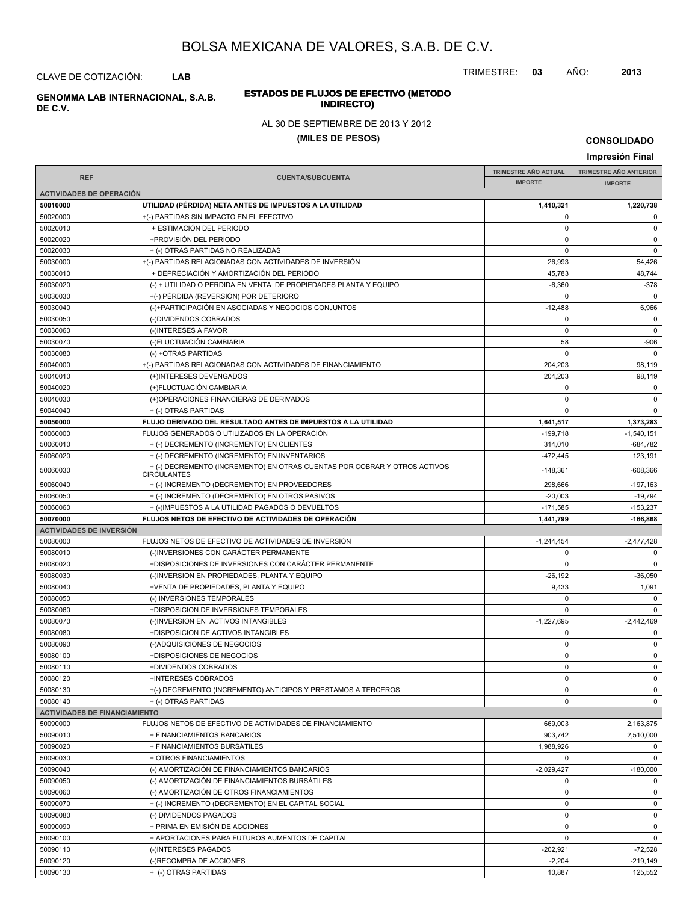TRIMESTRE: **03** AÑO: **2013**

# CLAVE DE COTIZACIÓN: **LAB**

# **INDIRECTO) GENOMMA LAB INTERNACIONAL, S.A.B. DE C.V.**

### AL 30 DE SEPTIEMBRE DE 2013 Y 2012

**ESTADOS DE FLUJOS DE EFECTIVO (METODO**

### **(MILES DE PESOS)**

**CONSOLIDADO**

| Impresión Final                                  |                                                                                                               |                             |                               |  |  |
|--------------------------------------------------|---------------------------------------------------------------------------------------------------------------|-----------------------------|-------------------------------|--|--|
| <b>REF</b>                                       |                                                                                                               | <b>TRIMESTRE AÑO ACTUAL</b> | <b>TRIMESTRE AÑO ANTERIOR</b> |  |  |
|                                                  | <b>CUENTA/SUBCUENTA</b>                                                                                       | <b>IMPORTE</b>              | <b>IMPORTE</b>                |  |  |
| <b>ACTIVIDADES DE OPERACIÓN</b>                  |                                                                                                               |                             |                               |  |  |
| 50010000                                         | UTILIDAD (PERDIDA) NETA ANTES DE IMPUESTOS A LA UTILIDAD                                                      | 1,410,321                   | 1,220,738                     |  |  |
| 50020000                                         | +(-) PARTIDAS SIN IMPACTO EN EL EFECTIVO                                                                      | $\Omega$                    | $\mathsf 0$                   |  |  |
| 50020010                                         | + ESTIMACIÓN DEL PERIODO                                                                                      | 0                           | 0                             |  |  |
| 50020020                                         | +PROVISIÓN DEL PERIODO                                                                                        | 0                           | $\mathsf 0$                   |  |  |
| 50020030                                         | + (-) OTRAS PARTIDAS NO REALIZADAS                                                                            | $\Omega$                    | $\mathsf 0$                   |  |  |
| 50030000<br>50030010                             | +(-) PARTIDAS RELACIONADAS CON ACTIVIDADES DE INVERSIÓN                                                       | 26,993                      | 54,426                        |  |  |
| 50030020                                         | + DEPRECIACIÓN Y AMORTIZACIÓN DEL PERIODO<br>(-) + UTILIDAD O PERDIDA EN VENTA DE PROPIEDADES PLANTA Y EQUIPO | 45,783<br>$-6,360$          | 48,744<br>$-378$              |  |  |
| 50030030                                         | +(-) PÉRDIDA (REVERSIÓN) POR DETERIORO                                                                        | 0                           | $\mathbf 0$                   |  |  |
| 50030040                                         | (-)+PARTICIPACIÓN EN ASOCIADAS Y NEGOCIOS CONJUNTOS                                                           | $-12,488$                   | 6,966                         |  |  |
| 50030050                                         | (-)DIVIDENDOS COBRADOS                                                                                        | $\Omega$                    | $\mathbf 0$                   |  |  |
| 50030060                                         | (-)INTERESES A FAVOR                                                                                          | $\pmb{0}$                   | $\mathbf 0$                   |  |  |
| 50030070                                         | (-)FLUCTUACIÓN CAMBIARIA                                                                                      | 58                          | $-906$                        |  |  |
| 50030080                                         | (-) +OTRAS PARTIDAS                                                                                           | $\Omega$                    | $\mathbf 0$                   |  |  |
| 50040000                                         | +(-) PARTIDAS RELACIONADAS CON ACTIVIDADES DE FINANCIAMIENTO                                                  | 204,203                     | 98,119                        |  |  |
| 50040010                                         | (+)INTERESES DEVENGADOS                                                                                       | 204,203                     | 98,119                        |  |  |
| 50040020                                         | (+)FLUCTUACIÓN CAMBIARIA                                                                                      | $\Omega$                    | $\mathbf 0$                   |  |  |
| 50040030                                         | (+)OPERACIONES FINANCIERAS DE DERIVADOS                                                                       | 0                           | $\mathbf 0$                   |  |  |
| 50040040                                         | + (-) OTRAS PARTIDAS                                                                                          | 0                           | $\Omega$                      |  |  |
| 50050000                                         | FLUJO DERIVADO DEL RESULTADO ANTES DE IMPUESTOS A LA UTILIDAD                                                 | 1,641,517                   | 1,373,283                     |  |  |
| 50060000                                         | FLUJOS GENERADOS O UTILIZADOS EN LA OPERACIÓN                                                                 | $-199,718$                  | $-1,540,151$                  |  |  |
| 50060010                                         | + (-) DECREMENTO (INCREMENTO) EN CLIENTES                                                                     | 314,010                     | -684,782                      |  |  |
| 50060020                                         | + (-) DECREMENTO (INCREMENTO) EN INVENTARIOS                                                                  | $-472, 445$                 | 123,191                       |  |  |
| 50060030                                         | + (-) DECREMENTO (INCREMENTO) EN OTRAS CUENTAS POR COBRAR Y OTROS ACTIVOS<br><b>CIRCULANTES</b>               | $-148,361$                  | -608,366                      |  |  |
| 50060040                                         | + (-) INCREMENTO (DECREMENTO) EN PROVEEDORES                                                                  | 298,666                     | $-197,163$                    |  |  |
| 50060050                                         | + (-) INCREMENTO (DECREMENTO) EN OTROS PASIVOS                                                                | $-20,003$                   | $-19,794$                     |  |  |
| 50060060                                         | + (-)IMPUESTOS A LA UTILIDAD PAGADOS O DEVUELTOS                                                              | $-171,585$                  | $-153,237$                    |  |  |
| 50070000                                         | FLUJOS NETOS DE EFECTIVO DE ACTIVIDADES DE OPERACIÓN                                                          | 1,441,799                   | -166,868                      |  |  |
| <b>ACTIVIDADES DE INVERSIÓN</b>                  |                                                                                                               |                             |                               |  |  |
| 50080000                                         | FLUJOS NETOS DE EFECTIVO DE ACTIVIDADES DE INVERSIÓN                                                          | $-1,244,454$                | $-2,477,428$                  |  |  |
| 50080010                                         | (-)INVERSIONES CON CARÁCTER PERMANENTE                                                                        | 0                           | 0                             |  |  |
| 50080020                                         | +DISPOSICIONES DE INVERSIONES CON CARÁCTER PERMANENTE                                                         | $\mathbf 0$                 | $\mathbf 0$                   |  |  |
| 50080030                                         | (-)INVERSION EN PROPIEDADES, PLANTA Y EQUIPO                                                                  | $-26,192$                   | $-36,050$                     |  |  |
| 50080040                                         | +VENTA DE PROPIEDADES, PLANTA Y EQUIPO                                                                        | 9,433                       | 1,091                         |  |  |
| 50080050                                         | (-) INVERSIONES TEMPORALES                                                                                    | 0                           | $\mathbf 0$                   |  |  |
| 50080060                                         | +DISPOSICION DE INVERSIONES TEMPORALES                                                                        | $\Omega$                    | $\Omega$                      |  |  |
| 50080070                                         | (-)INVERSION EN ACTIVOS INTANGIBLES                                                                           | $-1,227,695$                | $-2,442,469$                  |  |  |
| 50080080                                         | +DISPOSICION DE ACTIVOS INTANGIBLES                                                                           | 0                           | $\mathbf 0$                   |  |  |
| 50080090                                         | (-)ADQUISICIONES DE NEGOCIOS                                                                                  | $\Omega$                    | $\mathbf 0$                   |  |  |
| 50080100                                         | +DISPOSICIONES DE NEGOCIOS                                                                                    | 0                           | $\mathbf 0$                   |  |  |
| 50080110                                         | +DIVIDENDOS COBRADOS                                                                                          | 0                           | 0                             |  |  |
| 50080120                                         | +INTERESES COBRADOS                                                                                           | $\mathbf 0$                 | $\mathbf 0$                   |  |  |
| 50080130<br>50080140                             | +(-) DECREMENTO (INCREMENTO) ANTICIPOS Y PRESTAMOS A TERCEROS                                                 | 0<br>0                      | 0<br>$\mathbf 0$              |  |  |
|                                                  | + (-) OTRAS PARTIDAS                                                                                          |                             |                               |  |  |
| <b>ACTIVIDADES DE FINANCIAMIENTO</b><br>50090000 | FLUJOS NETOS DE EFECTIVO DE ACTIVIDADES DE FINANCIAMIENTO                                                     | 669,003                     | 2,163,875                     |  |  |
| 50090010                                         | + FINANCIAMIENTOS BANCARIOS                                                                                   | 903,742                     | 2,510,000                     |  |  |
| 50090020                                         | + FINANCIAMIENTOS BURSÁTILES                                                                                  | 1,988,926                   | 0                             |  |  |
| 50090030                                         | + OTROS FINANCIAMIENTOS                                                                                       | 0                           | $\mathbf 0$                   |  |  |
| 50090040                                         | (-) AMORTIZACIÓN DE FINANCIAMIENTOS BANCARIOS                                                                 | $-2,029,427$                | $-180,000$                    |  |  |
| 50090050                                         | (-) AMORTIZACIÓN DE FINANCIAMIENTOS BURSÁTILES                                                                | 0                           | $\mathbf 0$                   |  |  |
| 50090060                                         | (-) AMORTIZACIÓN DE OTROS FINANCIAMIENTOS                                                                     | 0                           | $\mathbf 0$                   |  |  |
| 50090070                                         | + (-) INCREMENTO (DECREMENTO) EN EL CAPITAL SOCIAL                                                            | 0                           | $\mathbf 0$                   |  |  |
| 50090080                                         | (-) DIVIDENDOS PAGADOS                                                                                        | 0                           | $\mathbf 0$                   |  |  |
| 50090090                                         | + PRIMA EN EMISIÓN DE ACCIONES                                                                                | 0                           | 0                             |  |  |
| 50090100                                         | + APORTACIONES PARA FUTUROS AUMENTOS DE CAPITAL                                                               | $\mathbf 0$                 | $\mathbf 0$                   |  |  |
| 50090110                                         | (-)INTERESES PAGADOS                                                                                          | $-202,921$                  | $-72,528$                     |  |  |
| 50090120                                         | (-)RECOMPRA DE ACCIONES                                                                                       | $-2,204$                    | $-219,149$                    |  |  |
| 50090130                                         | + (-) OTRAS PARTIDAS                                                                                          | 10,887                      | 125,552                       |  |  |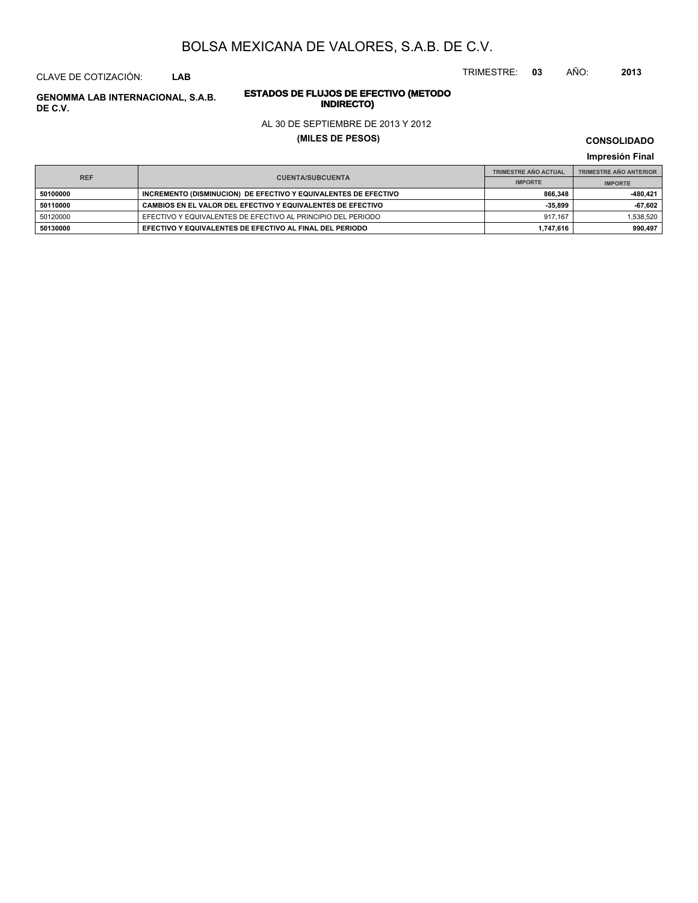TRIMESTRE: **03** AÑO: **2013**

### CLAVE DE COTIZACIÓN: **LAB**

# **ESTADOS DE FLUJOS DE EFECTIVO (METODO**

### AL 30 DE SEPTIEMBRE DE 2013 Y 2012

### **(MILES DE PESOS)**

**CONSOLIDADO**

**Impresión Final**

|            |                                                                 | <b>TRIMESTRE AÑO ACTUAL</b> | <b>TRIMESTRE AÑO ANTERIOR</b> |
|------------|-----------------------------------------------------------------|-----------------------------|-------------------------------|
| <b>REF</b> | <b>CUENTA/SUBCUENTA</b>                                         | <b>IMPORTE</b>              | <b>IMPORTE</b>                |
| 50100000   | INCREMENTO (DISMINUCION) DE EFECTIVO Y EQUIVALENTES DE EFECTIVO | 866.348                     | -480.421                      |
| 50110000   | CAMBIOS EN EL VALOR DEL EFECTIVO Y EQUIVALENTES DE EFECTIVO     | $-35.899$                   | -67,602                       |
| 50120000   | EFECTIVO Y EQUIVALENTES DE EFECTIVO AL PRINCIPIO DEL PERIODO    | 917.167                     | 1.538.520                     |
| 50130000   | EFECTIVO Y EQUIVALENTES DE EFECTIVO AL FINAL DEL PERIODO        | 1.747.616                   | 990.497                       |

**INDIRECTO) GENOMMA LAB INTERNACIONAL, S.A.B. DE C.V.**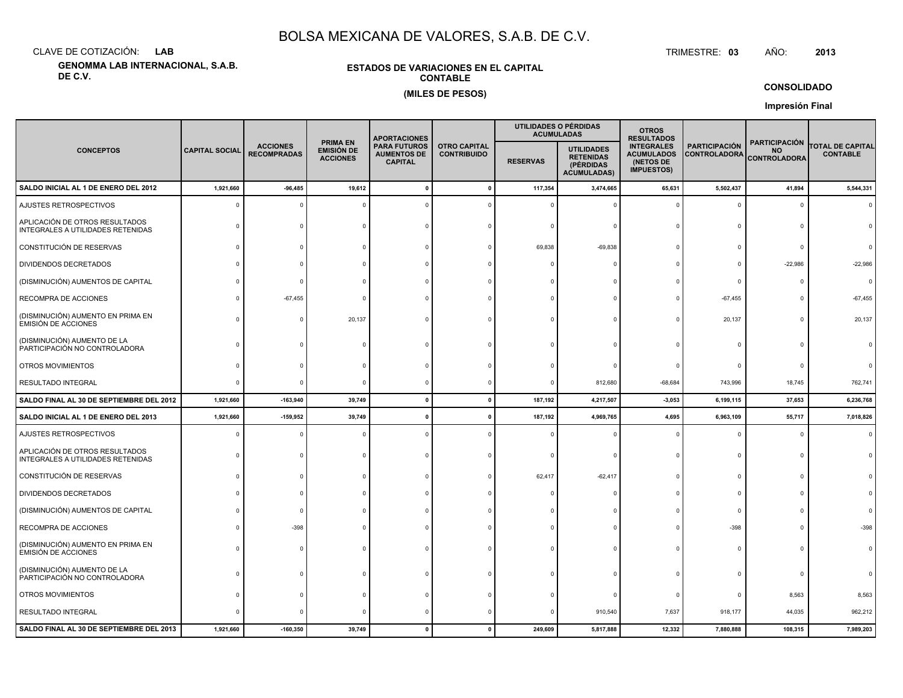CLAVE DE COTIZACIÓN:**LAB**

**GENOMMA LAB INTERNACIONAL, S.A.B. DE C.V.**

### **ESTADOS DE VARIACIONES EN EL CAPITALCONTABLE(MILES DE PESOS)**

 TRIMESTRE:TRIMESTRE: 03 AÑO: **<sup>2013</sup>**

**CONSOLIDADO**

**Impresión Final**

|                                                                     |                       |                                       |                                                         | <b>APORTACIONES</b>                                         |                                           | UTILIDADES O PÉRDIDAS<br><b>ACUMULADAS</b> | <b>OTROS</b><br><b>RESULTADOS</b>                                        |                                                                          |                                      |                                                          |                                            |
|---------------------------------------------------------------------|-----------------------|---------------------------------------|---------------------------------------------------------|-------------------------------------------------------------|-------------------------------------------|--------------------------------------------|--------------------------------------------------------------------------|--------------------------------------------------------------------------|--------------------------------------|----------------------------------------------------------|--------------------------------------------|
| <b>CONCEPTOS</b>                                                    | <b>CAPITAL SOCIAL</b> | <b>ACCIONES</b><br><b>RECOMPRADAS</b> | <b>PRIMA EN</b><br><b>EMISIÓN DE</b><br><b>ACCIONES</b> | <b>PARA FUTUROS</b><br><b>AUMENTOS DE</b><br><b>CAPITAL</b> | <b>OTRO CAPITAL</b><br><b>CONTRIBUIDO</b> | <b>RESERVAS</b>                            | <b>UTILIDADES</b><br><b>RETENIDAS</b><br>(PÉRDIDAS<br><b>ACUMULADAS)</b> | <b>INTEGRALES</b><br><b>ACUMULADOS</b><br>(NETOS DE<br><b>IMPUESTOS)</b> | <b>PARTICIPACIÓN</b><br>CONTROLADORA | <b>PARTICIPACIÓN</b><br><b>NO</b><br><b>CONTROLADORA</b> | <b>TOTAL DE CAPITAL</b><br><b>CONTABLE</b> |
| SALDO INICIAL AL 1 DE ENERO DEL 2012                                | 1,921,660             | $-96,485$                             | 19,612                                                  |                                                             | $\mathbf{0}$                              | 117,354                                    | 3,474,665                                                                | 65,631                                                                   | 5,502,437                            | 41,894                                                   | 5,544,331                                  |
| AJUSTES RETROSPECTIVOS                                              |                       |                                       |                                                         |                                                             |                                           |                                            |                                                                          |                                                                          | $\mathbf 0$                          | $\mathbf 0$                                              |                                            |
| APLICACIÓN DE OTROS RESULTADOS<br>INTEGRALES A UTILIDADES RETENIDAS |                       |                                       |                                                         |                                                             |                                           |                                            |                                                                          |                                                                          | $\Omega$                             | $\Omega$                                                 |                                            |
| CONSTITUCIÓN DE RESERVAS                                            |                       |                                       |                                                         |                                                             |                                           | 69,838                                     | $-69,838$                                                                |                                                                          | $\Omega$                             |                                                          |                                            |
| <b>DIVIDENDOS DECRETADOS</b>                                        |                       |                                       |                                                         |                                                             |                                           |                                            |                                                                          |                                                                          | $\Omega$                             | $-22,986$                                                | $-22,986$                                  |
| (DISMINUCIÓN) AUMENTOS DE CAPITAL                                   |                       |                                       |                                                         |                                                             |                                           |                                            |                                                                          |                                                                          | $\Omega$                             |                                                          | $\Omega$                                   |
| RECOMPRA DE ACCIONES                                                |                       | $-67,455$                             |                                                         |                                                             |                                           |                                            |                                                                          |                                                                          | $-67,455$                            |                                                          | $-67,455$                                  |
| (DISMINUCIÓN) AUMENTO EN PRIMA EN<br><b>EMISIÓN DE ACCIONES</b>     |                       |                                       | 20,137                                                  |                                                             |                                           |                                            |                                                                          |                                                                          | 20,137                               | $\Omega$                                                 | 20,137                                     |
| (DISMINUCIÓN) AUMENTO DE LA<br>PARTICIPACIÓN NO CONTROLADORA        |                       |                                       |                                                         |                                                             |                                           |                                            |                                                                          |                                                                          |                                      | $\Omega$                                                 |                                            |
| OTROS MOVIMIENTOS                                                   |                       |                                       |                                                         |                                                             |                                           |                                            |                                                                          |                                                                          |                                      |                                                          |                                            |
| RESULTADO INTEGRAL                                                  |                       |                                       |                                                         |                                                             |                                           |                                            | 812,680                                                                  | $-68,684$                                                                | 743,996                              | 18,745                                                   | 762,741                                    |
| SALDO FINAL AL 30 DE SEPTIEMBRE DEL 2012                            | 1,921,660             | $-163,940$                            | 39,749                                                  |                                                             | $\Omega$                                  | 187,192                                    | 4,217,507                                                                | $-3,053$                                                                 | 6,199,115                            | 37,653                                                   | 6,236,768                                  |
| SALDO INICIAL AL 1 DE ENERO DEL 2013                                | 1,921,660             | $-159,952$                            | 39,749                                                  |                                                             |                                           | 187,192                                    | 4,969,765                                                                | 4,695                                                                    | 6,963,109                            | 55,717                                                   | 7,018,826                                  |
| AJUSTES RETROSPECTIVOS                                              |                       |                                       |                                                         |                                                             |                                           |                                            |                                                                          |                                                                          | $\Omega$                             | $\Omega$                                                 |                                            |
| APLICACIÓN DE OTROS RESULTADOS<br>INTEGRALES A UTILIDADES RETENIDAS |                       |                                       |                                                         |                                                             |                                           |                                            |                                                                          |                                                                          | $\Omega$                             | $\Omega$                                                 |                                            |
| CONSTITUCIÓN DE RESERVAS                                            |                       |                                       |                                                         |                                                             |                                           | 62,417                                     | $-62,417$                                                                |                                                                          | 0                                    |                                                          |                                            |
| <b>DIVIDENDOS DECRETADOS</b>                                        |                       |                                       |                                                         |                                                             |                                           |                                            |                                                                          |                                                                          | $\Omega$                             |                                                          |                                            |
| (DISMINUCIÓN) AUMENTOS DE CAPITAL                                   |                       |                                       |                                                         |                                                             |                                           |                                            |                                                                          |                                                                          | $\Omega$                             |                                                          |                                            |
| RECOMPRA DE ACCIONES                                                |                       | $-398$                                |                                                         |                                                             |                                           |                                            |                                                                          |                                                                          | -398                                 |                                                          |                                            |
| (DISMINUCIÓN) AUMENTO EN PRIMA EN<br><b>EMISIÓN DE ACCIONES</b>     |                       |                                       |                                                         |                                                             |                                           |                                            |                                                                          |                                                                          |                                      |                                                          |                                            |
| (DISMINUCIÓN) AUMENTO DE LA<br>PARTICIPACIÓN NO CONTROLADORA        |                       |                                       |                                                         |                                                             |                                           |                                            |                                                                          |                                                                          | $\Omega$                             |                                                          |                                            |
| OTROS MOVIMIENTOS                                                   |                       |                                       |                                                         |                                                             |                                           |                                            |                                                                          |                                                                          | 0                                    | 8,563                                                    | 8,563                                      |
| RESULTADO INTEGRAL                                                  |                       |                                       |                                                         |                                                             |                                           |                                            | 910,540                                                                  | 7,637                                                                    | 918,177                              | 44,035                                                   | 962,212                                    |
| SALDO FINAL AL 30 DE SEPTIEMBRE DEL 2013                            | 1,921,660             | $-160,350$                            | 39,749                                                  |                                                             |                                           | 249,609                                    | 5,817,888                                                                | 12,332                                                                   | 7,880,888                            | 108,315                                                  | 7,989,203                                  |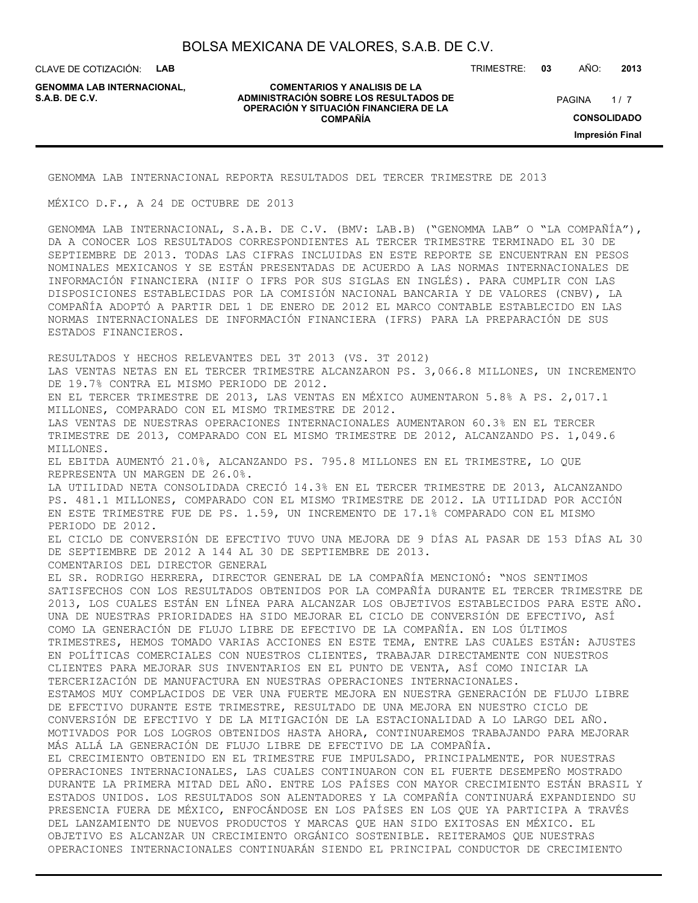CLAVE DE COTIZACIÓN: **LAB**

**GENOMMA LAB INTERNACIONAL,**

#### **COMENTARIOS Y ANALISIS DE LA ADMINISTRACIÓN SOBRE LOS RESULTADOS DE PAGINA 1/7 OPERACIÓN Y SITUACIÓN FINANCIERA DE LA COMPAÑÍA**

TRIMESTRE: **03** AÑO: **2013**

 $1/7$ **CONSOLIDADO Impresión Final**

GENOMMA LAB INTERNACIONAL REPORTA RESULTADOS DEL TERCER TRIMESTRE DE 2013

MÉXICO D.F., A 24 DE OCTUBRE DE 2013

GENOMMA LAB INTERNACIONAL, S.A.B. DE C.V. (BMV: LAB.B) ("GENOMMA LAB" O "LA COMPAÑÍA"), DA A CONOCER LOS RESULTADOS CORRESPONDIENTES AL TERCER TRIMESTRE TERMINADO EL 30 DE SEPTIEMBRE DE 2013. TODAS LAS CIFRAS INCLUIDAS EN ESTE REPORTE SE ENCUENTRAN EN PESOS NOMINALES MEXICANOS Y SE ESTÁN PRESENTADAS DE ACUERDO A LAS NORMAS INTERNACIONALES DE INFORMACIÓN FINANCIERA (NIIF O IFRS POR SUS SIGLAS EN INGLÉS). PARA CUMPLIR CON LAS DISPOSICIONES ESTABLECIDAS POR LA COMISIÓN NACIONAL BANCARIA Y DE VALORES (CNBV), LA COMPAÑÍA ADOPTÓ A PARTIR DEL 1 DE ENERO DE 2012 EL MARCO CONTABLE ESTABLECIDO EN LAS NORMAS INTERNACIONALES DE INFORMACIÓN FINANCIERA (IFRS) PARA LA PREPARACIÓN DE SUS ESTADOS FINANCIEROS.

RESULTADOS Y HECHOS RELEVANTES DEL 3T 2013 (VS. 3T 2012)

LAS VENTAS NETAS EN EL TERCER TRIMESTRE ALCANZARON PS. 3,066.8 MILLONES, UN INCREMENTO DE 19.7% CONTRA EL MISMO PERIODO DE 2012.

EN EL TERCER TRIMESTRE DE 2013, LAS VENTAS EN MÉXICO AUMENTARON 5.8% A PS. 2,017.1 MILLONES, COMPARADO CON EL MISMO TRIMESTRE DE 2012.

LAS VENTAS DE NUESTRAS OPERACIONES INTERNACIONALES AUMENTARON 60.3% EN EL TERCER TRIMESTRE DE 2013, COMPARADO CON EL MISMO TRIMESTRE DE 2012, ALCANZANDO PS. 1,049.6 MILLONES.

EL EBITDA AUMENTÓ 21.0%, ALCANZANDO PS. 795.8 MILLONES EN EL TRIMESTRE, LO QUE REPRESENTA UN MARGEN DE 26.0%.

LA UTILIDAD NETA CONSOLIDADA CRECIÓ 14.3% EN EL TERCER TRIMESTRE DE 2013, ALCANZANDO PS. 481.1 MILLONES, COMPARADO CON EL MISMO TRIMESTRE DE 2012. LA UTILIDAD POR ACCIÓN EN ESTE TRIMESTRE FUE DE PS. 1.59, UN INCREMENTO DE 17.1% COMPARADO CON EL MISMO PERIODO DE 2012.

EL CICLO DE CONVERSIÓN DE EFECTIVO TUVO UNA MEJORA DE 9 DÍAS AL PASAR DE 153 DÍAS AL 30 DE SEPTIEMBRE DE 2012 A 144 AL 30 DE SEPTIEMBRE DE 2013.

COMENTARIOS DEL DIRECTOR GENERAL

EL SR. RODRIGO HERRERA, DIRECTOR GENERAL DE LA COMPAÑÍA MENCIONÓ: "NOS SENTIMOS SATISFECHOS CON LOS RESULTADOS OBTENIDOS POR LA COMPAÑÍA DURANTE EL TERCER TRIMESTRE DE 2013, LOS CUALES ESTÁN EN LÍNEA PARA ALCANZAR LOS OBJETIVOS ESTABLECIDOS PARA ESTE AÑO. UNA DE NUESTRAS PRIORIDADES HA SIDO MEJORAR EL CICLO DE CONVERSIÓN DE EFECTIVO, ASÍ COMO LA GENERACIÓN DE FLUJO LIBRE DE EFECTIVO DE LA COMPAÑÍA. EN LOS ÚLTIMOS TRIMESTRES, HEMOS TOMADO VARIAS ACCIONES EN ESTE TEMA, ENTRE LAS CUALES ESTÁN: AJUSTES EN POLÍTICAS COMERCIALES CON NUESTROS CLIENTES, TRABAJAR DIRECTAMENTE CON NUESTROS CLIENTES PARA MEJORAR SUS INVENTARIOS EN EL PUNTO DE VENTA, ASÍ COMO INICIAR LA TERCERIZACIÓN DE MANUFACTURA EN NUESTRAS OPERACIONES INTERNACIONALES. ESTAMOS MUY COMPLACIDOS DE VER UNA FUERTE MEJORA EN NUESTRA GENERACIÓN DE FLUJO LIBRE DE EFECTIVO DURANTE ESTE TRIMESTRE, RESULTADO DE UNA MEJORA EN NUESTRO CICLO DE CONVERSIÓN DE EFECTIVO Y DE LA MITIGACIÓN DE LA ESTACIONALIDAD A LO LARGO DEL AÑO. MOTIVADOS POR LOS LOGROS OBTENIDOS HASTA AHORA, CONTINUAREMOS TRABAJANDO PARA MEJORAR MÁS ALLÁ LA GENERACIÓN DE FLUJO LIBRE DE EFECTIVO DE LA COMPAÑÍA. EL CRECIMIENTO OBTENIDO EN EL TRIMESTRE FUE IMPULSADO, PRINCIPALMENTE, POR NUESTRAS OPERACIONES INTERNACIONALES, LAS CUALES CONTINUARON CON EL FUERTE DESEMPEÑO MOSTRADO DURANTE LA PRIMERA MITAD DEL AÑO. ENTRE LOS PAÍSES CON MAYOR CRECIMIENTO ESTÁN BRASIL Y ESTADOS UNIDOS. LOS RESULTADOS SON ALENTADORES Y LA COMPAÑÍA CONTINUARÁ EXPANDIENDO SU PRESENCIA FUERA DE MÉXICO, ENFOCÁNDOSE EN LOS PAÍSES EN LOS QUE YA PARTICIPA A TRAVÉS DEL LANZAMIENTO DE NUEVOS PRODUCTOS Y MARCAS QUE HAN SIDO EXITOSAS EN MÉXICO. EL OBJETIVO ES ALCANZAR UN CRECIMIENTO ORGÁNICO SOSTENIBLE. REITERAMOS QUE NUESTRAS

OPERACIONES INTERNACIONALES CONTINUARÁN SIENDO EL PRINCIPAL CONDUCTOR DE CRECIMIENTO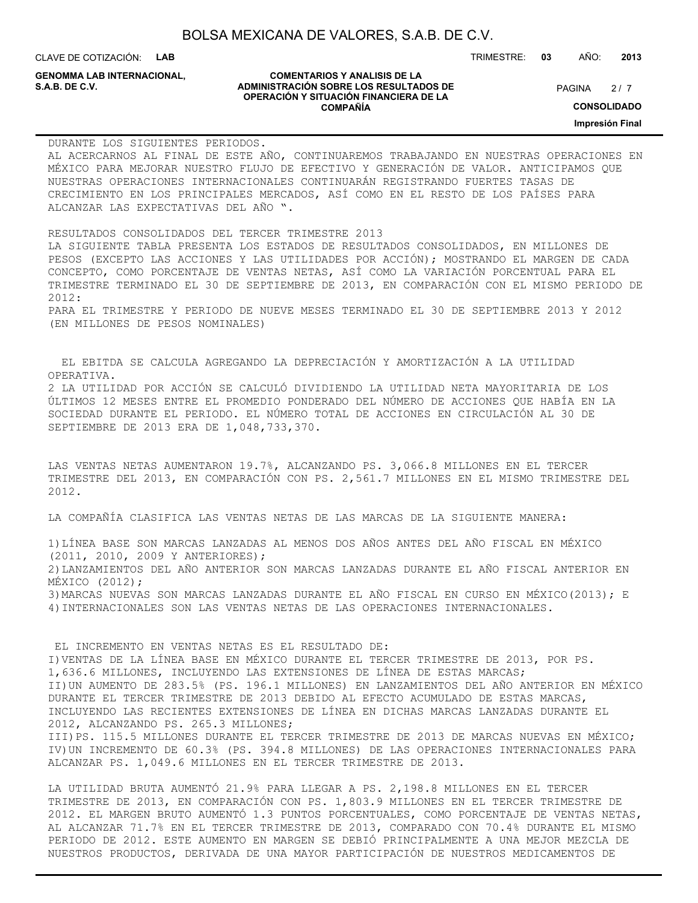CLAVE DE COTIZACIÓN: **LAB**

**GENOMMA LAB INTERNACIONAL,**

#### **COMENTARIOS Y ANALISIS DE LA ADMINISTRACIÓN SOBRE LOS RESULTADOS DE PAGINA 2/7 OPERACIÓN Y SITUACIÓN FINANCIERA DE LA COMPAÑÍA**

 $2/7$ 

TRIMESTRE: **03** AÑO: **2013**

**CONSOLIDADO**

**Impresión Final**

DURANTE LOS SIGUIENTES PERIODOS. AL ACERCARNOS AL FINAL DE ESTE AÑO, CONTINUAREMOS TRABAJANDO EN NUESTRAS OPERACIONES EN MÉXICO PARA MEJORAR NUESTRO FLUJO DE EFECTIVO Y GENERACIÓN DE VALOR. ANTICIPAMOS QUE NUESTRAS OPERACIONES INTERNACIONALES CONTINUARÁN REGISTRANDO FUERTES TASAS DE CRECIMIENTO EN LOS PRINCIPALES MERCADOS, ASÍ COMO EN EL RESTO DE LOS PAÍSES PARA ALCANZAR LAS EXPECTATIVAS DEL AÑO ".

RESULTADOS CONSOLIDADOS DEL TERCER TRIMESTRE 2013 LA SIGUIENTE TABLA PRESENTA LOS ESTADOS DE RESULTADOS CONSOLIDADOS, EN MILLONES DE PESOS (EXCEPTO LAS ACCIONES Y LAS UTILIDADES POR ACCIÓN); MOSTRANDO EL MARGEN DE CADA CONCEPTO, COMO PORCENTAJE DE VENTAS NETAS, ASÍ COMO LA VARIACIÓN PORCENTUAL PARA EL TRIMESTRE TERMINADO EL 30 DE SEPTIEMBRE DE 2013, EN COMPARACIÓN CON EL MISMO PERIODO DE 2012: PARA EL TRIMESTRE Y PERIODO DE NUEVE MESES TERMINADO EL 30 DE SEPTIEMBRE 2013 Y 2012 (EN MILLONES DE PESOS NOMINALES)

 EL EBITDA SE CALCULA AGREGANDO LA DEPRECIACIÓN Y AMORTIZACIÓN A LA UTILIDAD OPERATIVA. 2 LA UTILIDAD POR ACCIÓN SE CALCULÓ DIVIDIENDO LA UTILIDAD NETA MAYORITARIA DE LOS ÚLTIMOS 12 MESES ENTRE EL PROMEDIO PONDERADO DEL NÚMERO DE ACCIONES QUE HABÍA EN LA SOCIEDAD DURANTE EL PERIODO. EL NÚMERO TOTAL DE ACCIONES EN CIRCULACIÓN AL 30 DE SEPTIEMBRE DE 2013 ERA DE 1,048,733,370.

LAS VENTAS NETAS AUMENTARON 19.7%, ALCANZANDO PS. 3,066.8 MILLONES EN EL TERCER TRIMESTRE DEL 2013, EN COMPARACIÓN CON PS. 2,561.7 MILLONES EN EL MISMO TRIMESTRE DEL 2012.

LA COMPAÑÍA CLASIFICA LAS VENTAS NETAS DE LAS MARCAS DE LA SIGUIENTE MANERA:

1)LÍNEA BASE SON MARCAS LANZADAS AL MENOS DOS AÑOS ANTES DEL AÑO FISCAL EN MÉXICO (2011, 2010, 2009 Y ANTERIORES); 2)LANZAMIENTOS DEL AÑO ANTERIOR SON MARCAS LANZADAS DURANTE EL AÑO FISCAL ANTERIOR EN MÉXICO (2012); 3)MARCAS NUEVAS SON MARCAS LANZADAS DURANTE EL AÑO FISCAL EN CURSO EN MÉXICO(2013); E 4)INTERNACIONALES SON LAS VENTAS NETAS DE LAS OPERACIONES INTERNACIONALES.

 EL INCREMENTO EN VENTAS NETAS ES EL RESULTADO DE: I)VENTAS DE LA LÍNEA BASE EN MÉXICO DURANTE EL TERCER TRIMESTRE DE 2013, POR PS. 1,636.6 MILLONES, INCLUYENDO LAS EXTENSIONES DE LÍNEA DE ESTAS MARCAS; II)UN AUMENTO DE 283.5% (PS. 196.1 MILLONES) EN LANZAMIENTOS DEL AÑO ANTERIOR EN MÉXICO DURANTE EL TERCER TRIMESTRE DE 2013 DEBIDO AL EFECTO ACUMULADO DE ESTAS MARCAS, INCLUYENDO LAS RECIENTES EXTENSIONES DE LÍNEA EN DICHAS MARCAS LANZADAS DURANTE EL 2012, ALCANZANDO PS. 265.3 MILLONES; III)PS. 115.5 MILLONES DURANTE EL TERCER TRIMESTRE DE 2013 DE MARCAS NUEVAS EN MÉXICO; IV)UN INCREMENTO DE 60.3% (PS. 394.8 MILLONES) DE LAS OPERACIONES INTERNACIONALES PARA ALCANZAR PS. 1,049.6 MILLONES EN EL TERCER TRIMESTRE DE 2013.

LA UTILIDAD BRUTA AUMENTÓ 21.9% PARA LLEGAR A PS. 2,198.8 MILLONES EN EL TERCER TRIMESTRE DE 2013, EN COMPARACIÓN CON PS. 1,803.9 MILLONES EN EL TERCER TRIMESTRE DE 2012. EL MARGEN BRUTO AUMENTÓ 1.3 PUNTOS PORCENTUALES, COMO PORCENTAJE DE VENTAS NETAS, AL ALCANZAR 71.7% EN EL TERCER TRIMESTRE DE 2013, COMPARADO CON 70.4% DURANTE EL MISMO PERIODO DE 2012. ESTE AUMENTO EN MARGEN SE DEBIÓ PRINCIPALMENTE A UNA MEJOR MEZCLA DE NUESTROS PRODUCTOS, DERIVADA DE UNA MAYOR PARTICIPACIÓN DE NUESTROS MEDICAMENTOS DE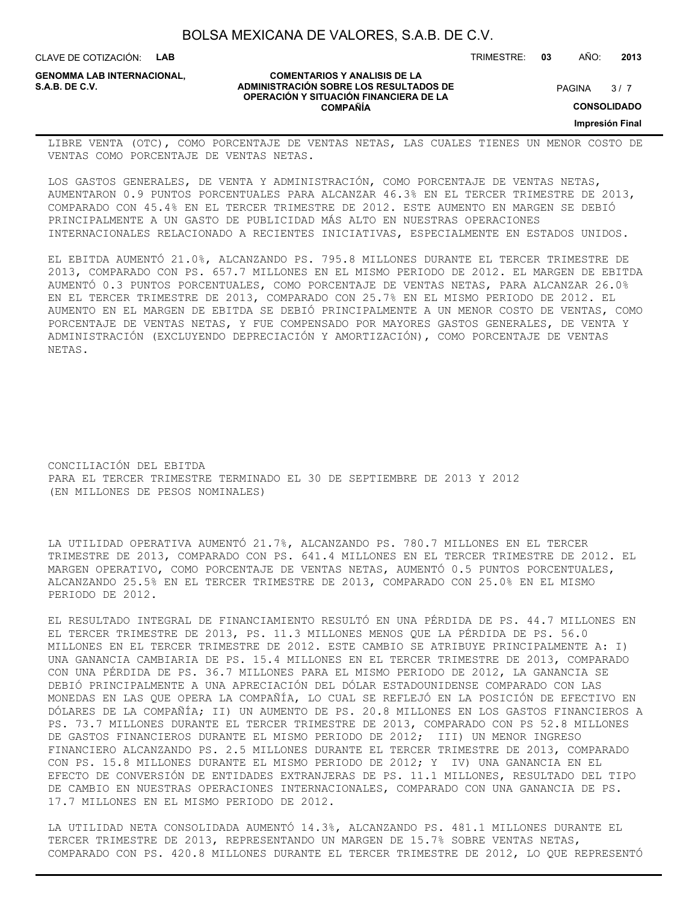CLAVE DE COTIZACIÓN: **LAB**

**GENOMMA LAB INTERNACIONAL,**

#### **COMENTARIOS Y ANALISIS DE LA ADMINISTRACIÓN SOBRE LOS RESULTADOS DE S.A.B. DE C.V.** PAGINA / 7 **OPERACIÓN Y SITUACIÓN FINANCIERA DE LA COMPAÑÍA**

 $3/7$ 

TRIMESTRE: **03** AÑO: **2013**

**CONSOLIDADO**

**Impresión Final**

LIBRE VENTA (OTC), COMO PORCENTAJE DE VENTAS NETAS, LAS CUALES TIENES UN MENOR COSTO DE VENTAS COMO PORCENTAJE DE VENTAS NETAS.

LOS GASTOS GENERALES, DE VENTA Y ADMINISTRACIÓN, COMO PORCENTAJE DE VENTAS NETAS, AUMENTARON 0.9 PUNTOS PORCENTUALES PARA ALCANZAR 46.3% EN EL TERCER TRIMESTRE DE 2013, COMPARADO CON 45.4% EN EL TERCER TRIMESTRE DE 2012. ESTE AUMENTO EN MARGEN SE DEBIÓ PRINCIPALMENTE A UN GASTO DE PUBLICIDAD MÁS ALTO EN NUESTRAS OPERACIONES INTERNACIONALES RELACIONADO A RECIENTES INICIATIVAS, ESPECIALMENTE EN ESTADOS UNIDOS.

EL EBITDA AUMENTÓ 21.0%, ALCANZANDO PS. 795.8 MILLONES DURANTE EL TERCER TRIMESTRE DE 2013, COMPARADO CON PS. 657.7 MILLONES EN EL MISMO PERIODO DE 2012. EL MARGEN DE EBITDA AUMENTÓ 0.3 PUNTOS PORCENTUALES, COMO PORCENTAJE DE VENTAS NETAS, PARA ALCANZAR 26.0% EN EL TERCER TRIMESTRE DE 2013, COMPARADO CON 25.7% EN EL MISMO PERIODO DE 2012. EL AUMENTO EN EL MARGEN DE EBITDA SE DEBIÓ PRINCIPALMENTE A UN MENOR COSTO DE VENTAS, COMO PORCENTAJE DE VENTAS NETAS, Y FUE COMPENSADO POR MAYORES GASTOS GENERALES, DE VENTA Y ADMINISTRACIÓN (EXCLUYENDO DEPRECIACIÓN Y AMORTIZACIÓN), COMO PORCENTAJE DE VENTAS NETAS.

CONCILIACIÓN DEL EBITDA PARA EL TERCER TRIMESTRE TERMINADO EL 30 DE SEPTIEMBRE DE 2013 Y 2012 (EN MILLONES DE PESOS NOMINALES)

LA UTILIDAD OPERATIVA AUMENTÓ 21.7%, ALCANZANDO PS. 780.7 MILLONES EN EL TERCER TRIMESTRE DE 2013, COMPARADO CON PS. 641.4 MILLONES EN EL TERCER TRIMESTRE DE 2012. EL MARGEN OPERATIVO, COMO PORCENTAJE DE VENTAS NETAS, AUMENTÓ 0.5 PUNTOS PORCENTUALES, ALCANZANDO 25.5% EN EL TERCER TRIMESTRE DE 2013, COMPARADO CON 25.0% EN EL MISMO PERIODO DE 2012.

EL RESULTADO INTEGRAL DE FINANCIAMIENTO RESULTÓ EN UNA PÉRDIDA DE PS. 44.7 MILLONES EN EL TERCER TRIMESTRE DE 2013, PS. 11.3 MILLONES MENOS QUE LA PÉRDIDA DE PS. 56.0 MILLONES EN EL TERCER TRIMESTRE DE 2012. ESTE CAMBIO SE ATRIBUYE PRINCIPALMENTE A: I) UNA GANANCIA CAMBIARIA DE PS. 15.4 MILLONES EN EL TERCER TRIMESTRE DE 2013, COMPARADO CON UNA PÉRDIDA DE PS. 36.7 MILLONES PARA EL MISMO PERIODO DE 2012, LA GANANCIA SE DEBIÓ PRINCIPALMENTE A UNA APRECIACIÓN DEL DÓLAR ESTADOUNIDENSE COMPARADO CON LAS MONEDAS EN LAS QUE OPERA LA COMPAÑÍA, LO CUAL SE REFLEJÓ EN LA POSICIÓN DE EFECTIVO EN DÓLARES DE LA COMPAÑÍA; II) UN AUMENTO DE PS. 20.8 MILLONES EN LOS GASTOS FINANCIEROS A PS. 73.7 MILLONES DURANTE EL TERCER TRIMESTRE DE 2013, COMPARADO CON PS 52.8 MILLONES DE GASTOS FINANCIEROS DURANTE EL MISMO PERIODO DE 2012; III) UN MENOR INGRESO FINANCIERO ALCANZANDO PS. 2.5 MILLONES DURANTE EL TERCER TRIMESTRE DE 2013, COMPARADO CON PS. 15.8 MILLONES DURANTE EL MISMO PERIODO DE 2012; Y IV) UNA GANANCIA EN EL EFECTO DE CONVERSIÓN DE ENTIDADES EXTRANJERAS DE PS. 11.1 MILLONES, RESULTADO DEL TIPO DE CAMBIO EN NUESTRAS OPERACIONES INTERNACIONALES, COMPARADO CON UNA GANANCIA DE PS. 17.7 MILLONES EN EL MISMO PERIODO DE 2012.

LA UTILIDAD NETA CONSOLIDADA AUMENTÓ 14.3%, ALCANZANDO PS. 481.1 MILLONES DURANTE EL TERCER TRIMESTRE DE 2013, REPRESENTANDO UN MARGEN DE 15.7% SOBRE VENTAS NETAS, COMPARADO CON PS. 420.8 MILLONES DURANTE EL TERCER TRIMESTRE DE 2012, LO QUE REPRESENTÓ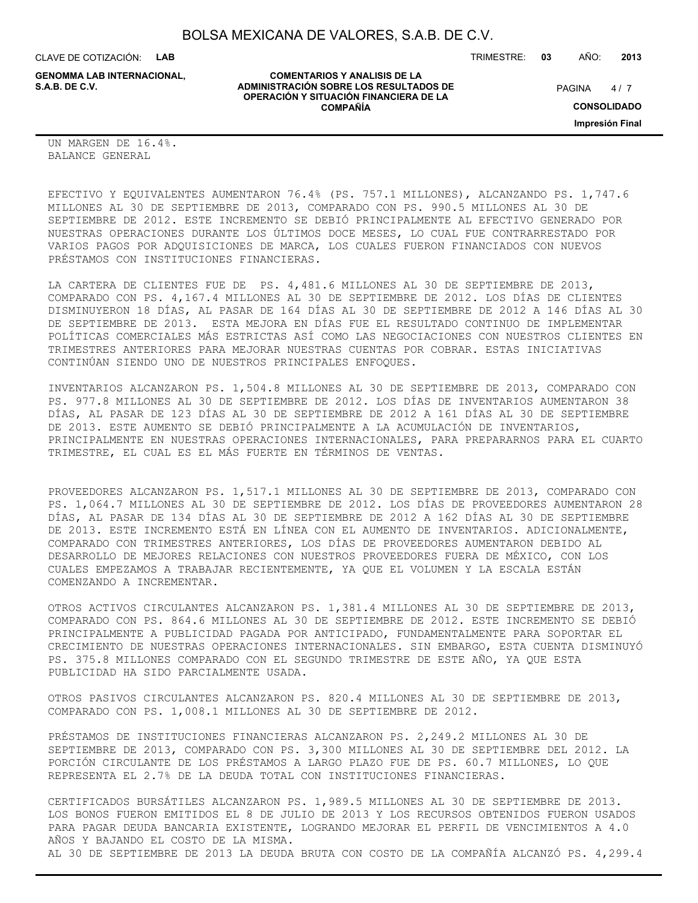**COMENTARIOS Y ANALISIS DE LA**

**OPERACIÓN Y SITUACIÓN FINANCIERA DE LA COMPAÑÍA**

CLAVE DE COTIZACIÓN: **LAB**

**ADMINISTRACIÓN SOBRE LOS RESULTADOS DE PAGINA 1997 E PAGINA 2018 GENOMMA LAB INTERNACIONAL,**

TRIMESTRE: **03** AÑO: **2013**

 $4/7$ 

**CONSOLIDADO**

**Impresión Final**

UN MARGEN DE 16.4%. BALANCE GENERAL

EFECTIVO Y EQUIVALENTES AUMENTARON 76.4% (PS. 757.1 MILLONES), ALCANZANDO PS. 1,747.6 MILLONES AL 30 DE SEPTIEMBRE DE 2013, COMPARADO CON PS. 990.5 MILLONES AL 30 DE SEPTIEMBRE DE 2012. ESTE INCREMENTO SE DEBIÓ PRINCIPALMENTE AL EFECTIVO GENERADO POR NUESTRAS OPERACIONES DURANTE LOS ÚLTIMOS DOCE MESES, LO CUAL FUE CONTRARRESTADO POR VARIOS PAGOS POR ADQUISICIONES DE MARCA, LOS CUALES FUERON FINANCIADOS CON NUEVOS PRÉSTAMOS CON INSTITUCIONES FINANCIERAS.

LA CARTERA DE CLIENTES FUE DE PS. 4,481.6 MILLONES AL 30 DE SEPTIEMBRE DE 2013, COMPARADO CON PS. 4,167.4 MILLONES AL 30 DE SEPTIEMBRE DE 2012. LOS DÍAS DE CLIENTES DISMINUYERON 18 DÍAS, AL PASAR DE 164 DÍAS AL 30 DE SEPTIEMBRE DE 2012 A 146 DÍAS AL 30 DE SEPTIEMBRE DE 2013. ESTA MEJORA EN DÍAS FUE EL RESULTADO CONTINUO DE IMPLEMENTAR POLÍTICAS COMERCIALES MÁS ESTRICTAS ASÍ COMO LAS NEGOCIACIONES CON NUESTROS CLIENTES EN TRIMESTRES ANTERIORES PARA MEJORAR NUESTRAS CUENTAS POR COBRAR. ESTAS INICIATIVAS CONTINÚAN SIENDO UNO DE NUESTROS PRINCIPALES ENFOQUES.

INVENTARIOS ALCANZARON PS. 1,504.8 MILLONES AL 30 DE SEPTIEMBRE DE 2013, COMPARADO CON PS. 977.8 MILLONES AL 30 DE SEPTIEMBRE DE 2012. LOS DÍAS DE INVENTARIOS AUMENTARON 38 DÍAS, AL PASAR DE 123 DÍAS AL 30 DE SEPTIEMBRE DE 2012 A 161 DÍAS AL 30 DE SEPTIEMBRE DE 2013. ESTE AUMENTO SE DEBIÓ PRINCIPALMENTE A LA ACUMULACIÓN DE INVENTARIOS, PRINCIPALMENTE EN NUESTRAS OPERACIONES INTERNACIONALES, PARA PREPARARNOS PARA EL CUARTO TRIMESTRE, EL CUAL ES EL MÁS FUERTE EN TÉRMINOS DE VENTAS.

PROVEEDORES ALCANZARON PS. 1,517.1 MILLONES AL 30 DE SEPTIEMBRE DE 2013, COMPARADO CON PS. 1,064.7 MILLONES AL 30 DE SEPTIEMBRE DE 2012. LOS DÍAS DE PROVEEDORES AUMENTARON 28 DÍAS, AL PASAR DE 134 DÍAS AL 30 DE SEPTIEMBRE DE 2012 A 162 DÍAS AL 30 DE SEPTIEMBRE DE 2013. ESTE INCREMENTO ESTÁ EN LÍNEA CON EL AUMENTO DE INVENTARIOS. ADICIONALMENTE, COMPARADO CON TRIMESTRES ANTERIORES, LOS DÍAS DE PROVEEDORES AUMENTARON DEBIDO AL DESARROLLO DE MEJORES RELACIONES CON NUESTROS PROVEEDORES FUERA DE MÉXICO, CON LOS CUALES EMPEZAMOS A TRABAJAR RECIENTEMENTE, YA QUE EL VOLUMEN Y LA ESCALA ESTÁN COMENZANDO A INCREMENTAR.

OTROS ACTIVOS CIRCULANTES ALCANZARON PS. 1,381.4 MILLONES AL 30 DE SEPTIEMBRE DE 2013, COMPARADO CON PS. 864.6 MILLONES AL 30 DE SEPTIEMBRE DE 2012. ESTE INCREMENTO SE DEBIÓ PRINCIPALMENTE A PUBLICIDAD PAGADA POR ANTICIPADO, FUNDAMENTALMENTE PARA SOPORTAR EL CRECIMIENTO DE NUESTRAS OPERACIONES INTERNACIONALES. SIN EMBARGO, ESTA CUENTA DISMINUYÓ PS. 375.8 MILLONES COMPARADO CON EL SEGUNDO TRIMESTRE DE ESTE AÑO, YA QUE ESTA PUBLICIDAD HA SIDO PARCIALMENTE USADA.

OTROS PASIVOS CIRCULANTES ALCANZARON PS. 820.4 MILLONES AL 30 DE SEPTIEMBRE DE 2013, COMPARADO CON PS. 1,008.1 MILLONES AL 30 DE SEPTIEMBRE DE 2012.

PRÉSTAMOS DE INSTITUCIONES FINANCIERAS ALCANZARON PS. 2,249.2 MILLONES AL 30 DE SEPTIEMBRE DE 2013, COMPARADO CON PS. 3,300 MILLONES AL 30 DE SEPTIEMBRE DEL 2012. LA PORCIÓN CIRCULANTE DE LOS PRÉSTAMOS A LARGO PLAZO FUE DE PS. 60.7 MILLONES, LO QUE REPRESENTA EL 2.7% DE LA DEUDA TOTAL CON INSTITUCIONES FINANCIERAS.

CERTIFICADOS BURSÁTILES ALCANZARON PS. 1,989.5 MILLONES AL 30 DE SEPTIEMBRE DE 2013. LOS BONOS FUERON EMITIDOS EL 8 DE JULIO DE 2013 Y LOS RECURSOS OBTENIDOS FUERON USADOS PARA PAGAR DEUDA BANCARIA EXISTENTE, LOGRANDO MEJORAR EL PERFIL DE VENCIMIENTOS A 4.0 AÑOS Y BAJANDO EL COSTO DE LA MISMA. AL 30 DE SEPTIEMBRE DE 2013 LA DEUDA BRUTA CON COSTO DE LA COMPAÑÍA ALCANZÓ PS. 4,299.4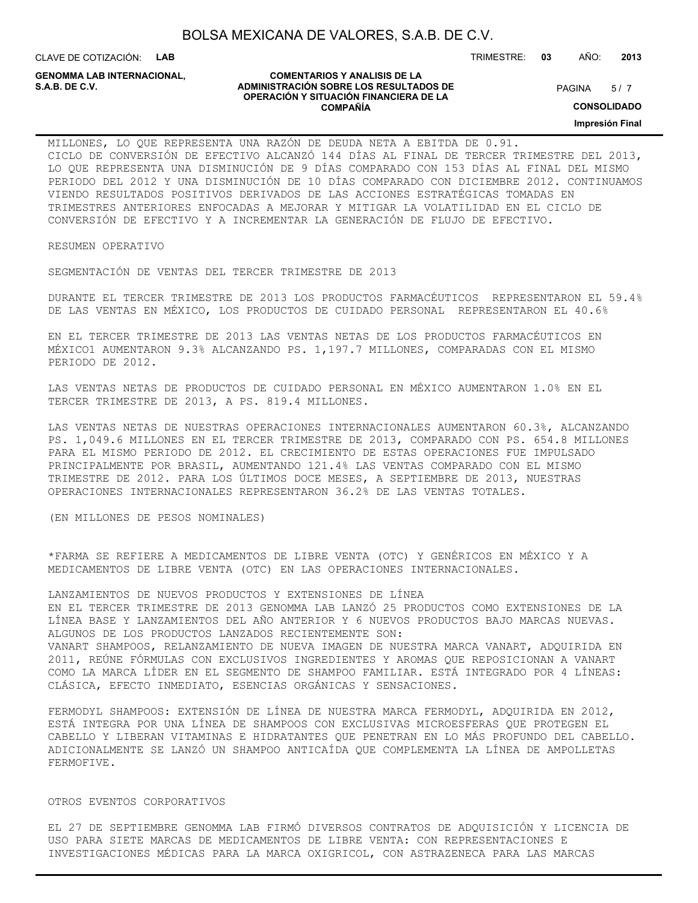CLAVE DE COTIZACIÓN: **LAB**

**GENOMMA LAB INTERNACIONAL,**

#### **COMENTARIOS Y ANALISIS DE LA ADMINISTRACIÓN SOBRE LOS RESULTADOS DE S.A.B. DE C.V.** PAGINA / 7 **OPERACIÓN Y SITUACIÓN FINANCIERA DE LA COMPAÑÍA**

 $5/7$ 

TRIMESTRE: **03** AÑO: **2013**

**CONSOLIDADO**

**Impresión Final**

MILLONES, LO QUE REPRESENTA UNA RAZÓN DE DEUDA NETA A EBITDA DE 0.91. CICLO DE CONVERSIÓN DE EFECTIVO ALCANZÓ 144 DÍAS AL FINAL DE TERCER TRIMESTRE DEL 2013, LO QUE REPRESENTA UNA DISMINUCIÓN DE 9 DÍAS COMPARADO CON 153 DÍAS AL FINAL DEL MISMO PERIODO DEL 2012 Y UNA DISMINUCIÓN DE 10 DÍAS COMPARADO CON DICIEMBRE 2012. CONTINUAMOS VIENDO RESULTADOS POSITIVOS DERIVADOS DE LAS ACCIONES ESTRATÉGICAS TOMADAS EN TRIMESTRES ANTERIORES ENFOCADAS A MEJORAR Y MITIGAR LA VOLATILIDAD EN EL CICLO DE CONVERSIÓN DE EFECTIVO Y A INCREMENTAR LA GENERACIÓN DE FLUJO DE EFECTIVO.

RESUMEN OPERATIVO

SEGMENTACIÓN DE VENTAS DEL TERCER TRIMESTRE DE 2013

DURANTE EL TERCER TRIMESTRE DE 2013 LOS PRODUCTOS FARMACÉUTICOS REPRESENTARON EL 59.4% DE LAS VENTAS EN MÉXICO, LOS PRODUCTOS DE CUIDADO PERSONAL REPRESENTARON EL 40.6%

EN EL TERCER TRIMESTRE DE 2013 LAS VENTAS NETAS DE LOS PRODUCTOS FARMACÉUTICOS EN MÉXICO1 AUMENTARON 9.3% ALCANZANDO PS. 1,197.7 MILLONES, COMPARADAS CON EL MISMO PERIODO DE 2012.

LAS VENTAS NETAS DE PRODUCTOS DE CUIDADO PERSONAL EN MÉXICO AUMENTARON 1.0% EN EL TERCER TRIMESTRE DE 2013, A PS. 819.4 MILLONES.

LAS VENTAS NETAS DE NUESTRAS OPERACIONES INTERNACIONALES AUMENTARON 60.3%, ALCANZANDO PS. 1,049.6 MILLONES EN EL TERCER TRIMESTRE DE 2013, COMPARADO CON PS. 654.8 MILLONES PARA EL MISMO PERIODO DE 2012. EL CRECIMIENTO DE ESTAS OPERACIONES FUE IMPULSADO PRINCIPALMENTE POR BRASIL, AUMENTANDO 121.4% LAS VENTAS COMPARADO CON EL MISMO TRIMESTRE DE 2012. PARA LOS ÚLTIMOS DOCE MESES, A SEPTIEMBRE DE 2013, NUESTRAS OPERACIONES INTERNACIONALES REPRESENTARON 36.2% DE LAS VENTAS TOTALES.

(EN MILLONES DE PESOS NOMINALES)

\*FARMA SE REFIERE A MEDICAMENTOS DE LIBRE VENTA (OTC) Y GENÉRICOS EN MÉXICO Y A MEDICAMENTOS DE LIBRE VENTA (OTC) EN LAS OPERACIONES INTERNACIONALES.

LANZAMIENTOS DE NUEVOS PRODUCTOS Y EXTENSIONES DE LÍNEA EN EL TERCER TRIMESTRE DE 2013 GENOMMA LAB LANZÓ 25 PRODUCTOS COMO EXTENSIONES DE LA LÍNEA BASE Y LANZAMIENTOS DEL AÑO ANTERIOR Y 6 NUEVOS PRODUCTOS BAJO MARCAS NUEVAS. ALGUNOS DE LOS PRODUCTOS LANZADOS RECIENTEMENTE SON: VANART SHAMPOOS, RELANZAMIENTO DE NUEVA IMAGEN DE NUESTRA MARCA VANART, ADQUIRIDA EN 2011, REÚNE FÓRMULAS CON EXCLUSIVOS INGREDIENTES Y AROMAS QUE REPOSICIONAN A VANART COMO LA MARCA LÍDER EN EL SEGMENTO DE SHAMPOO FAMILIAR. ESTÁ INTEGRADO POR 4 LÍNEAS: CLÁSICA, EFECTO INMEDIATO, ESENCIAS ORGÁNICAS Y SENSACIONES.

FERMODYL SHAMPOOS: EXTENSIÓN DE LÍNEA DE NUESTRA MARCA FERMODYL, ADQUIRIDA EN 2012, ESTÁ INTEGRA POR UNA LÍNEA DE SHAMPOOS CON EXCLUSIVAS MICROESFERAS QUE PROTEGEN EL CABELLO Y LIBERAN VITAMINAS E HIDRATANTES QUE PENETRAN EN LO MÁS PROFUNDO DEL CABELLO. ADICIONALMENTE SE LANZÓ UN SHAMPOO ANTICAÍDA QUE COMPLEMENTA LA LÍNEA DE AMPOLLETAS FERMOFIVE.

#### OTROS EVENTOS CORPORATIVOS

EL 27 DE SEPTIEMBRE GENOMMA LAB FIRMÓ DIVERSOS CONTRATOS DE ADQUISICIÓN Y LICENCIA DE USO PARA SIETE MARCAS DE MEDICAMENTOS DE LIBRE VENTA: CON REPRESENTACIONES E INVESTIGACIONES MÉDICAS PARA LA MARCA OXIGRICOL, CON ASTRAZENECA PARA LAS MARCAS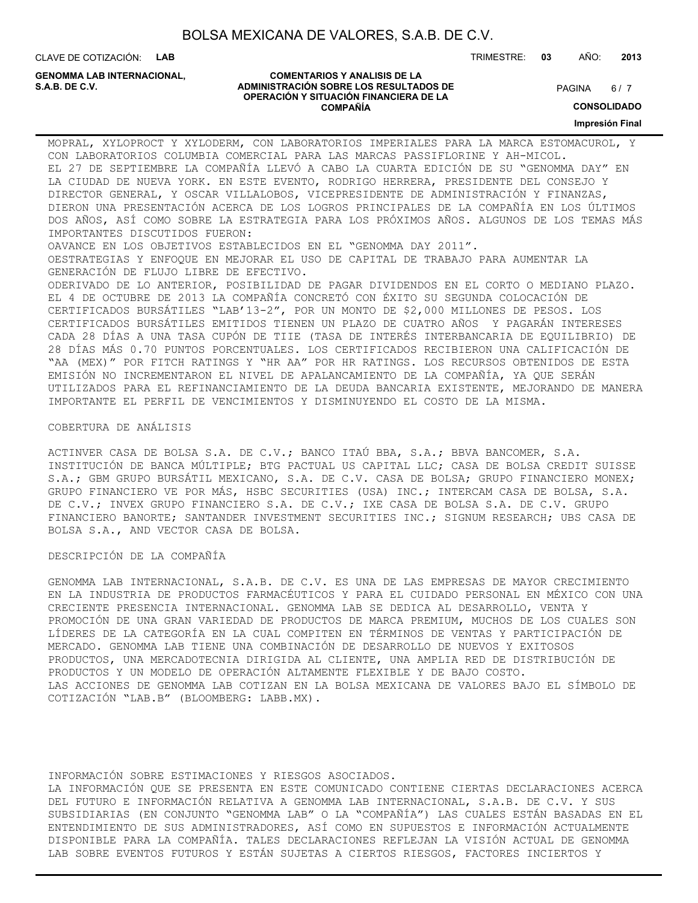CLAVE DE COTIZACIÓN: **LAB**

**GENOMMA LAB INTERNACIONAL,**

#### **COMENTARIOS Y ANALISIS DE LA ADMINISTRACIÓN SOBRE LOS RESULTADOS DE S.A.B. DE C.V.** PAGINA / 7 **OPERACIÓN Y SITUACIÓN FINANCIERA DE LA COMPAÑÍA**

 $6/7$ 

**CONSOLIDADO**

**Impresión Final**

MOPRAL, XYLOPROCT Y XYLODERM, CON LABORATORIOS IMPERIALES PARA LA MARCA ESTOMACUROL, Y CON LABORATORIOS COLUMBIA COMERCIAL PARA LAS MARCAS PASSIFLORINE Y AH-MICOL. EL 27 DE SEPTIEMBRE LA COMPAÑÍA LLEVÓ A CABO LA CUARTA EDICIÓN DE SU "GENOMMA DAY" EN LA CIUDAD DE NUEVA YORK. EN ESTE EVENTO, RODRIGO HERRERA, PRESIDENTE DEL CONSEJO Y DIRECTOR GENERAL, Y OSCAR VILLALOBOS, VICEPRESIDENTE DE ADMINISTRACIÓN Y FINANZAS, DIERON UNA PRESENTACIÓN ACERCA DE LOS LOGROS PRINCIPALES DE LA COMPAÑÍA EN LOS ÚLTIMOS DOS AÑOS, ASÍ COMO SOBRE LA ESTRATEGIA PARA LOS PRÓXIMOS AÑOS. ALGUNOS DE LOS TEMAS MÁS IMPORTANTES DISCUTIDOS FUERON: OAVANCE EN LOS OBJETIVOS ESTABLECIDOS EN EL "GENOMMA DAY 2011". OESTRATEGIAS Y ENFOQUE EN MEJORAR EL USO DE CAPITAL DE TRABAJO PARA AUMENTAR LA GENERACIÓN DE FLUJO LIBRE DE EFECTIVO. ODERIVADO DE LO ANTERIOR, POSIBILIDAD DE PAGAR DIVIDENDOS EN EL CORTO O MEDIANO PLAZO. EL 4 DE OCTUBRE DE 2013 LA COMPAÑÍA CONCRETÓ CON ÉXITO SU SEGUNDA COLOCACIÓN DE CERTIFICADOS BURSÁTILES "LAB'13-2", POR UN MONTO DE \$2,000 MILLONES DE PESOS. LOS CERTIFICADOS BURSÁTILES EMITIDOS TIENEN UN PLAZO DE CUATRO AÑOS Y PAGARÁN INTERESES CADA 28 DÍAS A UNA TASA CUPÓN DE TIIE (TASA DE INTERÉS INTERBANCARIA DE EQUILIBRIO) DE 28 DÍAS MÁS 0.70 PUNTOS PORCENTUALES. LOS CERTIFICADOS RECIBIERON UNA CALIFICACIÓN DE "AA (MEX)" POR FITCH RATINGS Y "HR AA" POR HR RATINGS. LOS RECURSOS OBTENIDOS DE ESTA EMISIÓN NO INCREMENTARON EL NIVEL DE APALANCAMIENTO DE LA COMPAÑÍA, YA QUE SERÁN UTILIZADOS PARA EL REFINANCIAMIENTO DE LA DEUDA BANCARIA EXISTENTE, MEJORANDO DE MANERA IMPORTANTE EL PERFIL DE VENCIMIENTOS Y DISMINUYENDO EL COSTO DE LA MISMA.

#### COBERTURA DE ANÁLISIS

ACTINVER CASA DE BOLSA S.A. DE C.V.; BANCO ITAÚ BBA, S.A.; BBVA BANCOMER, S.A. INSTITUCIÓN DE BANCA MÚLTIPLE; BTG PACTUAL US CAPITAL LLC; CASA DE BOLSA CREDIT SUISSE S.A.; GBM GRUPO BURSÁTIL MEXICANO, S.A. DE C.V. CASA DE BOLSA; GRUPO FINANCIERO MONEX; GRUPO FINANCIERO VE POR MÁS, HSBC SECURITIES (USA) INC.; INTERCAM CASA DE BOLSA, S.A. DE C.V.; INVEX GRUPO FINANCIERO S.A. DE C.V.; IXE CASA DE BOLSA S.A. DE C.V. GRUPO FINANCIERO BANORTE; SANTANDER INVESTMENT SECURITIES INC.; SIGNUM RESEARCH; UBS CASA DE BOLSA S.A., AND VECTOR CASA DE BOLSA.

DESCRIPCIÓN DE LA COMPAÑÍA

GENOMMA LAB INTERNACIONAL, S.A.B. DE C.V. ES UNA DE LAS EMPRESAS DE MAYOR CRECIMIENTO EN LA INDUSTRIA DE PRODUCTOS FARMACÉUTICOS Y PARA EL CUIDADO PERSONAL EN MÉXICO CON UNA CRECIENTE PRESENCIA INTERNACIONAL. GENOMMA LAB SE DEDICA AL DESARROLLO, VENTA Y PROMOCIÓN DE UNA GRAN VARIEDAD DE PRODUCTOS DE MARCA PREMIUM, MUCHOS DE LOS CUALES SON LÍDERES DE LA CATEGORÍA EN LA CUAL COMPITEN EN TÉRMINOS DE VENTAS Y PARTICIPACIÓN DE MERCADO. GENOMMA LAB TIENE UNA COMBINACIÓN DE DESARROLLO DE NUEVOS Y EXITOSOS PRODUCTOS, UNA MERCADOTECNIA DIRIGIDA AL CLIENTE, UNA AMPLIA RED DE DISTRIBUCIÓN DE PRODUCTOS Y UN MODELO DE OPERACIÓN ALTAMENTE FLEXIBLE Y DE BAJO COSTO. LAS ACCIONES DE GENOMMA LAB COTIZAN EN LA BOLSA MEXICANA DE VALORES BAJO EL SÍMBOLO DE COTIZACIÓN "LAB.B" (BLOOMBERG: LABB.MX).

INFORMACIÓN SOBRE ESTIMACIONES Y RIESGOS ASOCIADOS.

LA INFORMACIÓN QUE SE PRESENTA EN ESTE COMUNICADO CONTIENE CIERTAS DECLARACIONES ACERCA DEL FUTURO E INFORMACIÓN RELATIVA A GENOMMA LAB INTERNACIONAL, S.A.B. DE C.V. Y SUS SUBSIDIARIAS (EN CONJUNTO "GENOMMA LAB" O LA "COMPAÑÍA") LAS CUALES ESTÁN BASADAS EN EL ENTENDIMIENTO DE SUS ADMINISTRADORES, ASÍ COMO EN SUPUESTOS E INFORMACIÓN ACTUALMENTE DISPONIBLE PARA LA COMPAÑÍA. TALES DECLARACIONES REFLEJAN LA VISIÓN ACTUAL DE GENOMMA LAB SOBRE EVENTOS FUTUROS Y ESTÁN SUJETAS A CIERTOS RIESGOS, FACTORES INCIERTOS Y

TRIMESTRE: **03** AÑO: **2013**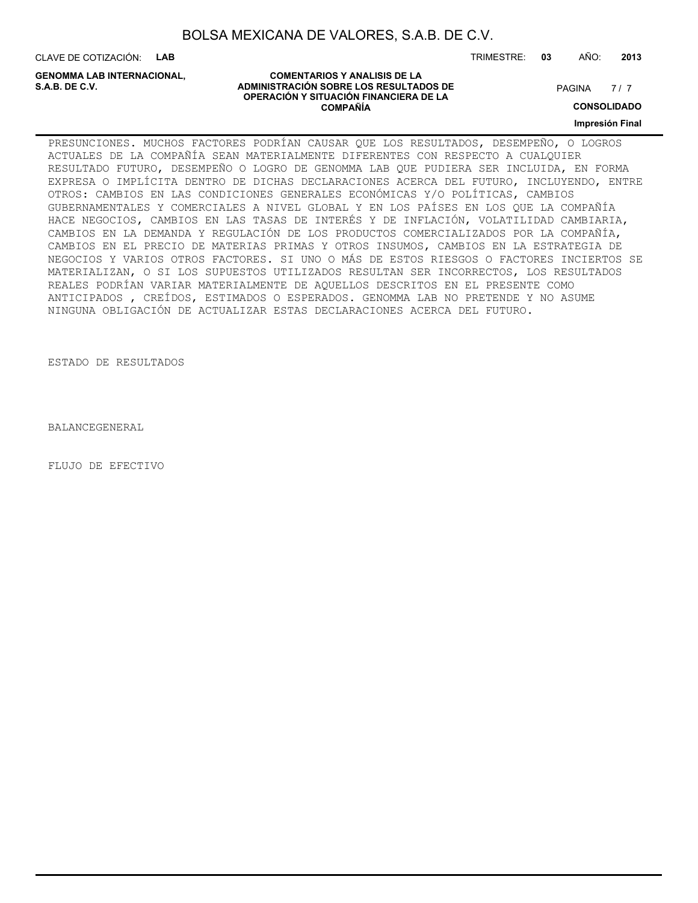CLAVE DE COTIZACIÓN: **LAB**

**GENOMMA LAB INTERNACIONAL,**

#### **COMENTARIOS Y ANALISIS DE LA ADMINISTRACIÓN SOBRE LOS RESULTADOS DE PAGINA 1997 EN 1998 EL CONTRACIÓN SOBRE LOS RESULTADOS DE OPERACIÓN Y SITUACIÓN FINANCIERA DE LA COMPAÑÍA**

 $7/7$ 

**CONSOLIDADO**

**Impresión Final**

PRESUNCIONES. MUCHOS FACTORES PODRÍAN CAUSAR QUE LOS RESULTADOS, DESEMPEÑO, O LOGROS ACTUALES DE LA COMPAÑÍA SEAN MATERIALMENTE DIFERENTES CON RESPECTO A CUALQUIER RESULTADO FUTURO, DESEMPEÑO O LOGRO DE GENOMMA LAB QUE PUDIERA SER INCLUIDA, EN FORMA EXPRESA O IMPLÍCITA DENTRO DE DICHAS DECLARACIONES ACERCA DEL FUTURO, INCLUYENDO, ENTRE OTROS: CAMBIOS EN LAS CONDICIONES GENERALES ECONÓMICAS Y/O POLÍTICAS, CAMBIOS GUBERNAMENTALES Y COMERCIALES A NIVEL GLOBAL Y EN LOS PAÍSES EN LOS QUE LA COMPAÑÍA HACE NEGOCIOS, CAMBIOS EN LAS TASAS DE INTERÉS Y DE INFLACIÓN, VOLATILIDAD CAMBIARIA, CAMBIOS EN LA DEMANDA Y REGULACIÓN DE LOS PRODUCTOS COMERCIALIZADOS POR LA COMPAÑÍA, CAMBIOS EN EL PRECIO DE MATERIAS PRIMAS Y OTROS INSUMOS, CAMBIOS EN LA ESTRATEGIA DE NEGOCIOS Y VARIOS OTROS FACTORES. SI UNO O MÁS DE ESTOS RIESGOS O FACTORES INCIERTOS SE MATERIALIZAN, O SI LOS SUPUESTOS UTILIZADOS RESULTAN SER INCORRECTOS, LOS RESULTADOS REALES PODRÍAN VARIAR MATERIALMENTE DE AQUELLOS DESCRITOS EN EL PRESENTE COMO ANTICIPADOS , CREÍDOS, ESTIMADOS O ESPERADOS. GENOMMA LAB NO PRETENDE Y NO ASUME NINGUNA OBLIGACIÓN DE ACTUALIZAR ESTAS DECLARACIONES ACERCA DEL FUTURO.

ESTADO DE RESULTADOS

BALANCEGENERAL

FLUJO DE EFECTIVO

TRIMESTRE: **03** AÑO: **2013**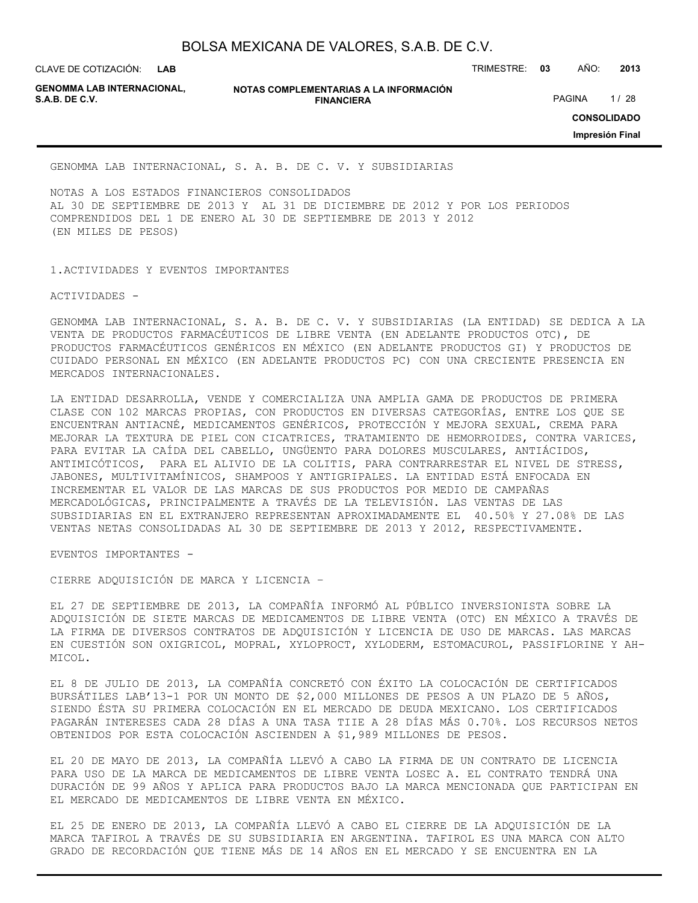**LAB GENOMMA LAB INTERNACIONAL,**

**NOTAS COMPLEMENTARIAS A LA INFORMACIÓN FINANCIERA S.A.B. DE C.V.** PAGINA 1/28

CLAVE DE COTIZACIÓN: TRIMESTRE: **03** AÑO: **2013**

**CONSOLIDADO**

**Impresión Final**

GENOMMA LAB INTERNACIONAL, S. A. B. DE C. V. Y SUBSIDIARIAS

NOTAS A LOS ESTADOS FINANCIEROS CONSOLIDADOS AL 30 DE SEPTIEMBRE DE 2013 Y AL 31 DE DICIEMBRE DE 2012 Y POR LOS PERIODOS COMPRENDIDOS DEL 1 DE ENERO AL 30 DE SEPTIEMBRE DE 2013 Y 2012 (EN MILES DE PESOS)

1.ACTIVIDADES Y EVENTOS IMPORTANTES

ACTIVIDADES -

GENOMMA LAB INTERNACIONAL, S. A. B. DE C. V. Y SUBSIDIARIAS (LA ENTIDAD) SE DEDICA A LA VENTA DE PRODUCTOS FARMACÉUTICOS DE LIBRE VENTA (EN ADELANTE PRODUCTOS OTC), DE PRODUCTOS FARMACÉUTICOS GENÉRICOS EN MÉXICO (EN ADELANTE PRODUCTOS GI) Y PRODUCTOS DE CUIDADO PERSONAL EN MÉXICO (EN ADELANTE PRODUCTOS PC) CON UNA CRECIENTE PRESENCIA EN MERCADOS INTERNACIONALES.

LA ENTIDAD DESARROLLA, VENDE Y COMERCIALIZA UNA AMPLIA GAMA DE PRODUCTOS DE PRIMERA CLASE CON 102 MARCAS PROPIAS, CON PRODUCTOS EN DIVERSAS CATEGORÍAS, ENTRE LOS QUE SE ENCUENTRAN ANTIACNÉ, MEDICAMENTOS GENÉRICOS, PROTECCIÓN Y MEJORA SEXUAL, CREMA PARA MEJORAR LA TEXTURA DE PIEL CON CICATRICES, TRATAMIENTO DE HEMORROIDES, CONTRA VARICES, PARA EVITAR LA CAÍDA DEL CABELLO, UNGÜENTO PARA DOLORES MUSCULARES, ANTIÁCIDOS, ANTIMICÓTICOS, PARA EL ALIVIO DE LA COLITIS, PARA CONTRARRESTAR EL NIVEL DE STRESS, JABONES, MULTIVITAMÍNICOS, SHAMPOOS Y ANTIGRIPALES. LA ENTIDAD ESTÁ ENFOCADA EN INCREMENTAR EL VALOR DE LAS MARCAS DE SUS PRODUCTOS POR MEDIO DE CAMPAÑAS MERCADOLÓGICAS, PRINCIPALMENTE A TRAVÉS DE LA TELEVISIÓN. LAS VENTAS DE LAS SUBSIDIARIAS EN EL EXTRANJERO REPRESENTAN APROXIMADAMENTE EL 40.50% Y 27.08% DE LAS VENTAS NETAS CONSOLIDADAS AL 30 DE SEPTIEMBRE DE 2013 Y 2012, RESPECTIVAMENTE.

EVENTOS IMPORTANTES -

CIERRE ADQUISICIÓN DE MARCA Y LICENCIA –

EL 27 DE SEPTIEMBRE DE 2013, LA COMPAÑÍA INFORMÓ AL PÚBLICO INVERSIONISTA SOBRE LA ADQUISICIÓN DE SIETE MARCAS DE MEDICAMENTOS DE LIBRE VENTA (OTC) EN MÉXICO A TRAVÉS DE LA FIRMA DE DIVERSOS CONTRATOS DE ADQUISICIÓN Y LICENCIA DE USO DE MARCAS. LAS MARCAS EN CUESTIÓN SON OXIGRICOL, MOPRAL, XYLOPROCT, XYLODERM, ESTOMACUROL, PASSIFLORINE Y AH-MICOL.

EL 8 DE JULIO DE 2013, LA COMPAÑÍA CONCRETÓ CON ÉXITO LA COLOCACIÓN DE CERTIFICADOS BURSÁTILES LAB'13-1 POR UN MONTO DE \$2,000 MILLONES DE PESOS A UN PLAZO DE 5 AÑOS, SIENDO ÉSTA SU PRIMERA COLOCACIÓN EN EL MERCADO DE DEUDA MEXICANO. LOS CERTIFICADOS PAGARÁN INTERESES CADA 28 DÍAS A UNA TASA TIIE A 28 DÍAS MÁS 0.70%. LOS RECURSOS NETOS OBTENIDOS POR ESTA COLOCACIÓN ASCIENDEN A \$1,989 MILLONES DE PESOS.

EL 20 DE MAYO DE 2013, LA COMPAÑÍA LLEVÓ A CABO LA FIRMA DE UN CONTRATO DE LICENCIA PARA USO DE LA MARCA DE MEDICAMENTOS DE LIBRE VENTA LOSEC A. EL CONTRATO TENDRÁ UNA DURACIÓN DE 99 AÑOS Y APLICA PARA PRODUCTOS BAJO LA MARCA MENCIONADA QUE PARTICIPAN EN EL MERCADO DE MEDICAMENTOS DE LIBRE VENTA EN MÉXICO.

EL 25 DE ENERO DE 2013, LA COMPAÑÍA LLEVÓ A CABO EL CIERRE DE LA ADQUISICIÓN DE LA MARCA TAFIROL A TRAVÉS DE SU SUBSIDIARIA EN ARGENTINA. TAFIROL ES UNA MARCA CON ALTO GRADO DE RECORDACIÓN QUE TIENE MÁS DE 14 AÑOS EN EL MERCADO Y SE ENCUENTRA EN LA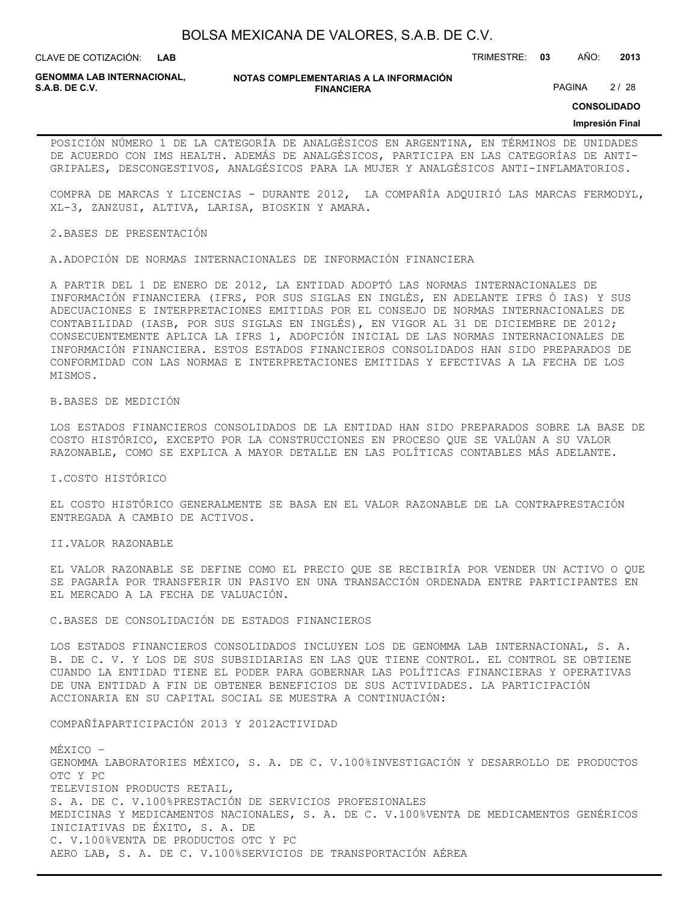**LAB**

CLAVE DE COTIZACIÓN: TRIMESTRE: **03** AÑO: **2013**

**GENOMMA LAB INTERNACIONAL,**

**NOTAS COMPLEMENTARIAS A LA INFORMACIÓN FINANCIERA S.A.B. DE C.V.** PAGINA 2 / 28

**CONSOLIDADO**

#### **Impresión Final**

POSICIÓN NÚMERO 1 DE LA CATEGORÍA DE ANALGÉSICOS EN ARGENTINA, EN TÉRMINOS DE UNIDADES DE ACUERDO CON IMS HEALTH. ADEMÁS DE ANALGÉSICOS, PARTICIPA EN LAS CATEGORÍAS DE ANTI-GRIPALES, DESCONGESTIVOS, ANALGÉSICOS PARA LA MUJER Y ANALGÉSICOS ANTI-INFLAMATORIOS.

COMPRA DE MARCAS Y LICENCIAS - DURANTE 2012, LA COMPAÑÍA ADQUIRIÓ LAS MARCAS FERMODYL, XL-3, ZANZUSI, ALTIVA, LARISA, BIOSKIN Y AMARA.

2.BASES DE PRESENTACIÓN

A.ADOPCIÓN DE NORMAS INTERNACIONALES DE INFORMACIÓN FINANCIERA

A PARTIR DEL 1 DE ENERO DE 2012, LA ENTIDAD ADOPTÓ LAS NORMAS INTERNACIONALES DE INFORMACIÓN FINANCIERA (IFRS, POR SUS SIGLAS EN INGLÉS, EN ADELANTE IFRS Ó IAS) Y SUS ADECUACIONES E INTERPRETACIONES EMITIDAS POR EL CONSEJO DE NORMAS INTERNACIONALES DE CONTABILIDAD (IASB, POR SUS SIGLAS EN INGLÉS), EN VIGOR AL 31 DE DICIEMBRE DE 2012; CONSECUENTEMENTE APLICA LA IFRS 1, ADOPCIÓN INICIAL DE LAS NORMAS INTERNACIONALES DE INFORMACIÓN FINANCIERA. ESTOS ESTADOS FINANCIEROS CONSOLIDADOS HAN SIDO PREPARADOS DE CONFORMIDAD CON LAS NORMAS E INTERPRETACIONES EMITIDAS Y EFECTIVAS A LA FECHA DE LOS MISMOS.

B.BASES DE MEDICIÓN

LOS ESTADOS FINANCIEROS CONSOLIDADOS DE LA ENTIDAD HAN SIDO PREPARADOS SOBRE LA BASE DE COSTO HISTÓRICO, EXCEPTO POR LA CONSTRUCCIONES EN PROCESO QUE SE VALÚAN A SU VALOR RAZONABLE, COMO SE EXPLICA A MAYOR DETALLE EN LAS POLÍTICAS CONTABLES MÁS ADELANTE.

I.COSTO HISTÓRICO

EL COSTO HISTÓRICO GENERALMENTE SE BASA EN EL VALOR RAZONABLE DE LA CONTRAPRESTACIÓN ENTREGADA A CAMBIO DE ACTIVOS.

II.VALOR RAZONABLE

EL VALOR RAZONABLE SE DEFINE COMO EL PRECIO QUE SE RECIBIRÍA POR VENDER UN ACTIVO O QUE SE PAGARÍA POR TRANSFERIR UN PASIVO EN UNA TRANSACCIÓN ORDENADA ENTRE PARTICIPANTES EN EL MERCADO A LA FECHA DE VALUACIÓN.

C.BASES DE CONSOLIDACIÓN DE ESTADOS FINANCIEROS

LOS ESTADOS FINANCIEROS CONSOLIDADOS INCLUYEN LOS DE GENOMMA LAB INTERNACIONAL, S. A. B. DE C. V. Y LOS DE SUS SUBSIDIARIAS EN LAS QUE TIENE CONTROL. EL CONTROL SE OBTIENE CUANDO LA ENTIDAD TIENE EL PODER PARA GOBERNAR LAS POLÍTICAS FINANCIERAS Y OPERATIVAS DE UNA ENTIDAD A FIN DE OBTENER BENEFICIOS DE SUS ACTIVIDADES. LA PARTICIPACIÓN ACCIONARIA EN SU CAPITAL SOCIAL SE MUESTRA A CONTINUACIÓN:

COMPAÑÍAPARTICIPACIÓN 2013 Y 2012ACTIVIDAD

MÉXICO – GENOMMA LABORATORIES MÉXICO, S. A. DE C. V.100%INVESTIGACIÓN Y DESARROLLO DE PRODUCTOS OTC Y PC TELEVISION PRODUCTS RETAIL, S. A. DE C. V.100%PRESTACIÓN DE SERVICIOS PROFESIONALES MEDICINAS Y MEDICAMENTOS NACIONALES, S. A. DE C. V.100%VENTA DE MEDICAMENTOS GENÉRICOS INICIATIVAS DE ÉXITO, S. A. DE C. V.100%VENTA DE PRODUCTOS OTC Y PC AERO LAB, S. A. DE C. V.100%SERVICIOS DE TRANSPORTACIÓN AÉREA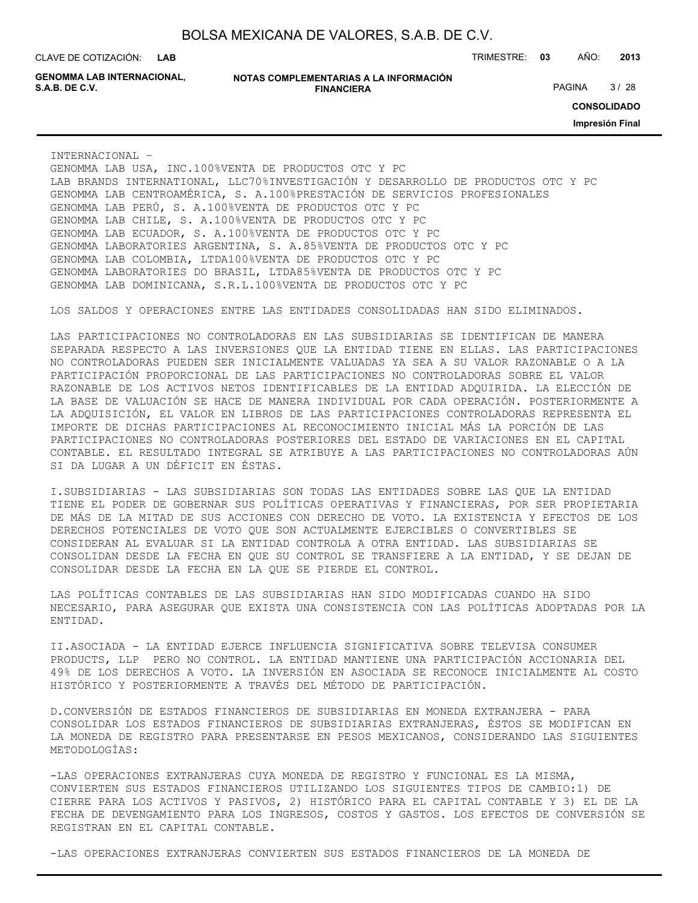**LAB**

CLAVE DE COTIZACIÓN: TRIMESTRE: **03** AÑO: **2013**

**GENOMMA LAB INTERNACIONAL,**

**NOTAS COMPLEMENTARIAS A LA INFORMACIÓN FINANCIERA S.A.B. DE C.V.** PAGINA 3 / 28

**CONSOLIDADO**

**Impresión Final**

INTERNACIONAL –

GENOMMA LAB USA, INC.100%VENTA DE PRODUCTOS OTC Y PC LAB BRANDS INTERNATIONAL, LLC70%INVESTIGACIÓN Y DESARROLLO DE PRODUCTOS OTC Y PC GENOMMA LAB CENTROAMÉRICA, S. A.100%PRESTACIÓN DE SERVICIOS PROFESIONALES GENOMMA LAB PERÚ, S. A.100%VENTA DE PRODUCTOS OTC Y PC GENOMMA LAB CHILE, S. A.100%VENTA DE PRODUCTOS OTC Y PC GENOMMA LAB ECUADOR, S. A.100%VENTA DE PRODUCTOS OTC Y PC GENOMMA LABORATORIES ARGENTINA, S. A.85%VENTA DE PRODUCTOS OTC Y PC GENOMMA LAB COLOMBIA, LTDA100%VENTA DE PRODUCTOS OTC Y PC GENOMMA LABORATORIES DO BRASIL, LTDA85%VENTA DE PRODUCTOS OTC Y PC GENOMMA LAB DOMINICANA, S.R.L.100%VENTA DE PRODUCTOS OTC Y PC

LOS SALDOS Y OPERACIONES ENTRE LAS ENTIDADES CONSOLIDADAS HAN SIDO ELIMINADOS.

LAS PARTICIPACIONES NO CONTROLADORAS EN LAS SUBSIDIARIAS SE IDENTIFICAN DE MANERA SEPARADA RESPECTO A LAS INVERSIONES QUE LA ENTIDAD TIENE EN ELLAS. LAS PARTICIPACIONES NO CONTROLADORAS PUEDEN SER INICIALMENTE VALUADAS YA SEA A SU VALOR RAZONABLE O A LA PARTICIPACIÓN PROPORCIONAL DE LAS PARTICIPACIONES NO CONTROLADORAS SOBRE EL VALOR RAZONABLE DE LOS ACTIVOS NETOS IDENTIFICABLES DE LA ENTIDAD ADQUIRIDA. LA ELECCIÓN DE LA BASE DE VALUACIÓN SE HACE DE MANERA INDIVIDUAL POR CADA OPERACIÓN. POSTERIORMENTE A LA ADQUISICIÓN, EL VALOR EN LIBROS DE LAS PARTICIPACIONES CONTROLADORAS REPRESENTA EL IMPORTE DE DICHAS PARTICIPACIONES AL RECONOCIMIENTO INICIAL MÁS LA PORCIÓN DE LAS PARTICIPACIONES NO CONTROLADORAS POSTERIORES DEL ESTADO DE VARIACIONES EN EL CAPITAL CONTABLE. EL RESULTADO INTEGRAL SE ATRIBUYE A LAS PARTICIPACIONES NO CONTROLADORAS AÚN SI DA LUGAR A UN DÉFICIT EN ÉSTAS.

I.SUBSIDIARIAS - LAS SUBSIDIARIAS SON TODAS LAS ENTIDADES SOBRE LAS QUE LA ENTIDAD TIENE EL PODER DE GOBERNAR SUS POLÍTICAS OPERATIVAS Y FINANCIERAS, POR SER PROPIETARIA DE MÁS DE LA MITAD DE SUS ACCIONES CON DERECHO DE VOTO. LA EXISTENCIA Y EFECTOS DE LOS DERECHOS POTENCIALES DE VOTO QUE SON ACTUALMENTE EJERCIBLES O CONVERTIBLES SE CONSIDERAN AL EVALUAR SI LA ENTIDAD CONTROLA A OTRA ENTIDAD. LAS SUBSIDIARIAS SE CONSOLIDAN DESDE LA FECHA EN QUE SU CONTROL SE TRANSFIERE A LA ENTIDAD, Y SE DEJAN DE CONSOLIDAR DESDE LA FECHA EN LA QUE SE PIERDE EL CONTROL.

LAS POLÍTICAS CONTABLES DE LAS SUBSIDIARIAS HAN SIDO MODIFICADAS CUANDO HA SIDO NECESARIO, PARA ASEGURAR QUE EXISTA UNA CONSISTENCIA CON LAS POLÍTICAS ADOPTADAS POR LA ENTIDAD.

II.ASOCIADA - LA ENTIDAD EJERCE INFLUENCIA SIGNIFICATIVA SOBRE TELEVISA CONSUMER PRODUCTS, LLP PERO NO CONTROL. LA ENTIDAD MANTIENE UNA PARTICIPACIÓN ACCIONARIA DEL 49% DE LOS DERECHOS A VOTO. LA INVERSIÓN EN ASOCIADA SE RECONOCE INICIALMENTE AL COSTO HISTÓRICO Y POSTERIORMENTE A TRAVÉS DEL MÉTODO DE PARTICIPACIÓN.

D.CONVERSIÓN DE ESTADOS FINANCIEROS DE SUBSIDIARIAS EN MONEDA EXTRANJERA - PARA CONSOLIDAR LOS ESTADOS FINANCIEROS DE SUBSIDIARIAS EXTRANJERAS, ÉSTOS SE MODIFICAN EN LA MONEDA DE REGISTRO PARA PRESENTARSE EN PESOS MEXICANOS, CONSIDERANDO LAS SIGUIENTES METODOLOGÍAS:

-LAS OPERACIONES EXTRANJERAS CUYA MONEDA DE REGISTRO Y FUNCIONAL ES LA MISMA, CONVIERTEN SUS ESTADOS FINANCIEROS UTILIZANDO LOS SIGUIENTES TIPOS DE CAMBIO:1) DE CIERRE PARA LOS ACTIVOS Y PASIVOS, 2) HISTÓRICO PARA EL CAPITAL CONTABLE Y 3) EL DE LA FECHA DE DEVENGAMIENTO PARA LOS INGRESOS, COSTOS Y GASTOS. LOS EFECTOS DE CONVERSIÓN SE REGISTRAN EN EL CAPITAL CONTABLE.

-LAS OPERACIONES EXTRANJERAS CONVIERTEN SUS ESTADOS FINANCIEROS DE LA MONEDA DE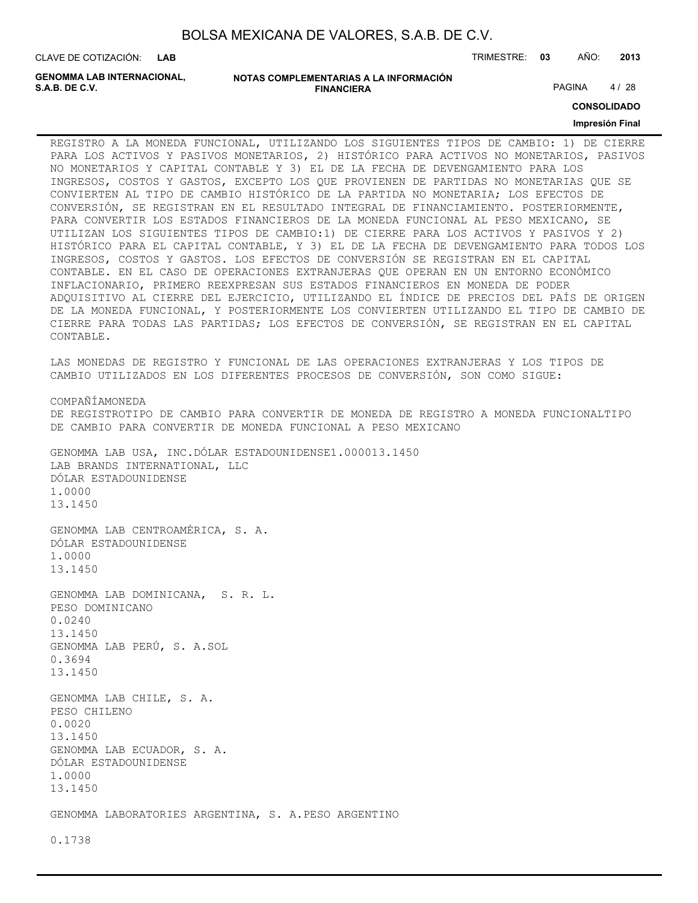| BOLSA MEXICANA DE VALORES, S.A.B. DE C.V. |  |  |
|-------------------------------------------|--|--|
|-------------------------------------------|--|--|

CLAVE DE COTIZACIÓN: TRIMESTRE: **03** AÑO: **2013 LAB**

**GENOMMA LAB INTERNACIONAL,**

**NOTAS COMPLEMENTARIAS A LA INFORMACIÓN FINANCIERA S.A.B. DE C.V.** PAGINA 4 / 28

**CONSOLIDADO**

#### **Impresión Final**

REGISTRO A LA MONEDA FUNCIONAL, UTILIZANDO LOS SIGUIENTES TIPOS DE CAMBIO: 1) DE CIERRE PARA LOS ACTIVOS Y PASIVOS MONETARIOS, 2) HISTÓRICO PARA ACTIVOS NO MONETARIOS, PASIVOS NO MONETARIOS Y CAPITAL CONTABLE Y 3) EL DE LA FECHA DE DEVENGAMIENTO PARA LOS INGRESOS, COSTOS Y GASTOS, EXCEPTO LOS QUE PROVIENEN DE PARTIDAS NO MONETARIAS QUE SE CONVIERTEN AL TIPO DE CAMBIO HISTÓRICO DE LA PARTIDA NO MONETARIA; LOS EFECTOS DE CONVERSIÓN, SE REGISTRAN EN EL RESULTADO INTEGRAL DE FINANCIAMIENTO. POSTERIORMENTE, PARA CONVERTIR LOS ESTADOS FINANCIEROS DE LA MONEDA FUNCIONAL AL PESO MEXICANO, SE UTILIZAN LOS SIGUIENTES TIPOS DE CAMBIO:1) DE CIERRE PARA LOS ACTIVOS Y PASIVOS Y 2) HISTÓRICO PARA EL CAPITAL CONTABLE, Y 3) EL DE LA FECHA DE DEVENGAMIENTO PARA TODOS LOS INGRESOS, COSTOS Y GASTOS. LOS EFECTOS DE CONVERSIÓN SE REGISTRAN EN EL CAPITAL CONTABLE. EN EL CASO DE OPERACIONES EXTRANJERAS QUE OPERAN EN UN ENTORNO ECONÓMICO INFLACIONARIO, PRIMERO REEXPRESAN SUS ESTADOS FINANCIEROS EN MONEDA DE PODER ADQUISITIVO AL CIERRE DEL EJERCICIO, UTILIZANDO EL ÍNDICE DE PRECIOS DEL PAÍS DE ORIGEN DE LA MONEDA FUNCIONAL, Y POSTERIORMENTE LOS CONVIERTEN UTILIZANDO EL TIPO DE CAMBIO DE CIERRE PARA TODAS LAS PARTIDAS; LOS EFECTOS DE CONVERSIÓN, SE REGISTRAN EN EL CAPITAL CONTABLE.

LAS MONEDAS DE REGISTRO Y FUNCIONAL DE LAS OPERACIONES EXTRANJERAS Y LOS TIPOS DE CAMBIO UTILIZADOS EN LOS DIFERENTES PROCESOS DE CONVERSIÓN, SON COMO SIGUE:

COMPAÑÍAMONEDA DE REGISTROTIPO DE CAMBIO PARA CONVERTIR DE MONEDA DE REGISTRO A MONEDA FUNCIONALTIPO DE CAMBIO PARA CONVERTIR DE MONEDA FUNCIONAL A PESO MEXICANO

GENOMMA LAB USA, INC.DÓLAR ESTADOUNIDENSE1.000013.1450 LAB BRANDS INTERNATIONAL, LLC DÓLAR ESTADOUNIDENSE 1.0000 13.1450

GENOMMA LAB CENTROAMÉRICA, S. A. DÓLAR ESTADOUNIDENSE 1.0000 13.1450

GENOMMA LAB DOMINICANA, S. R. L. PESO DOMINICANO 0.0240 13.1450 GENOMMA LAB PERÚ, S. A.SOL 0.3694 13.1450

GENOMMA LAB CHILE, S. A. PESO CHILENO 0.0020 13.1450 GENOMMA LAB ECUADOR, S. A. DÓLAR ESTADOUNIDENSE 1.0000 13.1450

GENOMMA LABORATORIES ARGENTINA, S. A.PESO ARGENTINO

0.1738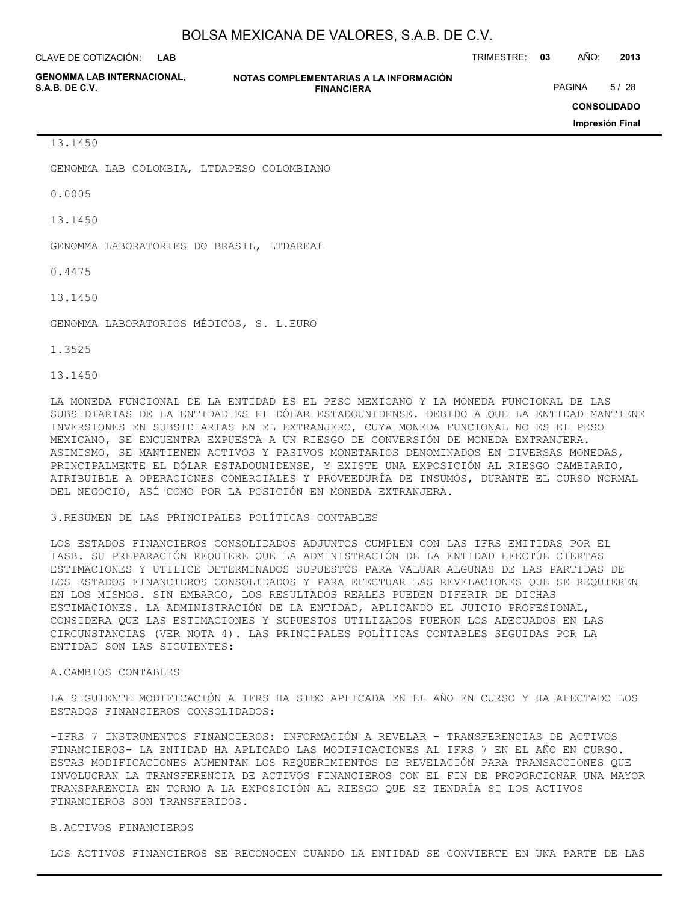CLAVE DE COTIZACIÓN: TRIMESTRE: **03** AÑO: **2013 LAB**

**GENOMMA LAB INTERNACIONAL,**

**NOTAS COMPLEMENTARIAS A LA INFORMACIÓN FINANCIERA S.A.B. DE C.V.** PAGINA 5/28

**CONSOLIDADO**

**Impresión Final**

13.1450

GENOMMA LAB COLOMBIA, LTDAPESO COLOMBIANO

0.0005

13.1450

GENOMMA LABORATORIES DO BRASIL, LTDAREAL

0.4475

13.1450

GENOMMA LABORATORIOS MÉDICOS, S. L.EURO

1.3525

13.1450

LA MONEDA FUNCIONAL DE LA ENTIDAD ES EL PESO MEXICANO Y LA MONEDA FUNCIONAL DE LAS SUBSIDIARIAS DE LA ENTIDAD ES EL DÓLAR ESTADOUNIDENSE. DEBIDO A QUE LA ENTIDAD MANTIENE INVERSIONES EN SUBSIDIARIAS EN EL EXTRANJERO, CUYA MONEDA FUNCIONAL NO ES EL PESO MEXICANO, SE ENCUENTRA EXPUESTA A UN RIESGO DE CONVERSIÓN DE MONEDA EXTRANJERA. ASIMISMO, SE MANTIENEN ACTIVOS Y PASIVOS MONETARIOS DENOMINADOS EN DIVERSAS MONEDAS, PRINCIPALMENTE EL DÓLAR ESTADOUNIDENSE, Y EXISTE UNA EXPOSICIÓN AL RIESGO CAMBIARIO, ATRIBUIBLE A OPERACIONES COMERCIALES Y PROVEEDURÍA DE INSUMOS, DURANTE EL CURSO NORMAL DEL NEGOCIO, ASÍ COMO POR LA POSICIÓN EN MONEDA EXTRANJERA.

#### 3.RESUMEN DE LAS PRINCIPALES POLÍTICAS CONTABLES

LOS ESTADOS FINANCIEROS CONSOLIDADOS ADJUNTOS CUMPLEN CON LAS IFRS EMITIDAS POR EL IASB. SU PREPARACIÓN REQUIERE QUE LA ADMINISTRACIÓN DE LA ENTIDAD EFECTÚE CIERTAS ESTIMACIONES Y UTILICE DETERMINADOS SUPUESTOS PARA VALUAR ALGUNAS DE LAS PARTIDAS DE LOS ESTADOS FINANCIEROS CONSOLIDADOS Y PARA EFECTUAR LAS REVELACIONES QUE SE REQUIEREN EN LOS MISMOS. SIN EMBARGO, LOS RESULTADOS REALES PUEDEN DIFERIR DE DICHAS ESTIMACIONES. LA ADMINISTRACIÓN DE LA ENTIDAD, APLICANDO EL JUICIO PROFESIONAL, CONSIDERA QUE LAS ESTIMACIONES Y SUPUESTOS UTILIZADOS FUERON LOS ADECUADOS EN LAS CIRCUNSTANCIAS (VER NOTA 4). LAS PRINCIPALES POLÍTICAS CONTABLES SEGUIDAS POR LA ENTIDAD SON LAS SIGUIENTES:

### A.CAMBIOS CONTABLES

LA SIGUIENTE MODIFICACIÓN A IFRS HA SIDO APLICADA EN EL AÑO EN CURSO Y HA AFECTADO LOS ESTADOS FINANCIEROS CONSOLIDADOS:

-IFRS 7 INSTRUMENTOS FINANCIEROS: INFORMACIÓN A REVELAR - TRANSFERENCIAS DE ACTIVOS FINANCIEROS- LA ENTIDAD HA APLICADO LAS MODIFICACIONES AL IFRS 7 EN EL AÑO EN CURSO. ESTAS MODIFICACIONES AUMENTAN LOS REQUERIMIENTOS DE REVELACIÓN PARA TRANSACCIONES QUE INVOLUCRAN LA TRANSFERENCIA DE ACTIVOS FINANCIEROS CON EL FIN DE PROPORCIONAR UNA MAYOR TRANSPARENCIA EN TORNO A LA EXPOSICIÓN AL RIESGO QUE SE TENDRÍA SI LOS ACTIVOS FINANCIEROS SON TRANSFERIDOS.

#### B.ACTIVOS FINANCIEROS

LOS ACTIVOS FINANCIEROS SE RECONOCEN CUANDO LA ENTIDAD SE CONVIERTE EN UNA PARTE DE LAS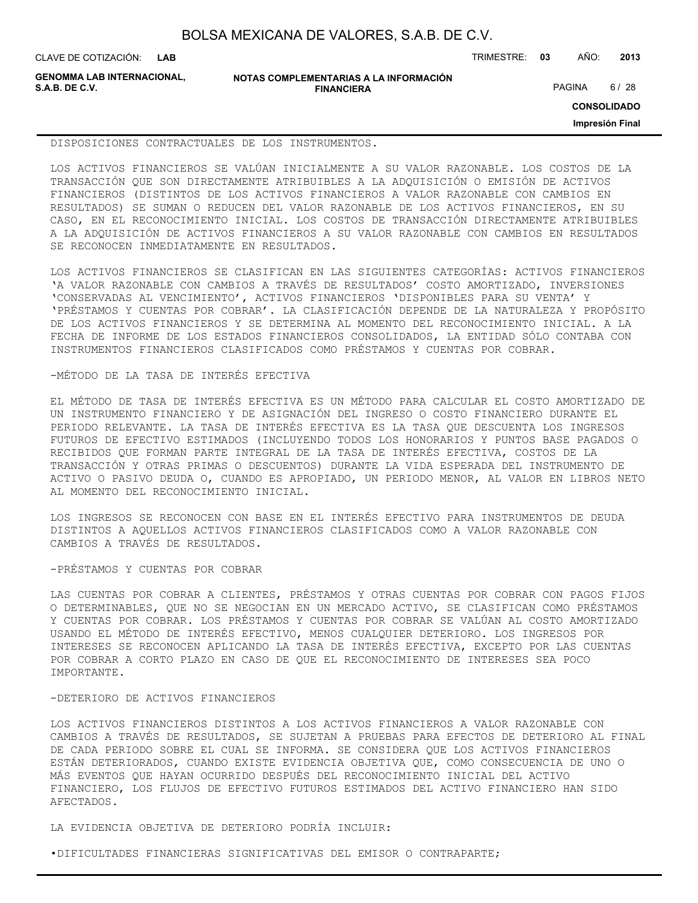**LAB**

CLAVE DE COTIZACIÓN: TRIMESTRE: **03** AÑO: **2013**

**GENOMMA LAB INTERNACIONAL, S.A.B. DE C.V.** PAGINA 6 / 28

**NOTAS COMPLEMENTARIAS A LA INFORMACIÓN FINANCIERA**

**CONSOLIDADO**

**Impresión Final**

DISPOSICIONES CONTRACTUALES DE LOS INSTRUMENTOS.

LOS ACTIVOS FINANCIEROS SE VALÚAN INICIALMENTE A SU VALOR RAZONABLE. LOS COSTOS DE LA TRANSACCIÓN QUE SON DIRECTAMENTE ATRIBUIBLES A LA ADQUISICIÓN O EMISIÓN DE ACTIVOS FINANCIEROS (DISTINTOS DE LOS ACTIVOS FINANCIEROS A VALOR RAZONABLE CON CAMBIOS EN RESULTADOS) SE SUMAN O REDUCEN DEL VALOR RAZONABLE DE LOS ACTIVOS FINANCIEROS, EN SU CASO, EN EL RECONOCIMIENTO INICIAL. LOS COSTOS DE TRANSACCIÓN DIRECTAMENTE ATRIBUIBLES A LA ADQUISICIÓN DE ACTIVOS FINANCIEROS A SU VALOR RAZONABLE CON CAMBIOS EN RESULTADOS SE RECONOCEN INMEDIATAMENTE EN RESULTADOS.

LOS ACTIVOS FINANCIEROS SE CLASIFICAN EN LAS SIGUIENTES CATEGORÍAS: ACTIVOS FINANCIEROS 'A VALOR RAZONABLE CON CAMBIOS A TRAVÉS DE RESULTADOS' COSTO AMORTIZADO, INVERSIONES 'CONSERVADAS AL VENCIMIENTO', ACTIVOS FINANCIEROS 'DISPONIBLES PARA SU VENTA' Y 'PRÉSTAMOS Y CUENTAS POR COBRAR'. LA CLASIFICACIÓN DEPENDE DE LA NATURALEZA Y PROPÓSITO DE LOS ACTIVOS FINANCIEROS Y SE DETERMINA AL MOMENTO DEL RECONOCIMIENTO INICIAL. A LA FECHA DE INFORME DE LOS ESTADOS FINANCIEROS CONSOLIDADOS, LA ENTIDAD SÓLO CONTABA CON INSTRUMENTOS FINANCIEROS CLASIFICADOS COMO PRÉSTAMOS Y CUENTAS POR COBRAR.

#### -MÉTODO DE LA TASA DE INTERÉS EFECTIVA

EL MÉTODO DE TASA DE INTERÉS EFECTIVA ES UN MÉTODO PARA CALCULAR EL COSTO AMORTIZADO DE UN INSTRUMENTO FINANCIERO Y DE ASIGNACIÓN DEL INGRESO O COSTO FINANCIERO DURANTE EL PERIODO RELEVANTE. LA TASA DE INTERÉS EFECTIVA ES LA TASA QUE DESCUENTA LOS INGRESOS FUTUROS DE EFECTIVO ESTIMADOS (INCLUYENDO TODOS LOS HONORARIOS Y PUNTOS BASE PAGADOS O RECIBIDOS QUE FORMAN PARTE INTEGRAL DE LA TASA DE INTERÉS EFECTIVA, COSTOS DE LA TRANSACCIÓN Y OTRAS PRIMAS O DESCUENTOS) DURANTE LA VIDA ESPERADA DEL INSTRUMENTO DE ACTIVO O PASIVO DEUDA O, CUANDO ES APROPIADO, UN PERIODO MENOR, AL VALOR EN LIBROS NETO AL MOMENTO DEL RECONOCIMIENTO INICIAL.

LOS INGRESOS SE RECONOCEN CON BASE EN EL INTERÉS EFECTIVO PARA INSTRUMENTOS DE DEUDA DISTINTOS A AQUELLOS ACTIVOS FINANCIEROS CLASIFICADOS COMO A VALOR RAZONABLE CON CAMBIOS A TRAVÉS DE RESULTADOS.

-PRÉSTAMOS Y CUENTAS POR COBRAR

LAS CUENTAS POR COBRAR A CLIENTES, PRÉSTAMOS Y OTRAS CUENTAS POR COBRAR CON PAGOS FIJOS O DETERMINABLES, QUE NO SE NEGOCIAN EN UN MERCADO ACTIVO, SE CLASIFICAN COMO PRÉSTAMOS Y CUENTAS POR COBRAR. LOS PRÉSTAMOS Y CUENTAS POR COBRAR SE VALÚAN AL COSTO AMORTIZADO USANDO EL MÉTODO DE INTERÉS EFECTIVO, MENOS CUALQUIER DETERIORO. LOS INGRESOS POR INTERESES SE RECONOCEN APLICANDO LA TASA DE INTERÉS EFECTIVA, EXCEPTO POR LAS CUENTAS POR COBRAR A CORTO PLAZO EN CASO DE QUE EL RECONOCIMIENTO DE INTERESES SEA POCO IMPORTANTE.

#### -DETERIORO DE ACTIVOS FINANCIEROS

LOS ACTIVOS FINANCIEROS DISTINTOS A LOS ACTIVOS FINANCIEROS A VALOR RAZONABLE CON CAMBIOS A TRAVÉS DE RESULTADOS, SE SUJETAN A PRUEBAS PARA EFECTOS DE DETERIORO AL FINAL DE CADA PERIODO SOBRE EL CUAL SE INFORMA. SE CONSIDERA QUE LOS ACTIVOS FINANCIEROS ESTÁN DETERIORADOS, CUANDO EXISTE EVIDENCIA OBJETIVA QUE, COMO CONSECUENCIA DE UNO O MÁS EVENTOS QUE HAYAN OCURRIDO DESPUÉS DEL RECONOCIMIENTO INICIAL DEL ACTIVO FINANCIERO, LOS FLUJOS DE EFECTIVO FUTUROS ESTIMADOS DEL ACTIVO FINANCIERO HAN SIDO AFECTADOS.

LA EVIDENCIA OBJETIVA DE DETERIORO PODRÍA INCLUIR:

•DIFICULTADES FINANCIERAS SIGNIFICATIVAS DEL EMISOR O CONTRAPARTE;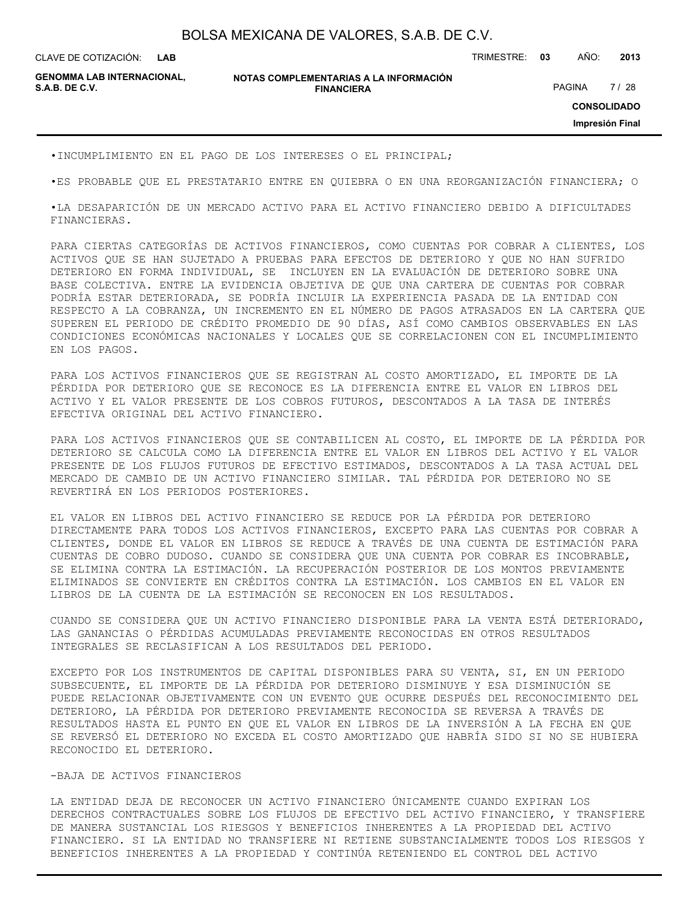**LAB**

CLAVE DE COTIZACIÓN: TRIMESTRE: **03** AÑO: **2013**

**GENOMMA LAB INTERNACIONAL,**

#### **NOTAS COMPLEMENTARIAS A LA INFORMACIÓN FINANCIERA S.A.B. DE C.V.** PAGINA 7 / 28

**CONSOLIDADO**

**Impresión Final**

•INCUMPLIMIENTO EN EL PAGO DE LOS INTERESES O EL PRINCIPAL;

•ES PROBABLE QUE EL PRESTATARIO ENTRE EN QUIEBRA O EN UNA REORGANIZACIÓN FINANCIERA; O

•LA DESAPARICIÓN DE UN MERCADO ACTIVO PARA EL ACTIVO FINANCIERO DEBIDO A DIFICULTADES FINANCIERAS.

PARA CIERTAS CATEGORÍAS DE ACTIVOS FINANCIEROS, COMO CUENTAS POR COBRAR A CLIENTES, LOS ACTIVOS QUE SE HAN SUJETADO A PRUEBAS PARA EFECTOS DE DETERIORO Y QUE NO HAN SUFRIDO DETERIORO EN FORMA INDIVIDUAL, SE INCLUYEN EN LA EVALUACIÓN DE DETERIORO SOBRE UNA BASE COLECTIVA. ENTRE LA EVIDENCIA OBJETIVA DE QUE UNA CARTERA DE CUENTAS POR COBRAR PODRÍA ESTAR DETERIORADA, SE PODRÍA INCLUIR LA EXPERIENCIA PASADA DE LA ENTIDAD CON RESPECTO A LA COBRANZA, UN INCREMENTO EN EL NÚMERO DE PAGOS ATRASADOS EN LA CARTERA QUE SUPEREN EL PERIODO DE CRÉDITO PROMEDIO DE 90 DÍAS, ASÍ COMO CAMBIOS OBSERVABLES EN LAS CONDICIONES ECONÓMICAS NACIONALES Y LOCALES QUE SE CORRELACIONEN CON EL INCUMPLIMIENTO EN LOS PAGOS.

PARA LOS ACTIVOS FINANCIEROS QUE SE REGISTRAN AL COSTO AMORTIZADO, EL IMPORTE DE LA PÉRDIDA POR DETERIORO QUE SE RECONOCE ES LA DIFERENCIA ENTRE EL VALOR EN LIBROS DEL ACTIVO Y EL VALOR PRESENTE DE LOS COBROS FUTUROS, DESCONTADOS A LA TASA DE INTERÉS EFECTIVA ORIGINAL DEL ACTIVO FINANCIERO.

PARA LOS ACTIVOS FINANCIEROS QUE SE CONTABILICEN AL COSTO, EL IMPORTE DE LA PÉRDIDA POR DETERIORO SE CALCULA COMO LA DIFERENCIA ENTRE EL VALOR EN LIBROS DEL ACTIVO Y EL VALOR PRESENTE DE LOS FLUJOS FUTUROS DE EFECTIVO ESTIMADOS, DESCONTADOS A LA TASA ACTUAL DEL MERCADO DE CAMBIO DE UN ACTIVO FINANCIERO SIMILAR. TAL PÉRDIDA POR DETERIORO NO SE REVERTIRÁ EN LOS PERIODOS POSTERIORES.

EL VALOR EN LIBROS DEL ACTIVO FINANCIERO SE REDUCE POR LA PÉRDIDA POR DETERIORO DIRECTAMENTE PARA TODOS LOS ACTIVOS FINANCIEROS, EXCEPTO PARA LAS CUENTAS POR COBRAR A CLIENTES, DONDE EL VALOR EN LIBROS SE REDUCE A TRAVÉS DE UNA CUENTA DE ESTIMACIÓN PARA CUENTAS DE COBRO DUDOSO. CUANDO SE CONSIDERA QUE UNA CUENTA POR COBRAR ES INCOBRABLE, SE ELIMINA CONTRA LA ESTIMACIÓN. LA RECUPERACIÓN POSTERIOR DE LOS MONTOS PREVIAMENTE ELIMINADOS SE CONVIERTE EN CRÉDITOS CONTRA LA ESTIMACIÓN. LOS CAMBIOS EN EL VALOR EN LIBROS DE LA CUENTA DE LA ESTIMACIÓN SE RECONOCEN EN LOS RESULTADOS.

CUANDO SE CONSIDERA QUE UN ACTIVO FINANCIERO DISPONIBLE PARA LA VENTA ESTÁ DETERIORADO, LAS GANANCIAS O PÉRDIDAS ACUMULADAS PREVIAMENTE RECONOCIDAS EN OTROS RESULTADOS INTEGRALES SE RECLASIFICAN A LOS RESULTADOS DEL PERIODO.

EXCEPTO POR LOS INSTRUMENTOS DE CAPITAL DISPONIBLES PARA SU VENTA, SI, EN UN PERIODO SUBSECUENTE, EL IMPORTE DE LA PÉRDIDA POR DETERIORO DISMINUYE Y ESA DISMINUCIÓN SE PUEDE RELACIONAR OBJETIVAMENTE CON UN EVENTO QUE OCURRE DESPUÉS DEL RECONOCIMIENTO DEL DETERIORO, LA PÉRDIDA POR DETERIORO PREVIAMENTE RECONOCIDA SE REVERSA A TRAVÉS DE RESULTADOS HASTA EL PUNTO EN QUE EL VALOR EN LIBROS DE LA INVERSIÓN A LA FECHA EN QUE SE REVERSÓ EL DETERIORO NO EXCEDA EL COSTO AMORTIZADO QUE HABRÍA SIDO SI NO SE HUBIERA RECONOCIDO EL DETERIORO.

#### -BAJA DE ACTIVOS FINANCIEROS

LA ENTIDAD DEJA DE RECONOCER UN ACTIVO FINANCIERO ÚNICAMENTE CUANDO EXPIRAN LOS DERECHOS CONTRACTUALES SOBRE LOS FLUJOS DE EFECTIVO DEL ACTIVO FINANCIERO, Y TRANSFIERE DE MANERA SUSTANCIAL LOS RIESGOS Y BENEFICIOS INHERENTES A LA PROPIEDAD DEL ACTIVO FINANCIERO. SI LA ENTIDAD NO TRANSFIERE NI RETIENE SUBSTANCIALMENTE TODOS LOS RIESGOS Y BENEFICIOS INHERENTES A LA PROPIEDAD Y CONTINÚA RETENIENDO EL CONTROL DEL ACTIVO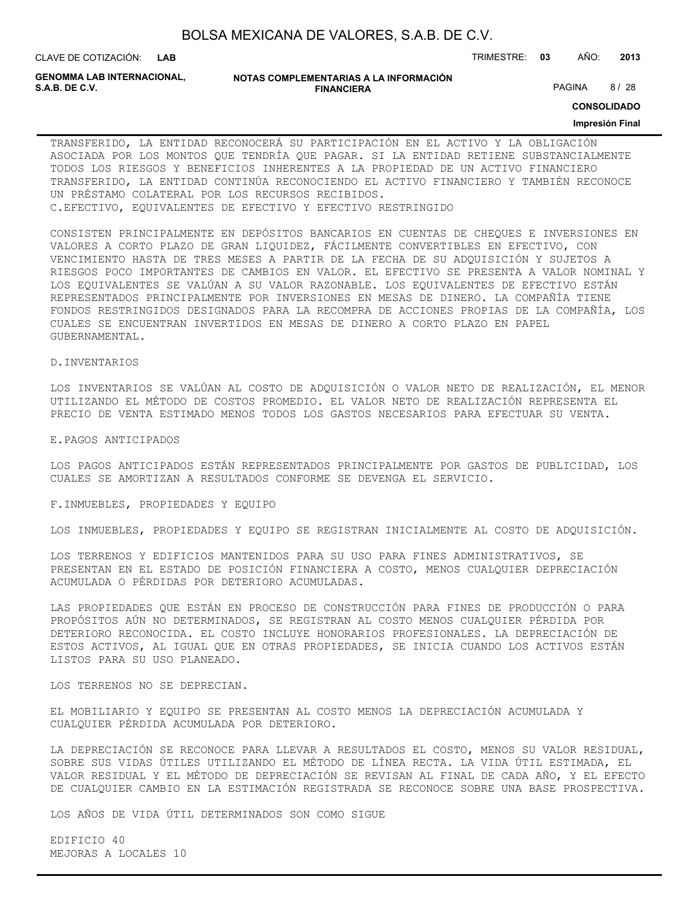| BOLSA MEXICANA DE VALORES, S.A.B. DE C.V. |  |  |
|-------------------------------------------|--|--|
|-------------------------------------------|--|--|

**LAB**

CLAVE DE COTIZACIÓN: TRIMESTRE: **03** AÑO: **2013**

**GENOMMA LAB INTERNACIONAL,**

#### **NOTAS COMPLEMENTARIAS A LA INFORMACIÓN FINANCIERA S.A.B. DE C.V.** PAGINA 8 / 28

**CONSOLIDADO**

#### **Impresión Final**

TRANSFERIDO, LA ENTIDAD RECONOCERÁ SU PARTICIPACIÓN EN EL ACTIVO Y LA OBLIGACIÓN ASOCIADA POR LOS MONTOS QUE TENDRÍA QUE PAGAR. SI LA ENTIDAD RETIENE SUBSTANCIALMENTE TODOS LOS RIESGOS Y BENEFICIOS INHERENTES A LA PROPIEDAD DE UN ACTIVO FINANCIERO TRANSFERIDO, LA ENTIDAD CONTINÚA RECONOCIENDO EL ACTIVO FINANCIERO Y TAMBIÉN RECONOCE UN PRÉSTAMO COLATERAL POR LOS RECURSOS RECIBIDOS. C.EFECTIVO, EQUIVALENTES DE EFECTIVO Y EFECTIVO RESTRINGIDO

CONSISTEN PRINCIPALMENTE EN DEPÓSITOS BANCARIOS EN CUENTAS DE CHEQUES E INVERSIONES EN VALORES A CORTO PLAZO DE GRAN LIQUIDEZ, FÁCILMENTE CONVERTIBLES EN EFECTIVO, CON VENCIMIENTO HASTA DE TRES MESES A PARTIR DE LA FECHA DE SU ADQUISICIÓN Y SUJETOS A RIESGOS POCO IMPORTANTES DE CAMBIOS EN VALOR. EL EFECTIVO SE PRESENTA A VALOR NOMINAL Y LOS EQUIVALENTES SE VALÚAN A SU VALOR RAZONABLE. LOS EQUIVALENTES DE EFECTIVO ESTÁN REPRESENTADOS PRINCIPALMENTE POR INVERSIONES EN MESAS DE DINERO. LA COMPAÑÍA TIENE FONDOS RESTRINGIDOS DESIGNADOS PARA LA RECOMPRA DE ACCIONES PROPIAS DE LA COMPAÑÍA, LOS CUALES SE ENCUENTRAN INVERTIDOS EN MESAS DE DINERO A CORTO PLAZO EN PAPEL GUBERNAMENTAL.

#### D.INVENTARIOS

LOS INVENTARIOS SE VALÚAN AL COSTO DE ADQUISICIÓN O VALOR NETO DE REALIZACIÓN, EL MENOR UTILIZANDO EL MÉTODO DE COSTOS PROMEDIO. EL VALOR NETO DE REALIZACIÓN REPRESENTA EL PRECIO DE VENTA ESTIMADO MENOS TODOS LOS GASTOS NECESARIOS PARA EFECTUAR SU VENTA.

E.PAGOS ANTICIPADOS

LOS PAGOS ANTICIPADOS ESTÁN REPRESENTADOS PRINCIPALMENTE POR GASTOS DE PUBLICIDAD, LOS CUALES SE AMORTIZAN A RESULTADOS CONFORME SE DEVENGA EL SERVICIO.

F.INMUEBLES, PROPIEDADES Y EQUIPO

LOS INMUEBLES, PROPIEDADES Y EQUIPO SE REGISTRAN INICIALMENTE AL COSTO DE ADQUISICIÓN.

LOS TERRENOS Y EDIFICIOS MANTENIDOS PARA SU USO PARA FINES ADMINISTRATIVOS, SE PRESENTAN EN EL ESTADO DE POSICIÓN FINANCIERA A COSTO, MENOS CUALQUIER DEPRECIACIÓN ACUMULADA O PÉRDIDAS POR DETERIORO ACUMULADAS.

LAS PROPIEDADES QUE ESTÁN EN PROCESO DE CONSTRUCCIÓN PARA FINES DE PRODUCCIÓN O PARA PROPÓSITOS AÚN NO DETERMINADOS, SE REGISTRAN AL COSTO MENOS CUALQUIER PÉRDIDA POR DETERIORO RECONOCIDA. EL COSTO INCLUYE HONORARIOS PROFESIONALES. LA DEPRECIACIÓN DE ESTOS ACTIVOS, AL IGUAL QUE EN OTRAS PROPIEDADES, SE INICIA CUANDO LOS ACTIVOS ESTÁN LISTOS PARA SU USO PLANEADO.

LOS TERRENOS NO SE DEPRECIAN.

EL MOBILIARIO Y EQUIPO SE PRESENTAN AL COSTO MENOS LA DEPRECIACIÓN ACUMULADA Y CUALQUIER PÉRDIDA ACUMULADA POR DETERIORO.

LA DEPRECIACIÓN SE RECONOCE PARA LLEVAR A RESULTADOS EL COSTO, MENOS SU VALOR RESIDUAL, SOBRE SUS VIDAS ÚTILES UTILIZANDO EL MÉTODO DE LÍNEA RECTA. LA VIDA ÚTIL ESTIMADA, EL VALOR RESIDUAL Y EL MÉTODO DE DEPRECIACIÓN SE REVISAN AL FINAL DE CADA AÑO, Y EL EFECTO DE CUALQUIER CAMBIO EN LA ESTIMACIÓN REGISTRADA SE RECONOCE SOBRE UNA BASE PROSPECTIVA.

LOS AÑOS DE VIDA ÚTIL DETERMINADOS SON COMO SIGUE

EDIFICIO 40 MEJORAS A LOCALES 10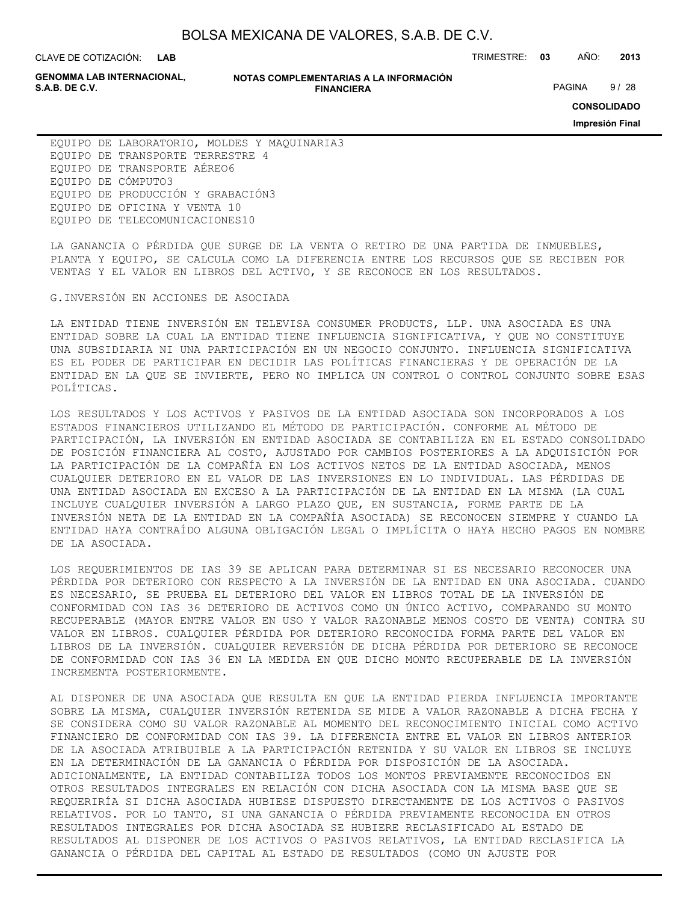**LAB**

CLAVE DE COTIZACIÓN: TRIMESTRE: **03** AÑO: **2013**

**GENOMMA LAB INTERNACIONAL,**

#### **NOTAS COMPLEMENTARIAS A LA INFORMACIÓN FINANCIERA S.A.B. DE C.V.** PAGINA 9/28 **FINANCIERA** PAGINA 9/28

**CONSOLIDADO**

**Impresión Final**

EQUIPO DE LABORATORIO, MOLDES Y MAQUINARIA3 EQUIPO DE TRANSPORTE TERRESTRE 4 EQUIPO DE TRANSPORTE AÉREO6 EQUIPO DE CÓMPUTO3 EQUIPO DE PRODUCCIÓN Y GRABACIÓN3 EQUIPO DE OFICINA Y VENTA 10 EQUIPO DE TELECOMUNICACIONES10

LA GANANCIA O PÉRDIDA QUE SURGE DE LA VENTA O RETIRO DE UNA PARTIDA DE INMUEBLES, PLANTA Y EQUIPO, SE CALCULA COMO LA DIFERENCIA ENTRE LOS RECURSOS QUE SE RECIBEN POR VENTAS Y EL VALOR EN LIBROS DEL ACTIVO, Y SE RECONOCE EN LOS RESULTADOS.

G.INVERSIÓN EN ACCIONES DE ASOCIADA

LA ENTIDAD TIENE INVERSIÓN EN TELEVISA CONSUMER PRODUCTS, LLP. UNA ASOCIADA ES UNA ENTIDAD SOBRE LA CUAL LA ENTIDAD TIENE INFLUENCIA SIGNIFICATIVA, Y QUE NO CONSTITUYE UNA SUBSIDIARIA NI UNA PARTICIPACIÓN EN UN NEGOCIO CONJUNTO. INFLUENCIA SIGNIFICATIVA ES EL PODER DE PARTICIPAR EN DECIDIR LAS POLÍTICAS FINANCIERAS Y DE OPERACIÓN DE LA ENTIDAD EN LA QUE SE INVIERTE, PERO NO IMPLICA UN CONTROL O CONTROL CONJUNTO SOBRE ESAS POLÍTICAS.

LOS RESULTADOS Y LOS ACTIVOS Y PASIVOS DE LA ENTIDAD ASOCIADA SON INCORPORADOS A LOS ESTADOS FINANCIEROS UTILIZANDO EL MÉTODO DE PARTICIPACIÓN. CONFORME AL MÉTODO DE PARTICIPACIÓN, LA INVERSIÓN EN ENTIDAD ASOCIADA SE CONTABILIZA EN EL ESTADO CONSOLIDADO DE POSICIÓN FINANCIERA AL COSTO, AJUSTADO POR CAMBIOS POSTERIORES A LA ADQUISICIÓN POR LA PARTICIPACIÓN DE LA COMPAÑÍA EN LOS ACTIVOS NETOS DE LA ENTIDAD ASOCIADA, MENOS CUALQUIER DETERIORO EN EL VALOR DE LAS INVERSIONES EN LO INDIVIDUAL. LAS PÉRDIDAS DE UNA ENTIDAD ASOCIADA EN EXCESO A LA PARTICIPACIÓN DE LA ENTIDAD EN LA MISMA (LA CUAL INCLUYE CUALQUIER INVERSIÓN A LARGO PLAZO QUE, EN SUSTANCIA, FORME PARTE DE LA INVERSIÓN NETA DE LA ENTIDAD EN LA COMPAÑÍA ASOCIADA) SE RECONOCEN SIEMPRE Y CUANDO LA ENTIDAD HAYA CONTRAÍDO ALGUNA OBLIGACIÓN LEGAL O IMPLÍCITA O HAYA HECHO PAGOS EN NOMBRE DE LA ASOCIADA.

LOS REQUERIMIENTOS DE IAS 39 SE APLICAN PARA DETERMINAR SI ES NECESARIO RECONOCER UNA PÉRDIDA POR DETERIORO CON RESPECTO A LA INVERSIÓN DE LA ENTIDAD EN UNA ASOCIADA. CUANDO ES NECESARIO, SE PRUEBA EL DETERIORO DEL VALOR EN LIBROS TOTAL DE LA INVERSIÓN DE CONFORMIDAD CON IAS 36 DETERIORO DE ACTIVOS COMO UN ÚNICO ACTIVO, COMPARANDO SU MONTO RECUPERABLE (MAYOR ENTRE VALOR EN USO Y VALOR RAZONABLE MENOS COSTO DE VENTA) CONTRA SU VALOR EN LIBROS. CUALQUIER PÉRDIDA POR DETERIORO RECONOCIDA FORMA PARTE DEL VALOR EN LIBROS DE LA INVERSIÓN. CUALQUIER REVERSIÓN DE DICHA PÉRDIDA POR DETERIORO SE RECONOCE DE CONFORMIDAD CON IAS 36 EN LA MEDIDA EN QUE DICHO MONTO RECUPERABLE DE LA INVERSIÓN INCREMENTA POSTERIORMENTE.

AL DISPONER DE UNA ASOCIADA QUE RESULTA EN QUE LA ENTIDAD PIERDA INFLUENCIA IMPORTANTE SOBRE LA MISMA, CUALQUIER INVERSIÓN RETENIDA SE MIDE A VALOR RAZONABLE A DICHA FECHA Y SE CONSIDERA COMO SU VALOR RAZONABLE AL MOMENTO DEL RECONOCIMIENTO INICIAL COMO ACTIVO FINANCIERO DE CONFORMIDAD CON IAS 39. LA DIFERENCIA ENTRE EL VALOR EN LIBROS ANTERIOR DE LA ASOCIADA ATRIBUIBLE A LA PARTICIPACIÓN RETENIDA Y SU VALOR EN LIBROS SE INCLUYE EN LA DETERMINACIÓN DE LA GANANCIA O PÉRDIDA POR DISPOSICIÓN DE LA ASOCIADA. ADICIONALMENTE, LA ENTIDAD CONTABILIZA TODOS LOS MONTOS PREVIAMENTE RECONOCIDOS EN OTROS RESULTADOS INTEGRALES EN RELACIÓN CON DICHA ASOCIADA CON LA MISMA BASE QUE SE REQUERIRÍA SI DICHA ASOCIADA HUBIESE DISPUESTO DIRECTAMENTE DE LOS ACTIVOS O PASIVOS RELATIVOS. POR LO TANTO, SI UNA GANANCIA O PÉRDIDA PREVIAMENTE RECONOCIDA EN OTROS RESULTADOS INTEGRALES POR DICHA ASOCIADA SE HUBIERE RECLASIFICADO AL ESTADO DE RESULTADOS AL DISPONER DE LOS ACTIVOS O PASIVOS RELATIVOS, LA ENTIDAD RECLASIFICA LA GANANCIA O PÉRDIDA DEL CAPITAL AL ESTADO DE RESULTADOS (COMO UN AJUSTE POR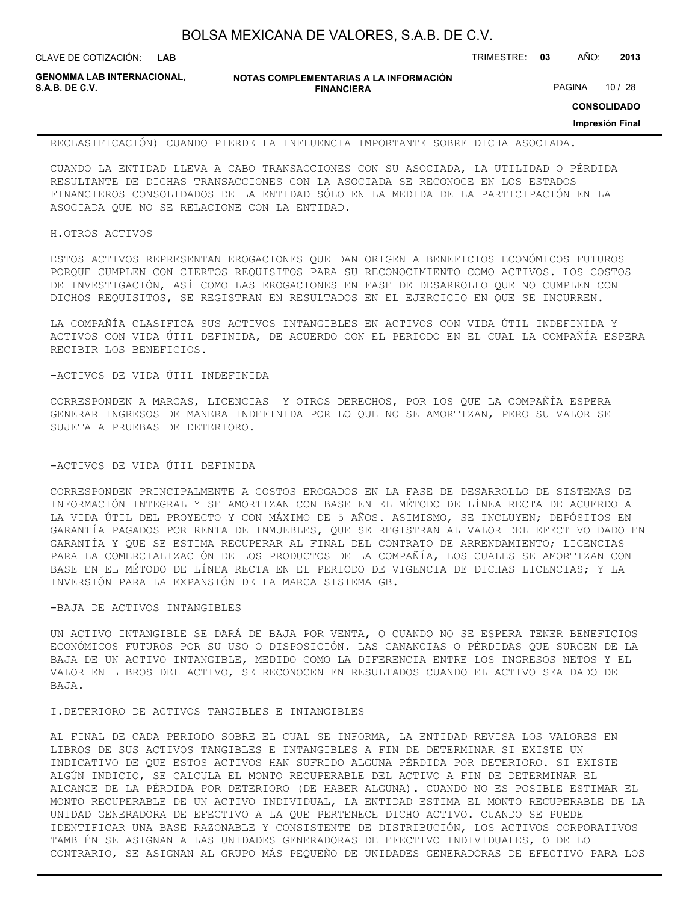**LAB**

CLAVE DE COTIZACIÓN: TRIMESTRE: **03** AÑO: **2013**

**GENOMMA LAB INTERNACIONAL,**

**NOTAS COMPLEMENTARIAS A LA INFORMACIÓN FINANCIERA**

PAGINA 10 / 28

**CONSOLIDADO**

**Impresión Final**

RECLASIFICACIÓN) CUANDO PIERDE LA INFLUENCIA IMPORTANTE SOBRE DICHA ASOCIADA.

CUANDO LA ENTIDAD LLEVA A CABO TRANSACCIONES CON SU ASOCIADA, LA UTILIDAD O PÉRDIDA RESULTANTE DE DICHAS TRANSACCIONES CON LA ASOCIADA SE RECONOCE EN LOS ESTADOS FINANCIEROS CONSOLIDADOS DE LA ENTIDAD SÓLO EN LA MEDIDA DE LA PARTICIPACIÓN EN LA ASOCIADA QUE NO SE RELACIONE CON LA ENTIDAD.

#### H.OTROS ACTIVOS

ESTOS ACTIVOS REPRESENTAN EROGACIONES QUE DAN ORIGEN A BENEFICIOS ECONÓMICOS FUTUROS PORQUE CUMPLEN CON CIERTOS REQUISITOS PARA SU RECONOCIMIENTO COMO ACTIVOS. LOS COSTOS DE INVESTIGACIÓN, ASÍ COMO LAS EROGACIONES EN FASE DE DESARROLLO QUE NO CUMPLEN CON DICHOS REQUISITOS, SE REGISTRAN EN RESULTADOS EN EL EJERCICIO EN QUE SE INCURREN.

LA COMPAÑÍA CLASIFICA SUS ACTIVOS INTANGIBLES EN ACTIVOS CON VIDA ÚTIL INDEFINIDA Y ACTIVOS CON VIDA ÚTIL DEFINIDA, DE ACUERDO CON EL PERIODO EN EL CUAL LA COMPAÑÍA ESPERA RECIBIR LOS BENEFICIOS.

#### -ACTIVOS DE VIDA ÚTIL INDEFINIDA

CORRESPONDEN A MARCAS, LICENCIAS Y OTROS DERECHOS, POR LOS QUE LA COMPAÑÍA ESPERA GENERAR INGRESOS DE MANERA INDEFINIDA POR LO QUE NO SE AMORTIZAN, PERO SU VALOR SE SUJETA A PRUEBAS DE DETERIORO.

#### -ACTIVOS DE VIDA ÚTIL DEFINIDA

CORRESPONDEN PRINCIPALMENTE A COSTOS EROGADOS EN LA FASE DE DESARROLLO DE SISTEMAS DE INFORMACIÓN INTEGRAL Y SE AMORTIZAN CON BASE EN EL MÉTODO DE LÍNEA RECTA DE ACUERDO A LA VIDA ÚTIL DEL PROYECTO Y CON MÁXIMO DE 5 AÑOS. ASIMISMO, SE INCLUYEN; DEPÓSITOS EN GARANTÍA PAGADOS POR RENTA DE INMUEBLES, QUE SE REGISTRAN AL VALOR DEL EFECTIVO DADO EN GARANTÍA Y QUE SE ESTIMA RECUPERAR AL FINAL DEL CONTRATO DE ARRENDAMIENTO; LICENCIAS PARA LA COMERCIALIZACIÓN DE LOS PRODUCTOS DE LA COMPAÑÍA, LOS CUALES SE AMORTIZAN CON BASE EN EL MÉTODO DE LÍNEA RECTA EN EL PERIODO DE VIGENCIA DE DICHAS LICENCIAS; Y LA INVERSIÓN PARA LA EXPANSIÓN DE LA MARCA SISTEMA GB.

#### -BAJA DE ACTIVOS INTANGIBLES

UN ACTIVO INTANGIBLE SE DARÁ DE BAJA POR VENTA, O CUANDO NO SE ESPERA TENER BENEFICIOS ECONÓMICOS FUTUROS POR SU USO O DISPOSICIÓN. LAS GANANCIAS O PÉRDIDAS QUE SURGEN DE LA BAJA DE UN ACTIVO INTANGIBLE, MEDIDO COMO LA DIFERENCIA ENTRE LOS INGRESOS NETOS Y EL VALOR EN LIBROS DEL ACTIVO, SE RECONOCEN EN RESULTADOS CUANDO EL ACTIVO SEA DADO DE BAJA.

#### I.DETERIORO DE ACTIVOS TANGIBLES E INTANGIBLES

AL FINAL DE CADA PERIODO SOBRE EL CUAL SE INFORMA, LA ENTIDAD REVISA LOS VALORES EN LIBROS DE SUS ACTIVOS TANGIBLES E INTANGIBLES A FIN DE DETERMINAR SI EXISTE UN INDICATIVO DE QUE ESTOS ACTIVOS HAN SUFRIDO ALGUNA PÉRDIDA POR DETERIORO. SI EXISTE ALGÚN INDICIO, SE CALCULA EL MONTO RECUPERABLE DEL ACTIVO A FIN DE DETERMINAR EL ALCANCE DE LA PÉRDIDA POR DETERIORO (DE HABER ALGUNA). CUANDO NO ES POSIBLE ESTIMAR EL MONTO RECUPERABLE DE UN ACTIVO INDIVIDUAL, LA ENTIDAD ESTIMA EL MONTO RECUPERABLE DE LA UNIDAD GENERADORA DE EFECTIVO A LA QUE PERTENECE DICHO ACTIVO. CUANDO SE PUEDE IDENTIFICAR UNA BASE RAZONABLE Y CONSISTENTE DE DISTRIBUCIÓN, LOS ACTIVOS CORPORATIVOS TAMBIÉN SE ASIGNAN A LAS UNIDADES GENERADORAS DE EFECTIVO INDIVIDUALES, O DE LO CONTRARIO, SE ASIGNAN AL GRUPO MÁS PEQUEÑO DE UNIDADES GENERADORAS DE EFECTIVO PARA LOS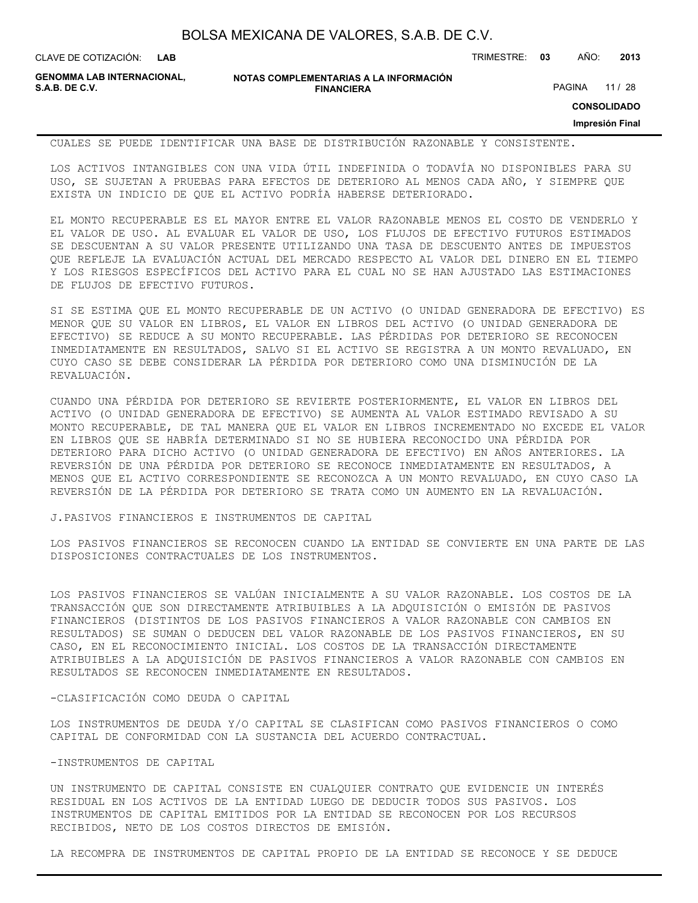**LAB**

CLAVE DE COTIZACIÓN: TRIMESTRE: **03** AÑO: **2013**

**GENOMMA LAB INTERNACIONAL,**

**NOTAS COMPLEMENTARIAS A LA INFORMACIÓN FINANCIERA**

PAGINA 11 / 28

**CONSOLIDADO**

#### **Impresión Final**

CUALES SE PUEDE IDENTIFICAR UNA BASE DE DISTRIBUCIÓN RAZONABLE Y CONSISTENTE.

LOS ACTIVOS INTANGIBLES CON UNA VIDA ÚTIL INDEFINIDA O TODAVÍA NO DISPONIBLES PARA SU USO, SE SUJETAN A PRUEBAS PARA EFECTOS DE DETERIORO AL MENOS CADA AÑO, Y SIEMPRE QUE EXISTA UN INDICIO DE QUE EL ACTIVO PODRÍA HABERSE DETERIORADO.

EL MONTO RECUPERABLE ES EL MAYOR ENTRE EL VALOR RAZONABLE MENOS EL COSTO DE VENDERLO Y EL VALOR DE USO. AL EVALUAR EL VALOR DE USO, LOS FLUJOS DE EFECTIVO FUTUROS ESTIMADOS SE DESCUENTAN A SU VALOR PRESENTE UTILIZANDO UNA TASA DE DESCUENTO ANTES DE IMPUESTOS QUE REFLEJE LA EVALUACIÓN ACTUAL DEL MERCADO RESPECTO AL VALOR DEL DINERO EN EL TIEMPO Y LOS RIESGOS ESPECÍFICOS DEL ACTIVO PARA EL CUAL NO SE HAN AJUSTADO LAS ESTIMACIONES DE FLUJOS DE EFECTIVO FUTUROS.

SI SE ESTIMA QUE EL MONTO RECUPERABLE DE UN ACTIVO (O UNIDAD GENERADORA DE EFECTIVO) ES MENOR QUE SU VALOR EN LIBROS, EL VALOR EN LIBROS DEL ACTIVO (O UNIDAD GENERADORA DE EFECTIVO) SE REDUCE A SU MONTO RECUPERABLE. LAS PÉRDIDAS POR DETERIORO SE RECONOCEN INMEDIATAMENTE EN RESULTADOS, SALVO SI EL ACTIVO SE REGISTRA A UN MONTO REVALUADO, EN CUYO CASO SE DEBE CONSIDERAR LA PÉRDIDA POR DETERIORO COMO UNA DISMINUCIÓN DE LA REVALUACIÓN.

CUANDO UNA PÉRDIDA POR DETERIORO SE REVIERTE POSTERIORMENTE, EL VALOR EN LIBROS DEL ACTIVO (O UNIDAD GENERADORA DE EFECTIVO) SE AUMENTA AL VALOR ESTIMADO REVISADO A SU MONTO RECUPERABLE, DE TAL MANERA QUE EL VALOR EN LIBROS INCREMENTADO NO EXCEDE EL VALOR EN LIBROS QUE SE HABRÍA DETERMINADO SI NO SE HUBIERA RECONOCIDO UNA PÉRDIDA POR DETERIORO PARA DICHO ACTIVO (O UNIDAD GENERADORA DE EFECTIVO) EN AÑOS ANTERIORES. LA REVERSIÓN DE UNA PÉRDIDA POR DETERIORO SE RECONOCE INMEDIATAMENTE EN RESULTADOS, A MENOS QUE EL ACTIVO CORRESPONDIENTE SE RECONOZCA A UN MONTO REVALUADO, EN CUYO CASO LA REVERSIÓN DE LA PÉRDIDA POR DETERIORO SE TRATA COMO UN AUMENTO EN LA REVALUACIÓN.

J.PASIVOS FINANCIEROS E INSTRUMENTOS DE CAPITAL

LOS PASIVOS FINANCIEROS SE RECONOCEN CUANDO LA ENTIDAD SE CONVIERTE EN UNA PARTE DE LAS DISPOSICIONES CONTRACTUALES DE LOS INSTRUMENTOS.

LOS PASIVOS FINANCIEROS SE VALÚAN INICIALMENTE A SU VALOR RAZONABLE. LOS COSTOS DE LA TRANSACCIÓN QUE SON DIRECTAMENTE ATRIBUIBLES A LA ADQUISICIÓN O EMISIÓN DE PASIVOS FINANCIEROS (DISTINTOS DE LOS PASIVOS FINANCIEROS A VALOR RAZONABLE CON CAMBIOS EN RESULTADOS) SE SUMAN O DEDUCEN DEL VALOR RAZONABLE DE LOS PASIVOS FINANCIEROS, EN SU CASO, EN EL RECONOCIMIENTO INICIAL. LOS COSTOS DE LA TRANSACCIÓN DIRECTAMENTE ATRIBUIBLES A LA ADQUISICIÓN DE PASIVOS FINANCIEROS A VALOR RAZONABLE CON CAMBIOS EN RESULTADOS SE RECONOCEN INMEDIATAMENTE EN RESULTADOS.

-CLASIFICACIÓN COMO DEUDA O CAPITAL

LOS INSTRUMENTOS DE DEUDA Y/O CAPITAL SE CLASIFICAN COMO PASIVOS FINANCIEROS O COMO CAPITAL DE CONFORMIDAD CON LA SUSTANCIA DEL ACUERDO CONTRACTUAL.

### -INSTRUMENTOS DE CAPITAL

UN INSTRUMENTO DE CAPITAL CONSISTE EN CUALQUIER CONTRATO QUE EVIDENCIE UN INTERÉS RESIDUAL EN LOS ACTIVOS DE LA ENTIDAD LUEGO DE DEDUCIR TODOS SUS PASIVOS. LOS INSTRUMENTOS DE CAPITAL EMITIDOS POR LA ENTIDAD SE RECONOCEN POR LOS RECURSOS RECIBIDOS, NETO DE LOS COSTOS DIRECTOS DE EMISIÓN.

LA RECOMPRA DE INSTRUMENTOS DE CAPITAL PROPIO DE LA ENTIDAD SE RECONOCE Y SE DEDUCE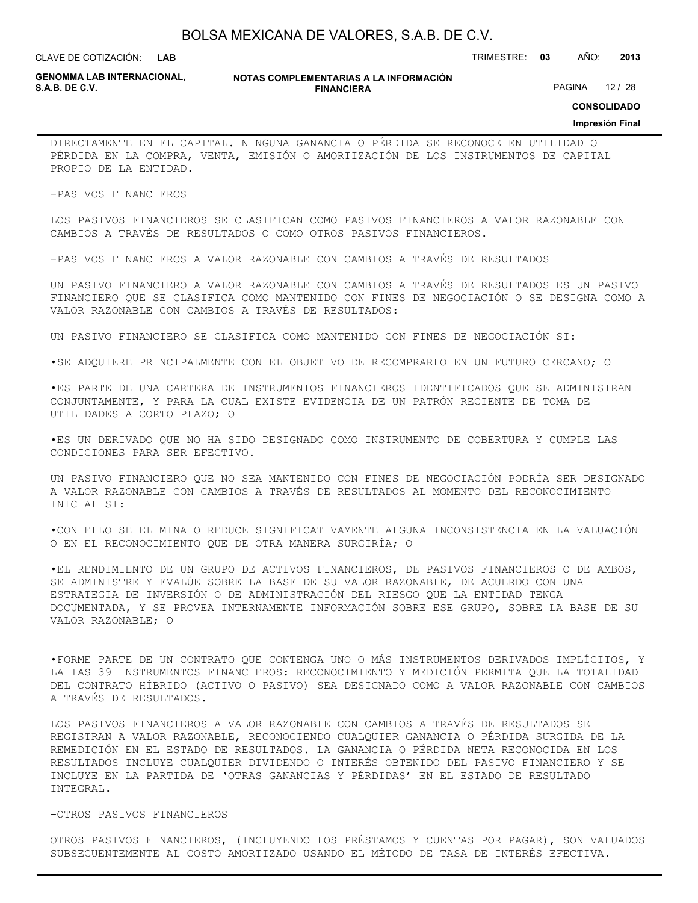**LAB**

CLAVE DE COTIZACIÓN: TRIMESTRE: **03** AÑO: **2013**

**GENOMMA LAB INTERNACIONAL,**

**NOTAS COMPLEMENTARIAS A LA INFORMACIÓN FINANCIERA**

PAGINA 12 / 28

**CONSOLIDADO**

#### **Impresión Final**

DIRECTAMENTE EN EL CAPITAL. NINGUNA GANANCIA O PÉRDIDA SE RECONOCE EN UTILIDAD O PÉRDIDA EN LA COMPRA, VENTA, EMISIÓN O AMORTIZACIÓN DE LOS INSTRUMENTOS DE CAPITAL PROPIO DE LA ENTIDAD.

-PASIVOS FINANCIEROS

LOS PASIVOS FINANCIEROS SE CLASIFICAN COMO PASIVOS FINANCIEROS A VALOR RAZONABLE CON CAMBIOS A TRAVÉS DE RESULTADOS O COMO OTROS PASIVOS FINANCIEROS.

-PASIVOS FINANCIEROS A VALOR RAZONABLE CON CAMBIOS A TRAVÉS DE RESULTADOS

UN PASIVO FINANCIERO A VALOR RAZONABLE CON CAMBIOS A TRAVÉS DE RESULTADOS ES UN PASIVO FINANCIERO QUE SE CLASIFICA COMO MANTENIDO CON FINES DE NEGOCIACIÓN O SE DESIGNA COMO A VALOR RAZONABLE CON CAMBIOS A TRAVÉS DE RESULTADOS:

UN PASIVO FINANCIERO SE CLASIFICA COMO MANTENIDO CON FINES DE NEGOCIACIÓN SI:

•SE ADQUIERE PRINCIPALMENTE CON EL OBJETIVO DE RECOMPRARLO EN UN FUTURO CERCANO; O

•ES PARTE DE UNA CARTERA DE INSTRUMENTOS FINANCIEROS IDENTIFICADOS QUE SE ADMINISTRAN CONJUNTAMENTE, Y PARA LA CUAL EXISTE EVIDENCIA DE UN PATRÓN RECIENTE DE TOMA DE UTILIDADES A CORTO PLAZO; O

•ES UN DERIVADO QUE NO HA SIDO DESIGNADO COMO INSTRUMENTO DE COBERTURA Y CUMPLE LAS CONDICIONES PARA SER EFECTIVO.

UN PASIVO FINANCIERO QUE NO SEA MANTENIDO CON FINES DE NEGOCIACIÓN PODRÍA SER DESIGNADO A VALOR RAZONABLE CON CAMBIOS A TRAVÉS DE RESULTADOS AL MOMENTO DEL RECONOCIMIENTO INICIAL SI:

•CON ELLO SE ELIMINA O REDUCE SIGNIFICATIVAMENTE ALGUNA INCONSISTENCIA EN LA VALUACIÓN O EN EL RECONOCIMIENTO QUE DE OTRA MANERA SURGIRÍA; O

•EL RENDIMIENTO DE UN GRUPO DE ACTIVOS FINANCIEROS, DE PASIVOS FINANCIEROS O DE AMBOS, SE ADMINISTRE Y EVALÚE SOBRE LA BASE DE SU VALOR RAZONABLE, DE ACUERDO CON UNA ESTRATEGIA DE INVERSIÓN O DE ADMINISTRACIÓN DEL RIESGO QUE LA ENTIDAD TENGA DOCUMENTADA, Y SE PROVEA INTERNAMENTE INFORMACIÓN SOBRE ESE GRUPO, SOBRE LA BASE DE SU VALOR RAZONABLE; O

•FORME PARTE DE UN CONTRATO QUE CONTENGA UNO O MÁS INSTRUMENTOS DERIVADOS IMPLÍCITOS, Y LA IAS 39 INSTRUMENTOS FINANCIEROS: RECONOCIMIENTO Y MEDICIÓN PERMITA QUE LA TOTALIDAD DEL CONTRATO HÍBRIDO (ACTIVO O PASIVO) SEA DESIGNADO COMO A VALOR RAZONABLE CON CAMBIOS A TRAVÉS DE RESULTADOS.

LOS PASIVOS FINANCIEROS A VALOR RAZONABLE CON CAMBIOS A TRAVÉS DE RESULTADOS SE REGISTRAN A VALOR RAZONABLE, RECONOCIENDO CUALQUIER GANANCIA O PÉRDIDA SURGIDA DE LA REMEDICIÓN EN EL ESTADO DE RESULTADOS. LA GANANCIA O PÉRDIDA NETA RECONOCIDA EN LOS RESULTADOS INCLUYE CUALQUIER DIVIDENDO O INTERÉS OBTENIDO DEL PASIVO FINANCIERO Y SE INCLUYE EN LA PARTIDA DE 'OTRAS GANANCIAS Y PÉRDIDAS' EN EL ESTADO DE RESULTADO INTEGRAL.

#### -OTROS PASIVOS FINANCIEROS

OTROS PASIVOS FINANCIEROS, (INCLUYENDO LOS PRÉSTAMOS Y CUENTAS POR PAGAR), SON VALUADOS SUBSECUENTEMENTE AL COSTO AMORTIZADO USANDO EL MÉTODO DE TASA DE INTERÉS EFECTIVA.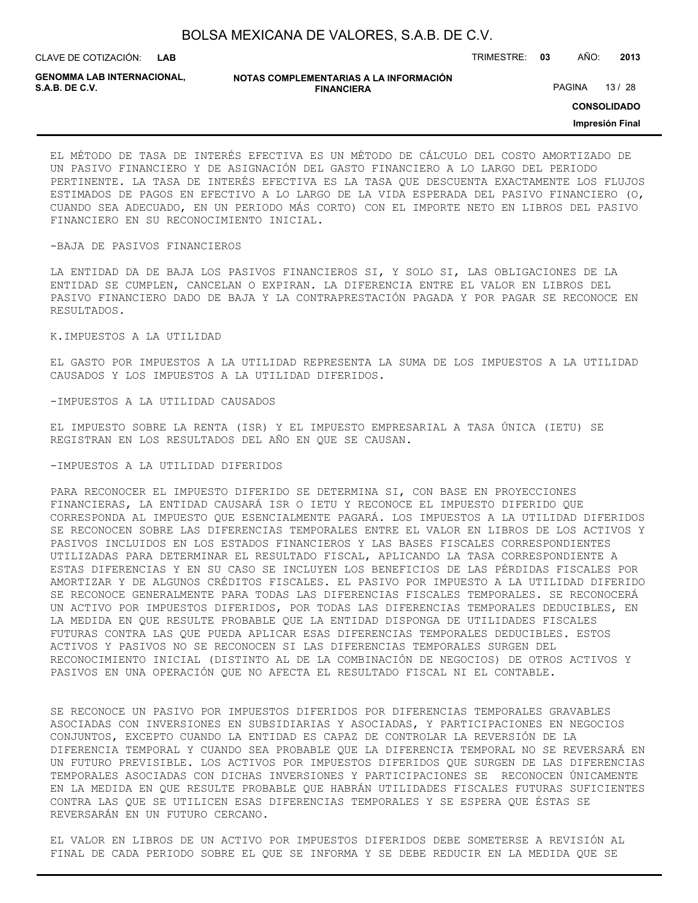| BOLSA MEXICANA DE VALORES, S.A.B. DE C.V. |  |  |
|-------------------------------------------|--|--|
|-------------------------------------------|--|--|

**LAB**

CLAVE DE COTIZACIÓN: TRIMESTRE: **03** AÑO: **2013**

**GENOMMA LAB INTERNACIONAL,**

| NOTAS COMPLEMENTARIAS A LA INFORMACIÓN |
|----------------------------------------|
| <b>FINANCIERA</b>                      |

PAGINA 13 / 28

**CONSOLIDADO**

**Impresión Final**

EL MÉTODO DE TASA DE INTERÉS EFECTIVA ES UN MÉTODO DE CÁLCULO DEL COSTO AMORTIZADO DE UN PASIVO FINANCIERO Y DE ASIGNACIÓN DEL GASTO FINANCIERO A LO LARGO DEL PERIODO PERTINENTE. LA TASA DE INTERÉS EFECTIVA ES LA TASA QUE DESCUENTA EXACTAMENTE LOS FLUJOS ESTIMADOS DE PAGOS EN EFECTIVO A LO LARGO DE LA VIDA ESPERADA DEL PASIVO FINANCIERO (O, CUANDO SEA ADECUADO, EN UN PERIODO MÁS CORTO) CON EL IMPORTE NETO EN LIBROS DEL PASIVO FINANCIERO EN SU RECONOCIMIENTO INICIAL.

#### -BAJA DE PASIVOS FINANCIEROS

LA ENTIDAD DA DE BAJA LOS PASIVOS FINANCIEROS SI, Y SOLO SI, LAS OBLIGACIONES DE LA ENTIDAD SE CUMPLEN, CANCELAN O EXPIRAN. LA DIFERENCIA ENTRE EL VALOR EN LIBROS DEL PASIVO FINANCIERO DADO DE BAJA Y LA CONTRAPRESTACIÓN PAGADA Y POR PAGAR SE RECONOCE EN RESULTADOS.

#### K.IMPUESTOS A LA UTILIDAD

EL GASTO POR IMPUESTOS A LA UTILIDAD REPRESENTA LA SUMA DE LOS IMPUESTOS A LA UTILIDAD CAUSADOS Y LOS IMPUESTOS A LA UTILIDAD DIFERIDOS.

#### -IMPUESTOS A LA UTILIDAD CAUSADOS

EL IMPUESTO SOBRE LA RENTA (ISR) Y EL IMPUESTO EMPRESARIAL A TASA ÚNICA (IETU) SE REGISTRAN EN LOS RESULTADOS DEL AÑO EN QUE SE CAUSAN.

#### -IMPUESTOS A LA UTILIDAD DIFERIDOS

PARA RECONOCER EL IMPUESTO DIFERIDO SE DETERMINA SI, CON BASE EN PROYECCIONES FINANCIERAS, LA ENTIDAD CAUSARÁ ISR O IETU Y RECONOCE EL IMPUESTO DIFERIDO QUE CORRESPONDA AL IMPUESTO QUE ESENCIALMENTE PAGARÁ. LOS IMPUESTOS A LA UTILIDAD DIFERIDOS SE RECONOCEN SOBRE LAS DIFERENCIAS TEMPORALES ENTRE EL VALOR EN LIBROS DE LOS ACTIVOS Y PASIVOS INCLUIDOS EN LOS ESTADOS FINANCIEROS Y LAS BASES FISCALES CORRESPONDIENTES UTILIZADAS PARA DETERMINAR EL RESULTADO FISCAL, APLICANDO LA TASA CORRESPONDIENTE A ESTAS DIFERENCIAS Y EN SU CASO SE INCLUYEN LOS BENEFICIOS DE LAS PÉRDIDAS FISCALES POR AMORTIZAR Y DE ALGUNOS CRÉDITOS FISCALES. EL PASIVO POR IMPUESTO A LA UTILIDAD DIFERIDO SE RECONOCE GENERALMENTE PARA TODAS LAS DIFERENCIAS FISCALES TEMPORALES. SE RECONOCERÁ UN ACTIVO POR IMPUESTOS DIFERIDOS, POR TODAS LAS DIFERENCIAS TEMPORALES DEDUCIBLES, EN LA MEDIDA EN QUE RESULTE PROBABLE QUE LA ENTIDAD DISPONGA DE UTILIDADES FISCALES FUTURAS CONTRA LAS QUE PUEDA APLICAR ESAS DIFERENCIAS TEMPORALES DEDUCIBLES. ESTOS ACTIVOS Y PASIVOS NO SE RECONOCEN SI LAS DIFERENCIAS TEMPORALES SURGEN DEL RECONOCIMIENTO INICIAL (DISTINTO AL DE LA COMBINACIÓN DE NEGOCIOS) DE OTROS ACTIVOS Y PASIVOS EN UNA OPERACIÓN QUE NO AFECTA EL RESULTADO FISCAL NI EL CONTABLE.

SE RECONOCE UN PASIVO POR IMPUESTOS DIFERIDOS POR DIFERENCIAS TEMPORALES GRAVABLES ASOCIADAS CON INVERSIONES EN SUBSIDIARIAS Y ASOCIADAS, Y PARTICIPACIONES EN NEGOCIOS CONJUNTOS, EXCEPTO CUANDO LA ENTIDAD ES CAPAZ DE CONTROLAR LA REVERSIÓN DE LA DIFERENCIA TEMPORAL Y CUANDO SEA PROBABLE QUE LA DIFERENCIA TEMPORAL NO SE REVERSARÁ EN UN FUTURO PREVISIBLE. LOS ACTIVOS POR IMPUESTOS DIFERIDOS QUE SURGEN DE LAS DIFERENCIAS TEMPORALES ASOCIADAS CON DICHAS INVERSIONES Y PARTICIPACIONES SE RECONOCEN ÚNICAMENTE EN LA MEDIDA EN QUE RESULTE PROBABLE QUE HABRÁN UTILIDADES FISCALES FUTURAS SUFICIENTES CONTRA LAS QUE SE UTILICEN ESAS DIFERENCIAS TEMPORALES Y SE ESPERA QUE ÉSTAS SE REVERSARÁN EN UN FUTURO CERCANO.

EL VALOR EN LIBROS DE UN ACTIVO POR IMPUESTOS DIFERIDOS DEBE SOMETERSE A REVISIÓN AL FINAL DE CADA PERIODO SOBRE EL QUE SE INFORMA Y SE DEBE REDUCIR EN LA MEDIDA QUE SE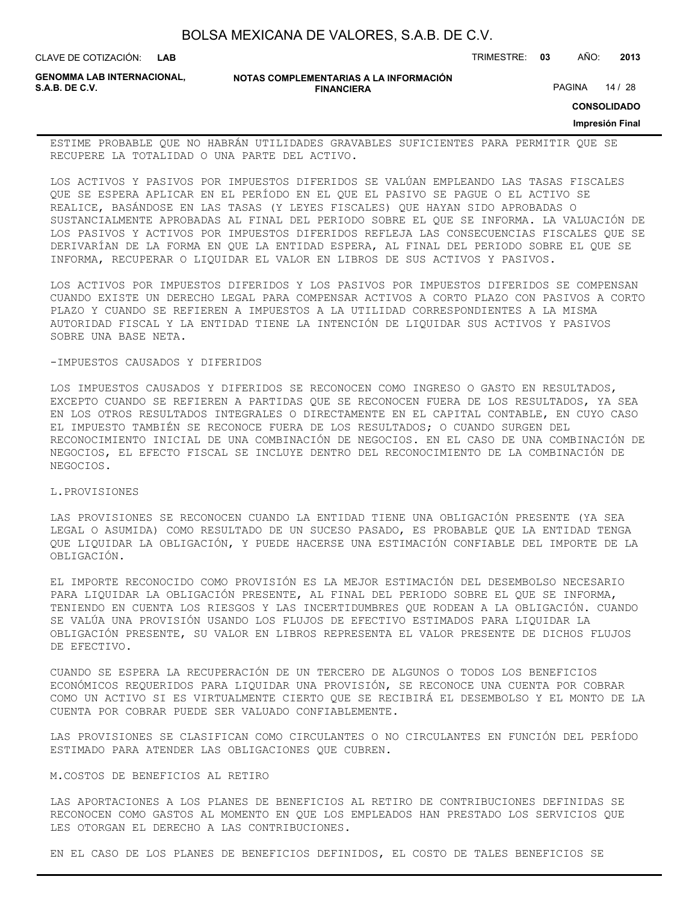| BOLSA MEXICANA DE VALORES, S.A.B. DE C.V. |  |  |  |
|-------------------------------------------|--|--|--|
|-------------------------------------------|--|--|--|

CLAVE DE COTIZACIÓN: TRIMESTRE: **03** AÑO: **2013 LAB**

**GENOMMA LAB INTERNACIONAL,**

**NOTAS COMPLEMENTARIAS A LA INFORMACIÓN FINANCIERA**

PAGINA 14 / 28

**CONSOLIDADO**

### **Impresión Final**

ESTIME PROBABLE QUE NO HABRÁN UTILIDADES GRAVABLES SUFICIENTES PARA PERMITIR QUE SE RECUPERE LA TOTALIDAD O UNA PARTE DEL ACTIVO.

LOS ACTIVOS Y PASIVOS POR IMPUESTOS DIFERIDOS SE VALÚAN EMPLEANDO LAS TASAS FISCALES QUE SE ESPERA APLICAR EN EL PERÍODO EN EL QUE EL PASIVO SE PAGUE O EL ACTIVO SE REALICE, BASÁNDOSE EN LAS TASAS (Y LEYES FISCALES) QUE HAYAN SIDO APROBADAS O SUSTANCIALMENTE APROBADAS AL FINAL DEL PERIODO SOBRE EL QUE SE INFORMA. LA VALUACIÓN DE LOS PASIVOS Y ACTIVOS POR IMPUESTOS DIFERIDOS REFLEJA LAS CONSECUENCIAS FISCALES QUE SE DERIVARÍAN DE LA FORMA EN QUE LA ENTIDAD ESPERA, AL FINAL DEL PERIODO SOBRE EL QUE SE INFORMA, RECUPERAR O LIQUIDAR EL VALOR EN LIBROS DE SUS ACTIVOS Y PASIVOS.

LOS ACTIVOS POR IMPUESTOS DIFERIDOS Y LOS PASIVOS POR IMPUESTOS DIFERIDOS SE COMPENSAN CUANDO EXISTE UN DERECHO LEGAL PARA COMPENSAR ACTIVOS A CORTO PLAZO CON PASIVOS A CORTO PLAZO Y CUANDO SE REFIEREN A IMPUESTOS A LA UTILIDAD CORRESPONDIENTES A LA MISMA AUTORIDAD FISCAL Y LA ENTIDAD TIENE LA INTENCIÓN DE LIQUIDAR SUS ACTIVOS Y PASIVOS SOBRE UNA BASE NETA.

#### -IMPUESTOS CAUSADOS Y DIFERIDOS

LOS IMPUESTOS CAUSADOS Y DIFERIDOS SE RECONOCEN COMO INGRESO O GASTO EN RESULTADOS, EXCEPTO CUANDO SE REFIEREN A PARTIDAS QUE SE RECONOCEN FUERA DE LOS RESULTADOS, YA SEA EN LOS OTROS RESULTADOS INTEGRALES O DIRECTAMENTE EN EL CAPITAL CONTABLE, EN CUYO CASO EL IMPUESTO TAMBIÉN SE RECONOCE FUERA DE LOS RESULTADOS; O CUANDO SURGEN DEL RECONOCIMIENTO INICIAL DE UNA COMBINACIÓN DE NEGOCIOS. EN EL CASO DE UNA COMBINACIÓN DE NEGOCIOS, EL EFECTO FISCAL SE INCLUYE DENTRO DEL RECONOCIMIENTO DE LA COMBINACIÓN DE NEGOCIOS.

#### L.PROVISIONES

LAS PROVISIONES SE RECONOCEN CUANDO LA ENTIDAD TIENE UNA OBLIGACIÓN PRESENTE (YA SEA LEGAL O ASUMIDA) COMO RESULTADO DE UN SUCESO PASADO, ES PROBABLE QUE LA ENTIDAD TENGA QUE LIQUIDAR LA OBLIGACIÓN, Y PUEDE HACERSE UNA ESTIMACIÓN CONFIABLE DEL IMPORTE DE LA OBLIGACIÓN.

EL IMPORTE RECONOCIDO COMO PROVISIÓN ES LA MEJOR ESTIMACIÓN DEL DESEMBOLSO NECESARIO PARA LIQUIDAR LA OBLIGACIÓN PRESENTE, AL FINAL DEL PERIODO SOBRE EL QUE SE INFORMA, TENIENDO EN CUENTA LOS RIESGOS Y LAS INCERTIDUMBRES QUE RODEAN A LA OBLIGACIÓN. CUANDO SE VALÚA UNA PROVISIÓN USANDO LOS FLUJOS DE EFECTIVO ESTIMADOS PARA LIQUIDAR LA OBLIGACIÓN PRESENTE, SU VALOR EN LIBROS REPRESENTA EL VALOR PRESENTE DE DICHOS FLUJOS DE EFECTIVO.

CUANDO SE ESPERA LA RECUPERACIÓN DE UN TERCERO DE ALGUNOS O TODOS LOS BENEFICIOS ECONÓMICOS REQUERIDOS PARA LIQUIDAR UNA PROVISIÓN, SE RECONOCE UNA CUENTA POR COBRAR COMO UN ACTIVO SI ES VIRTUALMENTE CIERTO QUE SE RECIBIRÁ EL DESEMBOLSO Y EL MONTO DE LA CUENTA POR COBRAR PUEDE SER VALUADO CONFIABLEMENTE.

LAS PROVISIONES SE CLASIFICAN COMO CIRCULANTES O NO CIRCULANTES EN FUNCIÓN DEL PERÍODO ESTIMADO PARA ATENDER LAS OBLIGACIONES QUE CUBREN.

#### M.COSTOS DE BENEFICIOS AL RETIRO

LAS APORTACIONES A LOS PLANES DE BENEFICIOS AL RETIRO DE CONTRIBUCIONES DEFINIDAS SE RECONOCEN COMO GASTOS AL MOMENTO EN QUE LOS EMPLEADOS HAN PRESTADO LOS SERVICIOS QUE LES OTORGAN EL DERECHO A LAS CONTRIBUCIONES.

EN EL CASO DE LOS PLANES DE BENEFICIOS DEFINIDOS, EL COSTO DE TALES BENEFICIOS SE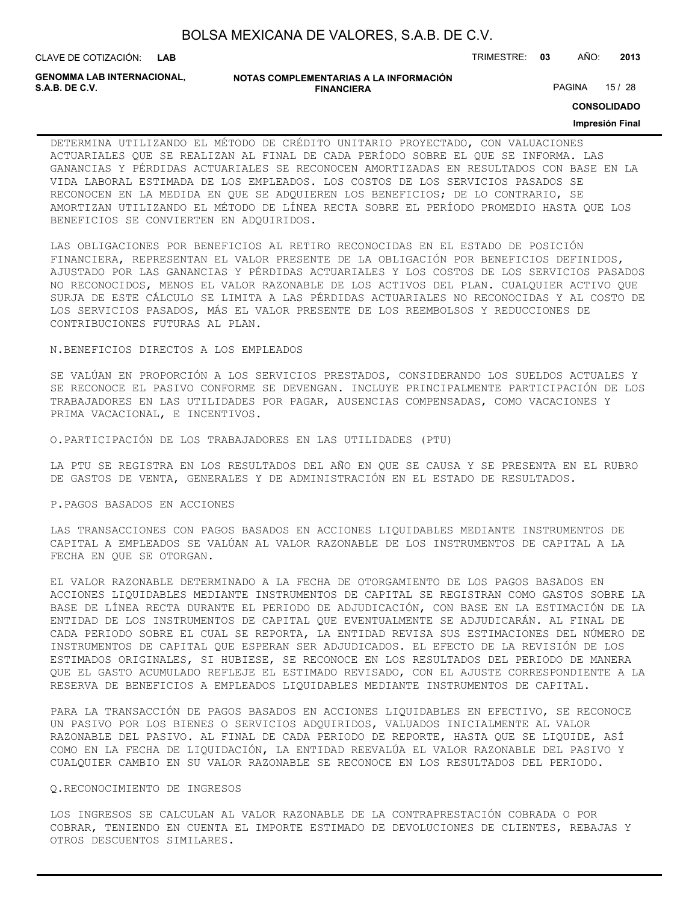**LAB**

CLAVE DE COTIZACIÓN: TRIMESTRE: **03** AÑO: **2013**

**GENOMMA LAB INTERNACIONAL,**

#### **NOTAS COMPLEMENTARIAS A LA INFORMACIÓN FINANCIERA**

PAGINA 15 / 28

**CONSOLIDADO**

#### **Impresión Final**

DETERMINA UTILIZANDO EL MÉTODO DE CRÉDITO UNITARIO PROYECTADO, CON VALUACIONES ACTUARIALES QUE SE REALIZAN AL FINAL DE CADA PERÍODO SOBRE EL QUE SE INFORMA. LAS GANANCIAS Y PÉRDIDAS ACTUARIALES SE RECONOCEN AMORTIZADAS EN RESULTADOS CON BASE EN LA VIDA LABORAL ESTIMADA DE LOS EMPLEADOS. LOS COSTOS DE LOS SERVICIOS PASADOS SE RECONOCEN EN LA MEDIDA EN QUE SE ADQUIEREN LOS BENEFICIOS; DE LO CONTRARIO, SE AMORTIZAN UTILIZANDO EL MÉTODO DE LÍNEA RECTA SOBRE EL PERÍODO PROMEDIO HASTA QUE LOS BENEFICIOS SE CONVIERTEN EN ADQUIRIDOS.

LAS OBLIGACIONES POR BENEFICIOS AL RETIRO RECONOCIDAS EN EL ESTADO DE POSICIÓN FINANCIERA, REPRESENTAN EL VALOR PRESENTE DE LA OBLIGACIÓN POR BENEFICIOS DEFINIDOS, AJUSTADO POR LAS GANANCIAS Y PÉRDIDAS ACTUARIALES Y LOS COSTOS DE LOS SERVICIOS PASADOS NO RECONOCIDOS, MENOS EL VALOR RAZONABLE DE LOS ACTIVOS DEL PLAN. CUALQUIER ACTIVO QUE SURJA DE ESTE CÁLCULO SE LIMITA A LAS PÉRDIDAS ACTUARIALES NO RECONOCIDAS Y AL COSTO DE LOS SERVICIOS PASADOS, MÁS EL VALOR PRESENTE DE LOS REEMBOLSOS Y REDUCCIONES DE CONTRIBUCIONES FUTURAS AL PLAN.

N.BENEFICIOS DIRECTOS A LOS EMPLEADOS

SE VALÚAN EN PROPORCIÓN A LOS SERVICIOS PRESTADOS, CONSIDERANDO LOS SUELDOS ACTUALES Y SE RECONOCE EL PASIVO CONFORME SE DEVENGAN. INCLUYE PRINCIPALMENTE PARTICIPACIÓN DE LOS TRABAJADORES EN LAS UTILIDADES POR PAGAR, AUSENCIAS COMPENSADAS, COMO VACACIONES Y PRIMA VACACIONAL, E INCENTIVOS.

O.PARTICIPACIÓN DE LOS TRABAJADORES EN LAS UTILIDADES (PTU)

LA PTU SE REGISTRA EN LOS RESULTADOS DEL AÑO EN QUE SE CAUSA Y SE PRESENTA EN EL RUBRO DE GASTOS DE VENTA, GENERALES Y DE ADMINISTRACIÓN EN EL ESTADO DE RESULTADOS.

#### P.PAGOS BASADOS EN ACCIONES

LAS TRANSACCIONES CON PAGOS BASADOS EN ACCIONES LIQUIDABLES MEDIANTE INSTRUMENTOS DE CAPITAL A EMPLEADOS SE VALÚAN AL VALOR RAZONABLE DE LOS INSTRUMENTOS DE CAPITAL A LA FECHA EN QUE SE OTORGAN.

EL VALOR RAZONABLE DETERMINADO A LA FECHA DE OTORGAMIENTO DE LOS PAGOS BASADOS EN ACCIONES LIQUIDABLES MEDIANTE INSTRUMENTOS DE CAPITAL SE REGISTRAN COMO GASTOS SOBRE LA BASE DE LÍNEA RECTA DURANTE EL PERIODO DE ADJUDICACIÓN, CON BASE EN LA ESTIMACIÓN DE LA ENTIDAD DE LOS INSTRUMENTOS DE CAPITAL QUE EVENTUALMENTE SE ADJUDICARÁN. AL FINAL DE CADA PERIODO SOBRE EL CUAL SE REPORTA, LA ENTIDAD REVISA SUS ESTIMACIONES DEL NÚMERO DE INSTRUMENTOS DE CAPITAL QUE ESPERAN SER ADJUDICADOS. EL EFECTO DE LA REVISIÓN DE LOS ESTIMADOS ORIGINALES, SI HUBIESE, SE RECONOCE EN LOS RESULTADOS DEL PERIODO DE MANERA QUE EL GASTO ACUMULADO REFLEJE EL ESTIMADO REVISADO, CON EL AJUSTE CORRESPONDIENTE A LA RESERVA DE BENEFICIOS A EMPLEADOS LIQUIDABLES MEDIANTE INSTRUMENTOS DE CAPITAL.

PARA LA TRANSACCIÓN DE PAGOS BASADOS EN ACCIONES LIQUIDABLES EN EFECTIVO, SE RECONOCE UN PASIVO POR LOS BIENES O SERVICIOS ADQUIRIDOS, VALUADOS INICIALMENTE AL VALOR RAZONABLE DEL PASIVO. AL FINAL DE CADA PERIODO DE REPORTE, HASTA QUE SE LIQUIDE, ASÍ COMO EN LA FECHA DE LIQUIDACIÓN, LA ENTIDAD REEVALÚA EL VALOR RAZONABLE DEL PASIVO Y CUALQUIER CAMBIO EN SU VALOR RAZONABLE SE RECONOCE EN LOS RESULTADOS DEL PERIODO.

#### Q.RECONOCIMIENTO DE INGRESOS

LOS INGRESOS SE CALCULAN AL VALOR RAZONABLE DE LA CONTRAPRESTACIÓN COBRADA O POR COBRAR, TENIENDO EN CUENTA EL IMPORTE ESTIMADO DE DEVOLUCIONES DE CLIENTES, REBAJAS Y OTROS DESCUENTOS SIMILARES.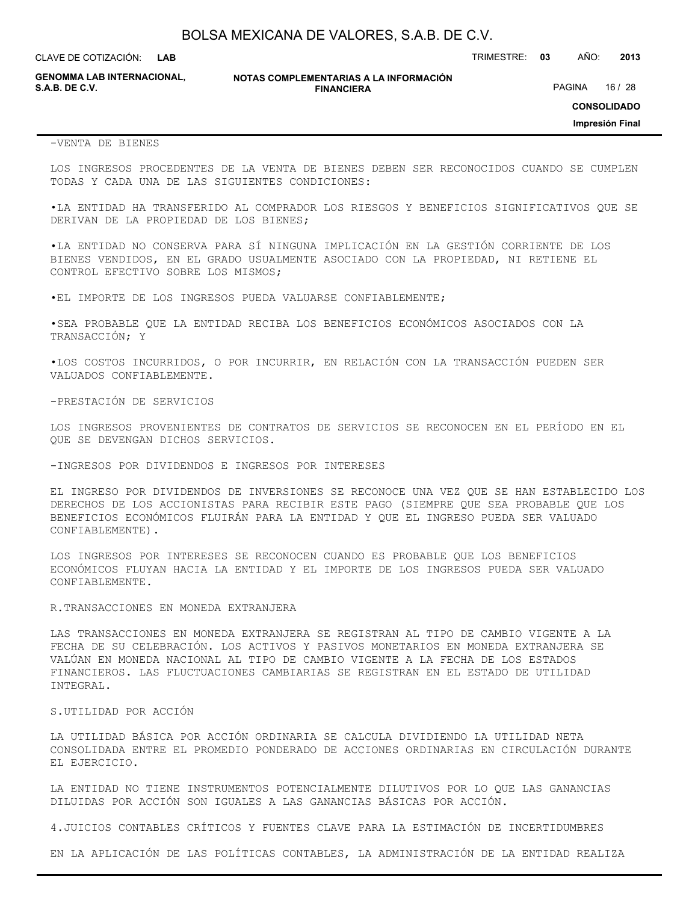CLAVE DE COTIZACIÓN: TRIMESTRE: **03** AÑO: **2013 LAB**

**GENOMMA LAB INTERNACIONAL,**

**NOTAS COMPLEMENTARIAS A LA INFORMACIÓN FINANCIERA S.A.B. DE C.V.** PAGINA 16 / 28

**CONSOLIDADO**

**Impresión Final**

#### -VENTA DE BIENES

LOS INGRESOS PROCEDENTES DE LA VENTA DE BIENES DEBEN SER RECONOCIDOS CUANDO SE CUMPLEN TODAS Y CADA UNA DE LAS SIGUIENTES CONDICIONES:

•LA ENTIDAD HA TRANSFERIDO AL COMPRADOR LOS RIESGOS Y BENEFICIOS SIGNIFICATIVOS QUE SE DERIVAN DE LA PROPIEDAD DE LOS BIENES;

•LA ENTIDAD NO CONSERVA PARA SÍ NINGUNA IMPLICACIÓN EN LA GESTIÓN CORRIENTE DE LOS BIENES VENDIDOS, EN EL GRADO USUALMENTE ASOCIADO CON LA PROPIEDAD, NI RETIENE EL CONTROL EFECTIVO SOBRE LOS MISMOS;

•EL IMPORTE DE LOS INGRESOS PUEDA VALUARSE CONFIABLEMENTE;

•SEA PROBABLE QUE LA ENTIDAD RECIBA LOS BENEFICIOS ECONÓMICOS ASOCIADOS CON LA TRANSACCIÓN; Y

•LOS COSTOS INCURRIDOS, O POR INCURRIR, EN RELACIÓN CON LA TRANSACCIÓN PUEDEN SER VALUADOS CONFIABLEMENTE.

-PRESTACIÓN DE SERVICIOS

LOS INGRESOS PROVENIENTES DE CONTRATOS DE SERVICIOS SE RECONOCEN EN EL PERÍODO EN EL QUE SE DEVENGAN DICHOS SERVICIOS.

-INGRESOS POR DIVIDENDOS E INGRESOS POR INTERESES

EL INGRESO POR DIVIDENDOS DE INVERSIONES SE RECONOCE UNA VEZ QUE SE HAN ESTABLECIDO LOS DERECHOS DE LOS ACCIONISTAS PARA RECIBIR ESTE PAGO (SIEMPRE QUE SEA PROBABLE QUE LOS BENEFICIOS ECONÓMICOS FLUIRÁN PARA LA ENTIDAD Y QUE EL INGRESO PUEDA SER VALUADO CONFIABLEMENTE).

LOS INGRESOS POR INTERESES SE RECONOCEN CUANDO ES PROBABLE QUE LOS BENEFICIOS ECONÓMICOS FLUYAN HACIA LA ENTIDAD Y EL IMPORTE DE LOS INGRESOS PUEDA SER VALUADO CONFIABLEMENTE.

#### R.TRANSACCIONES EN MONEDA EXTRANJERA

LAS TRANSACCIONES EN MONEDA EXTRANJERA SE REGISTRAN AL TIPO DE CAMBIO VIGENTE A LA FECHA DE SU CELEBRACIÓN. LOS ACTIVOS Y PASIVOS MONETARIOS EN MONEDA EXTRANJERA SE VALÚAN EN MONEDA NACIONAL AL TIPO DE CAMBIO VIGENTE A LA FECHA DE LOS ESTADOS FINANCIEROS. LAS FLUCTUACIONES CAMBIARIAS SE REGISTRAN EN EL ESTADO DE UTILIDAD INTEGRAL.

#### S.UTILIDAD POR ACCIÓN

LA UTILIDAD BÁSICA POR ACCIÓN ORDINARIA SE CALCULA DIVIDIENDO LA UTILIDAD NETA CONSOLIDADA ENTRE EL PROMEDIO PONDERADO DE ACCIONES ORDINARIAS EN CIRCULACIÓN DURANTE EL EJERCICIO.

LA ENTIDAD NO TIENE INSTRUMENTOS POTENCIALMENTE DILUTIVOS POR LO QUE LAS GANANCIAS DILUIDAS POR ACCIÓN SON IGUALES A LAS GANANCIAS BÁSICAS POR ACCIÓN.

4.JUICIOS CONTABLES CRÍTICOS Y FUENTES CLAVE PARA LA ESTIMACIÓN DE INCERTIDUMBRES

EN LA APLICACIÓN DE LAS POLÍTICAS CONTABLES, LA ADMINISTRACIÓN DE LA ENTIDAD REALIZA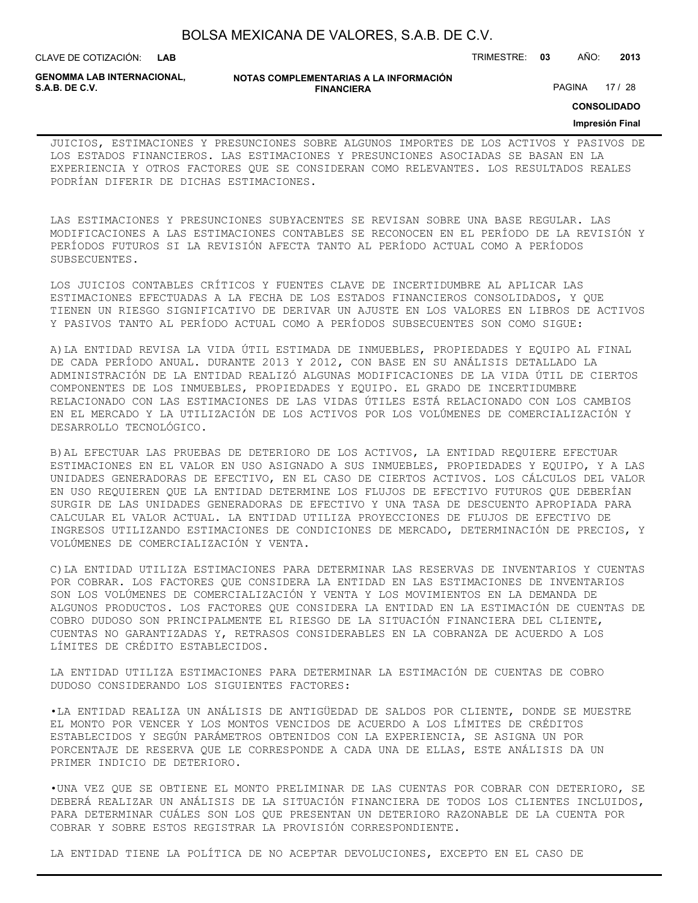| BOLSA MEXICANA DE VALORES, S.A.B. DE C.V. |  |
|-------------------------------------------|--|
|-------------------------------------------|--|

**LAB**

CLAVE DE COTIZACIÓN: TRIMESTRE: **03** AÑO: **2013**

**GENOMMA LAB INTERNACIONAL,**

**NOTAS COMPLEMENTARIAS A LA INFORMACIÓN FINANCIERA**

PAGINA 17 / 28

**CONSOLIDADO**

#### **Impresión Final**

JUICIOS, ESTIMACIONES Y PRESUNCIONES SOBRE ALGUNOS IMPORTES DE LOS ACTIVOS Y PASIVOS DE LOS ESTADOS FINANCIEROS. LAS ESTIMACIONES Y PRESUNCIONES ASOCIADAS SE BASAN EN LA EXPERIENCIA Y OTROS FACTORES QUE SE CONSIDERAN COMO RELEVANTES. LOS RESULTADOS REALES PODRÍAN DIFERIR DE DICHAS ESTIMACIONES.

LAS ESTIMACIONES Y PRESUNCIONES SUBYACENTES SE REVISAN SOBRE UNA BASE REGULAR. LAS MODIFICACIONES A LAS ESTIMACIONES CONTABLES SE RECONOCEN EN EL PERÍODO DE LA REVISIÓN Y PERÍODOS FUTUROS SI LA REVISIÓN AFECTA TANTO AL PERÍODO ACTUAL COMO A PERÍODOS SUBSECUENTES.

LOS JUICIOS CONTABLES CRÍTICOS Y FUENTES CLAVE DE INCERTIDUMBRE AL APLICAR LAS ESTIMACIONES EFECTUADAS A LA FECHA DE LOS ESTADOS FINANCIEROS CONSOLIDADOS, Y QUE TIENEN UN RIESGO SIGNIFICATIVO DE DERIVAR UN AJUSTE EN LOS VALORES EN LIBROS DE ACTIVOS Y PASIVOS TANTO AL PERÍODO ACTUAL COMO A PERÍODOS SUBSECUENTES SON COMO SIGUE:

A)LA ENTIDAD REVISA LA VIDA ÚTIL ESTIMADA DE INMUEBLES, PROPIEDADES Y EQUIPO AL FINAL DE CADA PERÍODO ANUAL. DURANTE 2013 Y 2012, CON BASE EN SU ANÁLISIS DETALLADO LA ADMINISTRACIÓN DE LA ENTIDAD REALIZÓ ALGUNAS MODIFICACIONES DE LA VIDA ÚTIL DE CIERTOS COMPONENTES DE LOS INMUEBLES, PROPIEDADES Y EQUIPO. EL GRADO DE INCERTIDUMBRE RELACIONADO CON LAS ESTIMACIONES DE LAS VIDAS ÚTILES ESTÁ RELACIONADO CON LOS CAMBIOS EN EL MERCADO Y LA UTILIZACIÓN DE LOS ACTIVOS POR LOS VOLÚMENES DE COMERCIALIZACIÓN Y DESARROLLO TECNOLÓGICO.

B)AL EFECTUAR LAS PRUEBAS DE DETERIORO DE LOS ACTIVOS, LA ENTIDAD REQUIERE EFECTUAR ESTIMACIONES EN EL VALOR EN USO ASIGNADO A SUS INMUEBLES, PROPIEDADES Y EQUIPO, Y A LAS UNIDADES GENERADORAS DE EFECTIVO, EN EL CASO DE CIERTOS ACTIVOS. LOS CÁLCULOS DEL VALOR EN USO REQUIEREN QUE LA ENTIDAD DETERMINE LOS FLUJOS DE EFECTIVO FUTUROS QUE DEBERÍAN SURGIR DE LAS UNIDADES GENERADORAS DE EFECTIVO Y UNA TASA DE DESCUENTO APROPIADA PARA CALCULAR EL VALOR ACTUAL. LA ENTIDAD UTILIZA PROYECCIONES DE FLUJOS DE EFECTIVO DE INGRESOS UTILIZANDO ESTIMACIONES DE CONDICIONES DE MERCADO, DETERMINACIÓN DE PRECIOS, Y VOLÚMENES DE COMERCIALIZACIÓN Y VENTA.

C)LA ENTIDAD UTILIZA ESTIMACIONES PARA DETERMINAR LAS RESERVAS DE INVENTARIOS Y CUENTAS POR COBRAR. LOS FACTORES QUE CONSIDERA LA ENTIDAD EN LAS ESTIMACIONES DE INVENTARIOS SON LOS VOLÚMENES DE COMERCIALIZACIÓN Y VENTA Y LOS MOVIMIENTOS EN LA DEMANDA DE ALGUNOS PRODUCTOS. LOS FACTORES QUE CONSIDERA LA ENTIDAD EN LA ESTIMACIÓN DE CUENTAS DE COBRO DUDOSO SON PRINCIPALMENTE EL RIESGO DE LA SITUACIÓN FINANCIERA DEL CLIENTE, CUENTAS NO GARANTIZADAS Y, RETRASOS CONSIDERABLES EN LA COBRANZA DE ACUERDO A LOS LÍMITES DE CRÉDITO ESTABLECIDOS.

LA ENTIDAD UTILIZA ESTIMACIONES PARA DETERMINAR LA ESTIMACIÓN DE CUENTAS DE COBRO DUDOSO CONSIDERANDO LOS SIGUIENTES FACTORES:

•LA ENTIDAD REALIZA UN ANÁLISIS DE ANTIGÜEDAD DE SALDOS POR CLIENTE, DONDE SE MUESTRE EL MONTO POR VENCER Y LOS MONTOS VENCIDOS DE ACUERDO A LOS LÍMITES DE CRÉDITOS ESTABLECIDOS Y SEGÚN PARÁMETROS OBTENIDOS CON LA EXPERIENCIA, SE ASIGNA UN POR PORCENTAJE DE RESERVA QUE LE CORRESPONDE A CADA UNA DE ELLAS, ESTE ANÁLISIS DA UN PRIMER INDICIO DE DETERIORO.

•UNA VEZ QUE SE OBTIENE EL MONTO PRELIMINAR DE LAS CUENTAS POR COBRAR CON DETERIORO, SE DEBERÁ REALIZAR UN ANÁLISIS DE LA SITUACIÓN FINANCIERA DE TODOS LOS CLIENTES INCLUIDOS, PARA DETERMINAR CUÁLES SON LOS QUE PRESENTAN UN DETERIORO RAZONABLE DE LA CUENTA POR COBRAR Y SOBRE ESTOS REGISTRAR LA PROVISIÓN CORRESPONDIENTE.

LA ENTIDAD TIENE LA POLÍTICA DE NO ACEPTAR DEVOLUCIONES, EXCEPTO EN EL CASO DE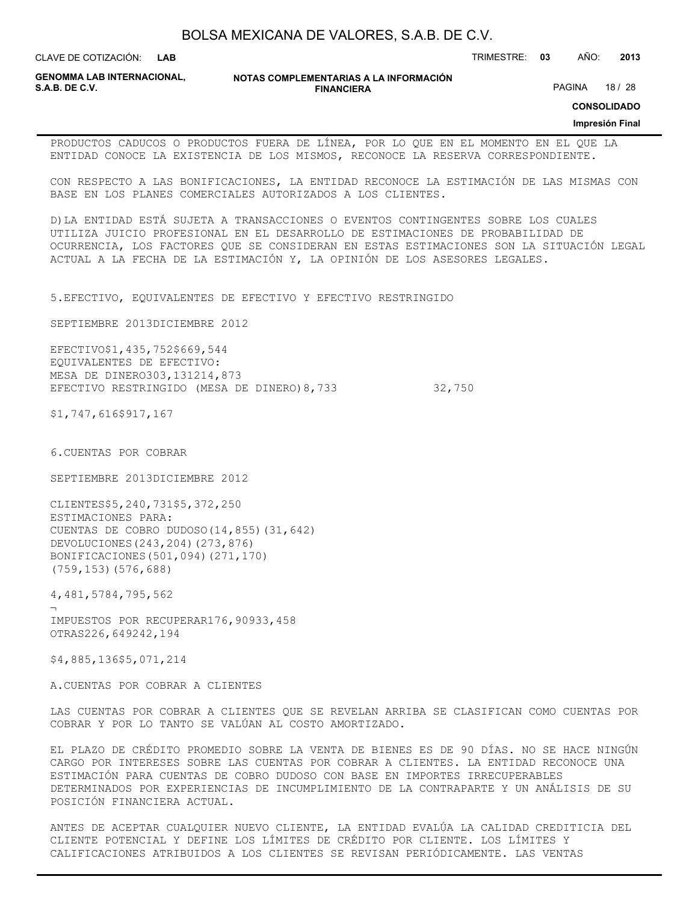**LAB**

CLAVE DE COTIZACIÓN: TRIMESTRE: **03** AÑO: **2013**

**GENOMMA LAB INTERNACIONAL,**

**NOTAS COMPLEMENTARIAS A LA INFORMACIÓN FINANCIERA**

PAGINA 18 / 28

**CONSOLIDADO**

#### **Impresión Final**

PRODUCTOS CADUCOS O PRODUCTOS FUERA DE LÍNEA, POR LO QUE EN EL MOMENTO EN EL QUE LA ENTIDAD CONOCE LA EXISTENCIA DE LOS MISMOS, RECONOCE LA RESERVA CORRESPONDIENTE.

CON RESPECTO A LAS BONIFICACIONES, LA ENTIDAD RECONOCE LA ESTIMACIÓN DE LAS MISMAS CON BASE EN LOS PLANES COMERCIALES AUTORIZADOS A LOS CLIENTES.

D)LA ENTIDAD ESTÁ SUJETA A TRANSACCIONES O EVENTOS CONTINGENTES SOBRE LOS CUALES UTILIZA JUICIO PROFESIONAL EN EL DESARROLLO DE ESTIMACIONES DE PROBABILIDAD DE OCURRENCIA, LOS FACTORES QUE SE CONSIDERAN EN ESTAS ESTIMACIONES SON LA SITUACIÓN LEGAL ACTUAL A LA FECHA DE LA ESTIMACIÓN Y, LA OPINIÓN DE LOS ASESORES LEGALES.

5.EFECTIVO, EQUIVALENTES DE EFECTIVO Y EFECTIVO RESTRINGIDO

SEPTIEMBRE 2013DICIEMBRE 2012

EFECTIVO\$1,435,752\$669,544 EQUIVALENTES DE EFECTIVO: MESA DE DINERO303,131214,873 EFECTIVO RESTRINGIDO (MESA DE DINERO) 8,733 32,750

\$1,747,616\$917,167

6.CUENTAS POR COBRAR

SEPTIEMBRE 2013DICIEMBRE 2012

CLIENTES\$5,240,731\$5,372,250 ESTIMACIONES PARA: CUENTAS DE COBRO DUDOSO(14,855)(31,642) DEVOLUCIONES(243,204)(273,876) BONIFICACIONES(501,094)(271,170) (759,153)(576,688)

4,481,5784,795,562

¬ IMPUESTOS POR RECUPERAR176,90933,458 OTRAS226,649242,194

\$4,885,136\$5,071,214

A.CUENTAS POR COBRAR A CLIENTES

LAS CUENTAS POR COBRAR A CLIENTES QUE SE REVELAN ARRIBA SE CLASIFICAN COMO CUENTAS POR COBRAR Y POR LO TANTO SE VALÚAN AL COSTO AMORTIZADO.

EL PLAZO DE CRÉDITO PROMEDIO SOBRE LA VENTA DE BIENES ES DE 90 DÍAS. NO SE HACE NINGÚN CARGO POR INTERESES SOBRE LAS CUENTAS POR COBRAR A CLIENTES. LA ENTIDAD RECONOCE UNA ESTIMACIÓN PARA CUENTAS DE COBRO DUDOSO CON BASE EN IMPORTES IRRECUPERABLES DETERMINADOS POR EXPERIENCIAS DE INCUMPLIMIENTO DE LA CONTRAPARTE Y UN ANÁLISIS DE SU POSICIÓN FINANCIERA ACTUAL.

ANTES DE ACEPTAR CUALQUIER NUEVO CLIENTE, LA ENTIDAD EVALÚA LA CALIDAD CREDITICIA DEL CLIENTE POTENCIAL Y DEFINE LOS LÍMITES DE CRÉDITO POR CLIENTE. LOS LÍMITES Y CALIFICACIONES ATRIBUIDOS A LOS CLIENTES SE REVISAN PERIÓDICAMENTE. LAS VENTAS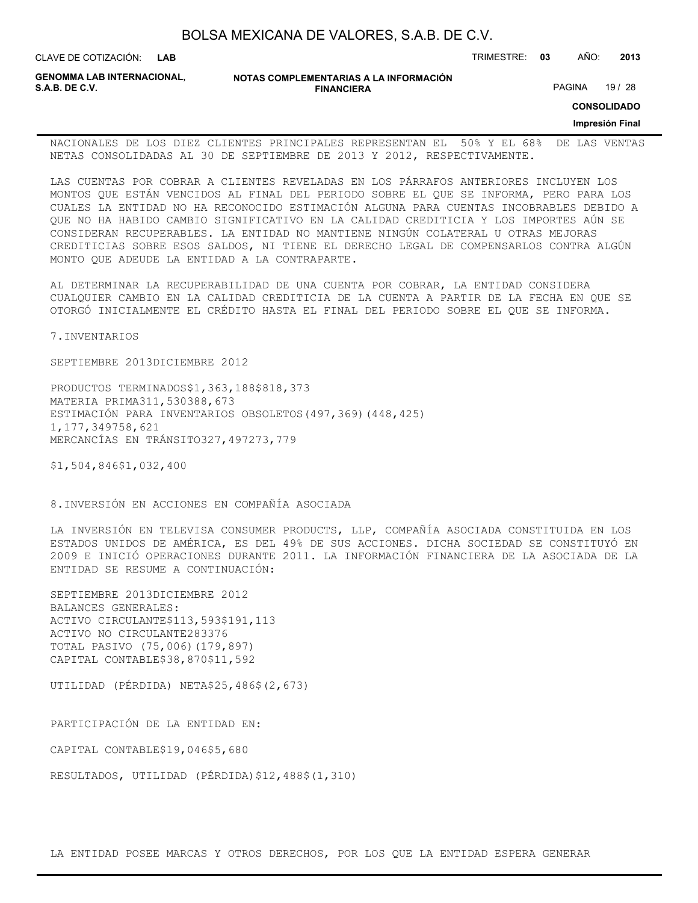| BOLSA MEXICANA DE VALORES, S.A.B. DE C.V. |  |  |
|-------------------------------------------|--|--|
|-------------------------------------------|--|--|

**LAB**

CLAVE DE COTIZACIÓN: TRIMESTRE: **03** AÑO: **2013**

**GENOMMA LAB INTERNACIONAL,**

**NOTAS COMPLEMENTARIAS A LA INFORMACIÓN FINANCIERA**

PAGINA 19 / 28

**CONSOLIDADO**

**Impresión Final**

NACIONALES DE LOS DIEZ CLIENTES PRINCIPALES REPRESENTAN EL 50% Y EL 68% DE LAS VENTAS NETAS CONSOLIDADAS AL 30 DE SEPTIEMBRE DE 2013 Y 2012, RESPECTIVAMENTE.

LAS CUENTAS POR COBRAR A CLIENTES REVELADAS EN LOS PÁRRAFOS ANTERIORES INCLUYEN LOS MONTOS QUE ESTÁN VENCIDOS AL FINAL DEL PERIODO SOBRE EL QUE SE INFORMA, PERO PARA LOS CUALES LA ENTIDAD NO HA RECONOCIDO ESTIMACIÓN ALGUNA PARA CUENTAS INCOBRABLES DEBIDO A QUE NO HA HABIDO CAMBIO SIGNIFICATIVO EN LA CALIDAD CREDITICIA Y LOS IMPORTES AÚN SE CONSIDERAN RECUPERABLES. LA ENTIDAD NO MANTIENE NINGÚN COLATERAL U OTRAS MEJORAS CREDITICIAS SOBRE ESOS SALDOS, NI TIENE EL DERECHO LEGAL DE COMPENSARLOS CONTRA ALGÚN MONTO QUE ADEUDE LA ENTIDAD A LA CONTRAPARTE.

AL DETERMINAR LA RECUPERABILIDAD DE UNA CUENTA POR COBRAR, LA ENTIDAD CONSIDERA CUALQUIER CAMBIO EN LA CALIDAD CREDITICIA DE LA CUENTA A PARTIR DE LA FECHA EN QUE SE OTORGÓ INICIALMENTE EL CRÉDITO HASTA EL FINAL DEL PERIODO SOBRE EL QUE SE INFORMA.

7.INVENTARIOS

SEPTIEMBRE 2013DICIEMBRE 2012

PRODUCTOS TERMINADOS\$1,363,188\$818,373 MATERIA PRIMA311,530388,673 ESTIMACIÓN PARA INVENTARIOS OBSOLETOS(497,369)(448,425) 1,177,349758,621 MERCANCÍAS EN TRÁNSITO327,497273,779

\$1,504,846\$1,032,400

8.INVERSIÓN EN ACCIONES EN COMPAÑÍA ASOCIADA

LA INVERSIÓN EN TELEVISA CONSUMER PRODUCTS, LLP, COMPAÑÍA ASOCIADA CONSTITUIDA EN LOS ESTADOS UNIDOS DE AMÉRICA, ES DEL 49% DE SUS ACCIONES. DICHA SOCIEDAD SE CONSTITUYÓ EN 2009 E INICIÓ OPERACIONES DURANTE 2011. LA INFORMACIÓN FINANCIERA DE LA ASOCIADA DE LA ENTIDAD SE RESUME A CONTINUACIÓN:

SEPTIEMBRE 2013DICIEMBRE 2012 BALANCES GENERALES: ACTIVO CIRCULANTE\$113,593\$191,113 ACTIVO NO CIRCULANTE283376 TOTAL PASIVO (75,006)(179,897) CAPITAL CONTABLE\$38,870\$11,592

UTILIDAD (PÉRDIDA) NETA\$25,486\$(2,673)

PARTICIPACIÓN DE LA ENTIDAD EN:

CAPITAL CONTABLE\$19,046\$5,680

RESULTADOS, UTILIDAD (PÉRDIDA)\$12,488\$(1,310)

LA ENTIDAD POSEE MARCAS Y OTROS DERECHOS, POR LOS QUE LA ENTIDAD ESPERA GENERAR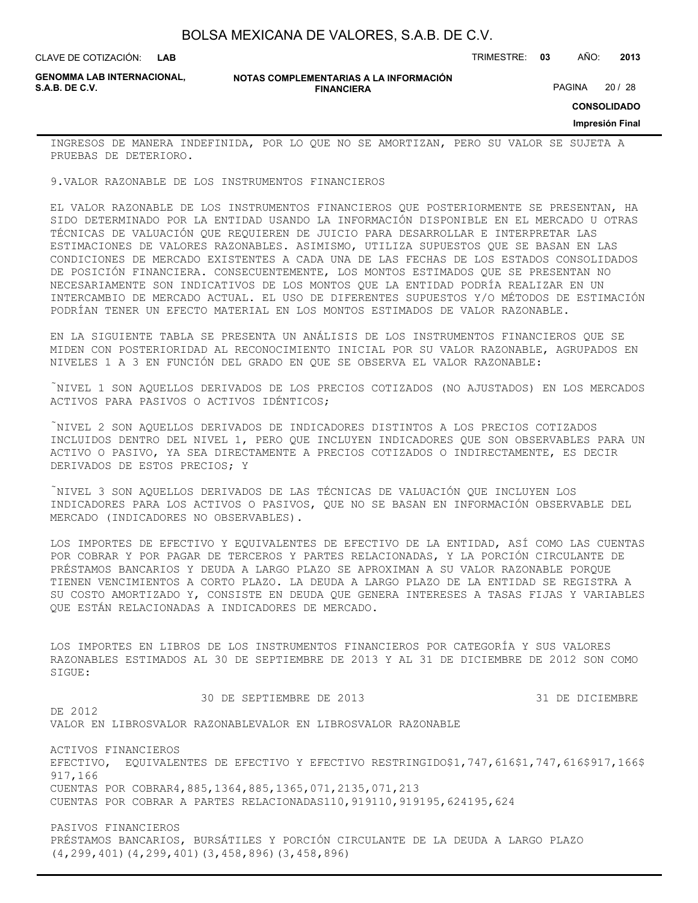**LAB**

CLAVE DE COTIZACIÓN: TRIMESTRE: **03** AÑO: **2013**

**GENOMMA LAB INTERNACIONAL,**

#### **NOTAS COMPLEMENTARIAS A LA INFORMACIÓN FINANCIERA**

PAGINA 20 / 28

**CONSOLIDADO**

**Impresión Final**

INGRESOS DE MANERA INDEFINIDA, POR LO QUE NO SE AMORTIZAN, PERO SU VALOR SE SUJETA A PRUEBAS DE DETERIORO.

9.VALOR RAZONABLE DE LOS INSTRUMENTOS FINANCIEROS

EL VALOR RAZONABLE DE LOS INSTRUMENTOS FINANCIEROS QUE POSTERIORMENTE SE PRESENTAN, HA SIDO DETERMINADO POR LA ENTIDAD USANDO LA INFORMACIÓN DISPONIBLE EN EL MERCADO U OTRAS TÉCNICAS DE VALUACIÓN QUE REQUIEREN DE JUICIO PARA DESARROLLAR E INTERPRETAR LAS ESTIMACIONES DE VALORES RAZONABLES. ASIMISMO, UTILIZA SUPUESTOS QUE SE BASAN EN LAS CONDICIONES DE MERCADO EXISTENTES A CADA UNA DE LAS FECHAS DE LOS ESTADOS CONSOLIDADOS DE POSICIÓN FINANCIERA. CONSECUENTEMENTE, LOS MONTOS ESTIMADOS QUE SE PRESENTAN NO NECESARIAMENTE SON INDICATIVOS DE LOS MONTOS QUE LA ENTIDAD PODRÍA REALIZAR EN UN INTERCAMBIO DE MERCADO ACTUAL. EL USO DE DIFERENTES SUPUESTOS Y/O MÉTODOS DE ESTIMACIÓN PODRÍAN TENER UN EFECTO MATERIAL EN LOS MONTOS ESTIMADOS DE VALOR RAZONABLE.

EN LA SIGUIENTE TABLA SE PRESENTA UN ANÁLISIS DE LOS INSTRUMENTOS FINANCIEROS QUE SE MIDEN CON POSTERIORIDAD AL RECONOCIMIENTO INICIAL POR SU VALOR RAZONABLE, AGRUPADOS EN NIVELES 1 A 3 EN FUNCIÓN DEL GRADO EN QUE SE OBSERVA EL VALOR RAZONABLE:

NIVEL 1 SON AQUELLOS DERIVADOS DE LOS PRECIOS COTIZADOS (NO AJUSTADOS) EN LOS MERCADOS ACTIVOS PARA PASIVOS O ACTIVOS IDÉNTICOS;

NIVEL 2 SON AQUELLOS DERIVADOS DE INDICADORES DISTINTOS A LOS PRECIOS COTIZADOS INCLUIDOS DENTRO DEL NIVEL 1, PERO QUE INCLUYEN INDICADORES QUE SON OBSERVABLES PARA UN ACTIVO O PASIVO, YA SEA DIRECTAMENTE A PRECIOS COTIZADOS O INDIRECTAMENTE, ES DECIR DERIVADOS DE ESTOS PRECIOS; Y

NIVEL 3 SON AQUELLOS DERIVADOS DE LAS TÉCNICAS DE VALUACIÓN QUE INCLUYEN LOS INDICADORES PARA LOS ACTIVOS O PASIVOS, QUE NO SE BASAN EN INFORMACIÓN OBSERVABLE DEL MERCADO (INDICADORES NO OBSERVABLES).

LOS IMPORTES DE EFECTIVO Y EQUIVALENTES DE EFECTIVO DE LA ENTIDAD, ASÍ COMO LAS CUENTAS POR COBRAR Y POR PAGAR DE TERCEROS Y PARTES RELACIONADAS, Y LA PORCIÓN CIRCULANTE DE PRÉSTAMOS BANCARIOS Y DEUDA A LARGO PLAZO SE APROXIMAN A SU VALOR RAZONABLE PORQUE TIENEN VENCIMIENTOS A CORTO PLAZO. LA DEUDA A LARGO PLAZO DE LA ENTIDAD SE REGISTRA A SU COSTO AMORTIZADO Y, CONSISTE EN DEUDA QUE GENERA INTERESES A TASAS FIJAS Y VARIABLES QUE ESTÁN RELACIONADAS A INDICADORES DE MERCADO.

LOS IMPORTES EN LIBROS DE LOS INSTRUMENTOS FINANCIEROS POR CATEGORÍA Y SUS VALORES RAZONABLES ESTIMADOS AL 30 DE SEPTIEMBRE DE 2013 Y AL 31 DE DICIEMBRE DE 2012 SON COMO SIGUE:

 30 DE SEPTIEMBRE DE 2013 31 DE DICIEMBRE DE 2012 VALOR EN LIBROSVALOR RAZONABLEVALOR EN LIBROSVALOR RAZONABLE

ACTIVOS FINANCIEROS EFECTIVO, EQUIVALENTES DE EFECTIVO Y EFECTIVO RESTRINGIDO\$1,747,616\$1,747,616\$917,166\$ 917,166 CUENTAS POR COBRAR4,885,1364,885,1365,071,2135,071,213 CUENTAS POR COBRAR A PARTES RELACIONADAS110,919110,919195,624195,624

PASIVOS FINANCIEROS PRÉSTAMOS BANCARIOS, BURSÁTILES Y PORCIÓN CIRCULANTE DE LA DEUDA A LARGO PLAZO (4,299,401)(4,299,401)(3,458,896)(3,458,896)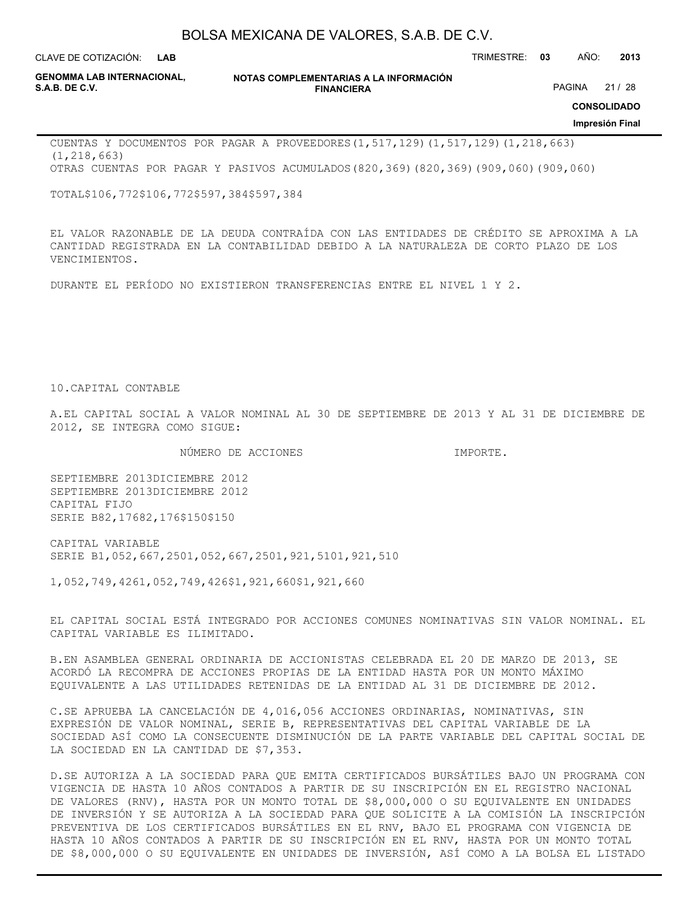**LAB**

CLAVE DE COTIZACIÓN: TRIMESTRE: **03** AÑO: **2013**

**GENOMMA LAB INTERNACIONAL,**

**NOTAS COMPLEMENTARIAS A LA INFORMACIÓN FINANCIERA**

PAGINA 21 / 28

**CONSOLIDADO**

**Impresión Final**

CUENTAS Y DOCUMENTOS POR PAGAR A PROVEEDORES(1,517,129)(1,517,129)(1,218,663) (1,218,663) OTRAS CUENTAS POR PAGAR Y PASIVOS ACUMULADOS(820,369)(820,369)(909,060)(909,060)

TOTAL\$106,772\$106,772\$597,384\$597,384

EL VALOR RAZONABLE DE LA DEUDA CONTRAÍDA CON LAS ENTIDADES DE CRÉDITO SE APROXIMA A LA CANTIDAD REGISTRADA EN LA CONTABILIDAD DEBIDO A LA NATURALEZA DE CORTO PLAZO DE LOS VENCIMIENTOS.

DURANTE EL PERÍODO NO EXISTIERON TRANSFERENCIAS ENTRE EL NIVEL 1 Y 2.

10.CAPITAL CONTABLE

A.EL CAPITAL SOCIAL A VALOR NOMINAL AL 30 DE SEPTIEMBRE DE 2013 Y AL 31 DE DICIEMBRE DE 2012, SE INTEGRA COMO SIGUE:

NÚMERO DE ACCIONES IMPORTE.

SEPTIEMBRE 2013DICIEMBRE 2012 SEPTIEMBRE 2013DICIEMBRE 2012 CAPITAL FIJO SERIE B82,17682,176\$150\$150

CAPITAL VARIABLE SERIE B1,052,667,2501,052,667,2501,921,5101,921,510

1,052,749,4261,052,749,426\$1,921,660\$1,921,660

EL CAPITAL SOCIAL ESTÁ INTEGRADO POR ACCIONES COMUNES NOMINATIVAS SIN VALOR NOMINAL. EL CAPITAL VARIABLE ES ILIMITADO.

B.EN ASAMBLEA GENERAL ORDINARIA DE ACCIONISTAS CELEBRADA EL 20 DE MARZO DE 2013, SE ACORDÓ LA RECOMPRA DE ACCIONES PROPIAS DE LA ENTIDAD HASTA POR UN MONTO MÁXIMO EQUIVALENTE A LAS UTILIDADES RETENIDAS DE LA ENTIDAD AL 31 DE DICIEMBRE DE 2012.

C.SE APRUEBA LA CANCELACIÓN DE 4,016,056 ACCIONES ORDINARIAS, NOMINATIVAS, SIN EXPRESIÓN DE VALOR NOMINAL, SERIE B, REPRESENTATIVAS DEL CAPITAL VARIABLE DE LA SOCIEDAD ASÍ COMO LA CONSECUENTE DISMINUCIÓN DE LA PARTE VARIABLE DEL CAPITAL SOCIAL DE LA SOCIEDAD EN LA CANTIDAD DE \$7,353.

D.SE AUTORIZA A LA SOCIEDAD PARA QUE EMITA CERTIFICADOS BURSÁTILES BAJO UN PROGRAMA CON VIGENCIA DE HASTA 10 AÑOS CONTADOS A PARTIR DE SU INSCRIPCIÓN EN EL REGISTRO NACIONAL DE VALORES (RNV), HASTA POR UN MONTO TOTAL DE \$8,000,000 O SU EQUIVALENTE EN UNIDADES DE INVERSIÓN Y SE AUTORIZA A LA SOCIEDAD PARA QUE SOLICITE A LA COMISIÓN LA INSCRIPCIÓN PREVENTIVA DE LOS CERTIFICADOS BURSÁTILES EN EL RNV, BAJO EL PROGRAMA CON VIGENCIA DE HASTA 10 AÑOS CONTADOS A PARTIR DE SU INSCRIPCIÓN EN EL RNV, HASTA POR UN MONTO TOTAL DE \$8,000,000 O SU EQUIVALENTE EN UNIDADES DE INVERSIÓN, ASÍ COMO A LA BOLSA EL LISTADO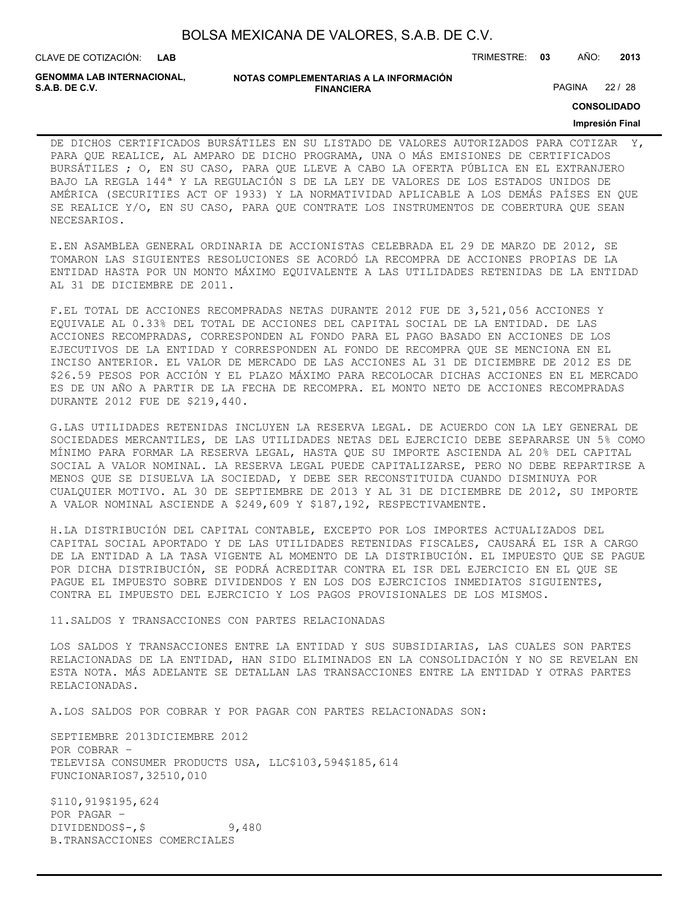| BOLSA MEXICANA DE VALORES, S.A.B. DE C.V. |  |  |  |
|-------------------------------------------|--|--|--|
|-------------------------------------------|--|--|--|

CLAVE DE COTIZACIÓN: TRIMESTRE: **03** AÑO: **2013 LAB**

**GENOMMA LAB INTERNACIONAL,**

#### **NOTAS COMPLEMENTARIAS A LA INFORMACIÓN FINANCIERA**

PAGINA 22 / 28

**CONSOLIDADO**

### **Impresión Final**

DE DICHOS CERTIFICADOS BURSÁTILES EN SU LISTADO DE VALORES AUTORIZADOS PARA COTIZAR PARA QUE REALICE, AL AMPARO DE DICHO PROGRAMA, UNA O MÁS EMISIONES DE CERTIFICADOS BURSÁTILES ; O, EN SU CASO, PARA QUE LLEVE A CABO LA OFERTA PÚBLICA EN EL EXTRANJERO BAJO LA REGLA 144ª Y LA REGULACIÓN S DE LA LEY DE VALORES DE LOS ESTADOS UNIDOS DE AMÉRICA (SECURITIES ACT OF 1933) Y LA NORMATIVIDAD APLICABLE A LOS DEMÁS PAÍSES EN QUE SE REALICE Y/O, EN SU CASO, PARA QUE CONTRATE LOS INSTRUMENTOS DE COBERTURA QUE SEAN NECESARIOS.

E.EN ASAMBLEA GENERAL ORDINARIA DE ACCIONISTAS CELEBRADA EL 29 DE MARZO DE 2012, SE TOMARON LAS SIGUIENTES RESOLUCIONES SE ACORDÓ LA RECOMPRA DE ACCIONES PROPIAS DE LA ENTIDAD HASTA POR UN MONTO MÁXIMO EQUIVALENTE A LAS UTILIDADES RETENIDAS DE LA ENTIDAD AL 31 DE DICIEMBRE DE 2011.

F.EL TOTAL DE ACCIONES RECOMPRADAS NETAS DURANTE 2012 FUE DE 3,521,056 ACCIONES Y EQUIVALE AL 0.33% DEL TOTAL DE ACCIONES DEL CAPITAL SOCIAL DE LA ENTIDAD. DE LAS ACCIONES RECOMPRADAS, CORRESPONDEN AL FONDO PARA EL PAGO BASADO EN ACCIONES DE LOS EJECUTIVOS DE LA ENTIDAD Y CORRESPONDEN AL FONDO DE RECOMPRA QUE SE MENCIONA EN EL INCISO ANTERIOR. EL VALOR DE MERCADO DE LAS ACCIONES AL 31 DE DICIEMBRE DE 2012 ES DE \$26.59 PESOS POR ACCIÓN Y EL PLAZO MÁXIMO PARA RECOLOCAR DICHAS ACCIONES EN EL MERCADO ES DE UN AÑO A PARTIR DE LA FECHA DE RECOMPRA. EL MONTO NETO DE ACCIONES RECOMPRADAS DURANTE 2012 FUE DE \$219,440.

G.LAS UTILIDADES RETENIDAS INCLUYEN LA RESERVA LEGAL. DE ACUERDO CON LA LEY GENERAL DE SOCIEDADES MERCANTILES, DE LAS UTILIDADES NETAS DEL EJERCICIO DEBE SEPARARSE UN 5% COMO MÍNIMO PARA FORMAR LA RESERVA LEGAL, HASTA QUE SU IMPORTE ASCIENDA AL 20% DEL CAPITAL SOCIAL A VALOR NOMINAL. LA RESERVA LEGAL PUEDE CAPITALIZARSE, PERO NO DEBE REPARTIRSE A MENOS QUE SE DISUELVA LA SOCIEDAD, Y DEBE SER RECONSTITUIDA CUANDO DISMINUYA POR CUALQUIER MOTIVO. AL 30 DE SEPTIEMBRE DE 2013 Y AL 31 DE DICIEMBRE DE 2012, SU IMPORTE A VALOR NOMINAL ASCIENDE A \$249,609 Y \$187,192, RESPECTIVAMENTE.

H.LA DISTRIBUCIÓN DEL CAPITAL CONTABLE, EXCEPTO POR LOS IMPORTES ACTUALIZADOS DEL CAPITAL SOCIAL APORTADO Y DE LAS UTILIDADES RETENIDAS FISCALES, CAUSARÁ EL ISR A CARGO DE LA ENTIDAD A LA TASA VIGENTE AL MOMENTO DE LA DISTRIBUCIÓN. EL IMPUESTO QUE SE PAGUE POR DICHA DISTRIBUCIÓN, SE PODRÁ ACREDITAR CONTRA EL ISR DEL EJERCICIO EN EL QUE SE PAGUE EL IMPUESTO SOBRE DIVIDENDOS Y EN LOS DOS EJERCICIOS INMEDIATOS SIGUIENTES, CONTRA EL IMPUESTO DEL EJERCICIO Y LOS PAGOS PROVISIONALES DE LOS MISMOS.

#### 11.SALDOS Y TRANSACCIONES CON PARTES RELACIONADAS

LOS SALDOS Y TRANSACCIONES ENTRE LA ENTIDAD Y SUS SUBSIDIARIAS, LAS CUALES SON PARTES RELACIONADAS DE LA ENTIDAD, HAN SIDO ELIMINADOS EN LA CONSOLIDACIÓN Y NO SE REVELAN EN ESTA NOTA. MÁS ADELANTE SE DETALLAN LAS TRANSACCIONES ENTRE LA ENTIDAD Y OTRAS PARTES RELACIONADAS.

A.LOS SALDOS POR COBRAR Y POR PAGAR CON PARTES RELACIONADAS SON:

SEPTIEMBRE 2013DICIEMBRE 2012 POR COBRAR – TELEVISA CONSUMER PRODUCTS USA, LLC\$103,594\$185,614 FUNCIONARIOS7,32510,010

\$110,919\$195,624 POR PAGAR –  $DIVIDENDOS$-,$ \$ 9,480 B.TRANSACCIONES COMERCIALES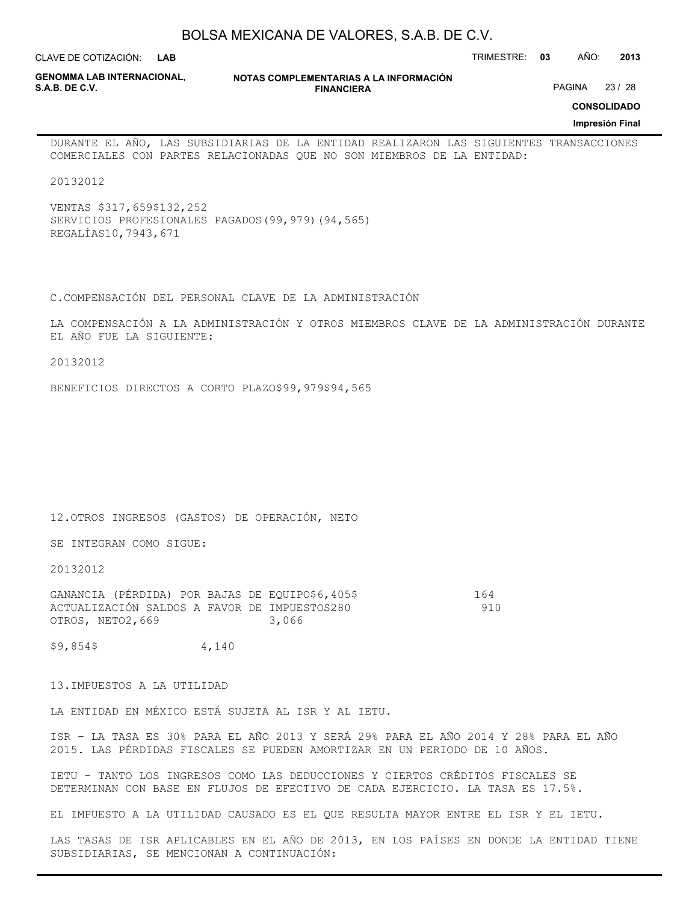**LAB**

CLAVE DE COTIZACIÓN: TRIMESTRE: **03** AÑO: **2013**

**GENOMMA LAB INTERNACIONAL,**

**NOTAS COMPLEMENTARIAS A LA INFORMACIÓN FINANCIERA**

PAGINA 23 / 28

**CONSOLIDADO**

**Impresión Final**

DURANTE EL AÑO, LAS SUBSIDIARIAS DE LA ENTIDAD REALIZARON LAS SIGUIENTES TRANSACCIONES COMERCIALES CON PARTES RELACIONADAS QUE NO SON MIEMBROS DE LA ENTIDAD:

20132012

VENTAS \$317,659\$132,252 SERVICIOS PROFESIONALES PAGADOS(99,979)(94,565) REGALÍAS10,7943,671

C.COMPENSACIÓN DEL PERSONAL CLAVE DE LA ADMINISTRACIÓN

LA COMPENSACIÓN A LA ADMINISTRACIÓN Y OTROS MIEMBROS CLAVE DE LA ADMINISTRACIÓN DURANTE EL AÑO FUE LA SIGUIENTE:

20132012

BENEFICIOS DIRECTOS A CORTO PLAZO\$99,979\$94,565

12.OTROS INGRESOS (GASTOS) DE OPERACIÓN, NETO

SE INTEGRAN COMO SIGUE:

20132012

GANANCIA (PÉRDIDA) POR BAJAS DE EQUIPO\$6,405\$ 164 ACTUALIZACIÓN SALDOS A FAVOR DE IMPUESTOS280 910 OTROS, NETO2, 669 3,066

\$9,854\$ 4,140

13.IMPUESTOS A LA UTILIDAD

LA ENTIDAD EN MÉXICO ESTÁ SUJETA AL ISR Y AL IETU.

ISR – LA TASA ES 30% PARA EL AÑO 2013 Y SERÁ 29% PARA EL AÑO 2014 Y 28% PARA EL AÑO 2015. LAS PÉRDIDAS FISCALES SE PUEDEN AMORTIZAR EN UN PERIODO DE 10 AÑOS.

IETU – TANTO LOS INGRESOS COMO LAS DEDUCCIONES Y CIERTOS CRÉDITOS FISCALES SE DETERMINAN CON BASE EN FLUJOS DE EFECTIVO DE CADA EJERCICIO. LA TASA ES 17.5%.

EL IMPUESTO A LA UTILIDAD CAUSADO ES EL QUE RESULTA MAYOR ENTRE EL ISR Y EL IETU.

LAS TASAS DE ISR APLICABLES EN EL AÑO DE 2013, EN LOS PAÍSES EN DONDE LA ENTIDAD TIENE SUBSIDIARIAS, SE MENCIONAN A CONTINUACIÓN: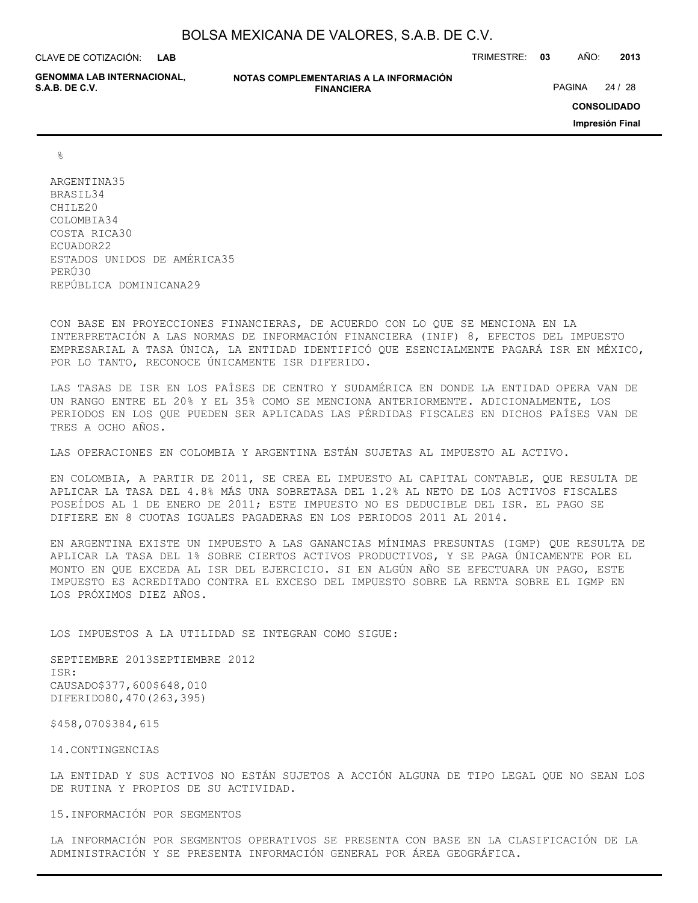**LAB**

**GENOMMA LAB INTERNACIONAL,**

**NOTAS COMPLEMENTARIAS A LA INFORMACIÓN FINANCIERA**

CLAVE DE COTIZACIÓN: TRIMESTRE: **03** AÑO: **2013**

PAGINA 24 / 28

**CONSOLIDADO**

**Impresión Final**

%

ARGENTINA35 BRASIL34 CHILE20 COLOMBIA34 COSTA RICA30 ECUADOR22 ESTADOS UNIDOS DE AMÉRICA35 PERÚ30 REPÚBLICA DOMINICANA29

CON BASE EN PROYECCIONES FINANCIERAS, DE ACUERDO CON LO QUE SE MENCIONA EN LA INTERPRETACIÓN A LAS NORMAS DE INFORMACIÓN FINANCIERA (INIF) 8, EFECTOS DEL IMPUESTO EMPRESARIAL A TASA ÚNICA, LA ENTIDAD IDENTIFICÓ QUE ESENCIALMENTE PAGARÁ ISR EN MÉXICO, POR LO TANTO, RECONOCE ÚNICAMENTE ISR DIFERIDO.

LAS TASAS DE ISR EN LOS PAÍSES DE CENTRO Y SUDAMÉRICA EN DONDE LA ENTIDAD OPERA VAN DE UN RANGO ENTRE EL 20% Y EL 35% COMO SE MENCIONA ANTERIORMENTE. ADICIONALMENTE, LOS PERIODOS EN LOS QUE PUEDEN SER APLICADAS LAS PÉRDIDAS FISCALES EN DICHOS PAÍSES VAN DE TRES A OCHO AÑOS.

LAS OPERACIONES EN COLOMBIA Y ARGENTINA ESTÁN SUJETAS AL IMPUESTO AL ACTIVO.

EN COLOMBIA, A PARTIR DE 2011, SE CREA EL IMPUESTO AL CAPITAL CONTABLE, QUE RESULTA DE APLICAR LA TASA DEL 4.8% MÁS UNA SOBRETASA DEL 1.2% AL NETO DE LOS ACTIVOS FISCALES POSEÍDOS AL 1 DE ENERO DE 2011; ESTE IMPUESTO NO ES DEDUCIBLE DEL ISR. EL PAGO SE DIFIERE EN 8 CUOTAS IGUALES PAGADERAS EN LOS PERIODOS 2011 AL 2014.

EN ARGENTINA EXISTE UN IMPUESTO A LAS GANANCIAS MÍNIMAS PRESUNTAS (IGMP) QUE RESULTA DE APLICAR LA TASA DEL 1% SOBRE CIERTOS ACTIVOS PRODUCTIVOS, Y SE PAGA ÚNICAMENTE POR EL MONTO EN QUE EXCEDA AL ISR DEL EJERCICIO. SI EN ALGÚN AÑO SE EFECTUARA UN PAGO, ESTE IMPUESTO ES ACREDITADO CONTRA EL EXCESO DEL IMPUESTO SOBRE LA RENTA SOBRE EL IGMP EN LOS PRÓXIMOS DIEZ AÑOS.

LOS IMPUESTOS A LA UTILIDAD SE INTEGRAN COMO SIGUE:

SEPTIEMBRE 2013SEPTIEMBRE 2012 ISR: CAUSADO\$377,600\$648,010 DIFERIDO80,470(263,395)

\$458,070\$384,615

14.CONTINGENCIAS

LA ENTIDAD Y SUS ACTIVOS NO ESTÁN SUJETOS A ACCIÓN ALGUNA DE TIPO LEGAL QUE NO SEAN LOS DE RUTINA Y PROPIOS DE SU ACTIVIDAD.

15.INFORMACIÓN POR SEGMENTOS

LA INFORMACIÓN POR SEGMENTOS OPERATIVOS SE PRESENTA CON BASE EN LA CLASIFICACIÓN DE LA ADMINISTRACIÓN Y SE PRESENTA INFORMACIÓN GENERAL POR ÁREA GEOGRÁFICA.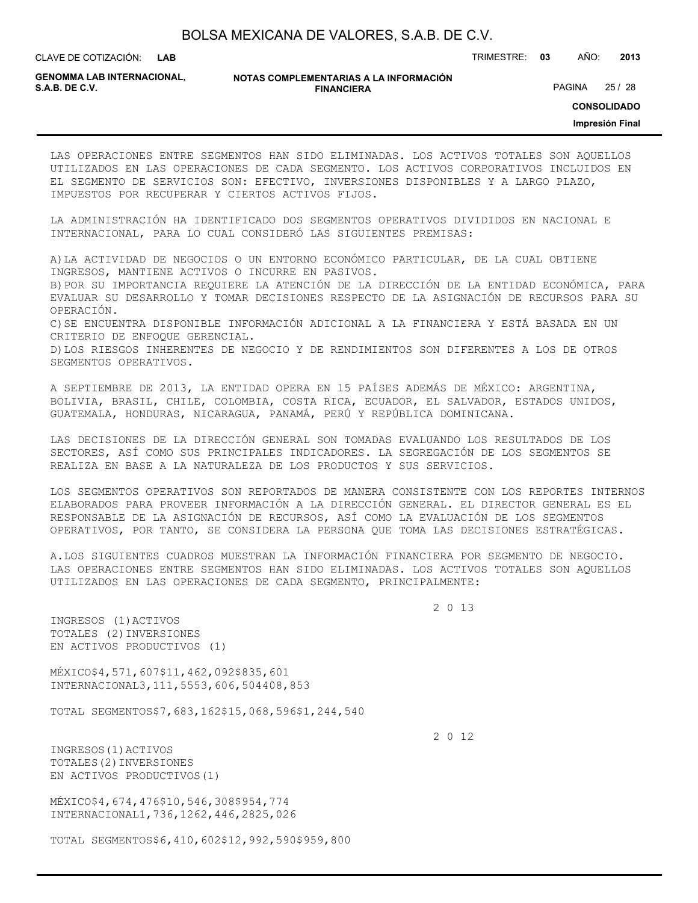**LAB**

CLAVE DE COTIZACIÓN: TRIMESTRE: **03** AÑO: **2013**

**GENOMMA LAB INTERNACIONAL,**

**NOTAS COMPLEMENTARIAS A LA INFORMACIÓN FINANCIERA S.A.B. DE C.V.** PAGINA 25 / 28

**CONSOLIDADO**

**Impresión Final**

LAS OPERACIONES ENTRE SEGMENTOS HAN SIDO ELIMINADAS. LOS ACTIVOS TOTALES SON AQUELLOS UTILIZADOS EN LAS OPERACIONES DE CADA SEGMENTO. LOS ACTIVOS CORPORATIVOS INCLUIDOS EN EL SEGMENTO DE SERVICIOS SON: EFECTIVO, INVERSIONES DISPONIBLES Y A LARGO PLAZO, IMPUESTOS POR RECUPERAR Y CIERTOS ACTIVOS FIJOS.

LA ADMINISTRACIÓN HA IDENTIFICADO DOS SEGMENTOS OPERATIVOS DIVIDIDOS EN NACIONAL E INTERNACIONAL, PARA LO CUAL CONSIDERÓ LAS SIGUIENTES PREMISAS:

A)LA ACTIVIDAD DE NEGOCIOS O UN ENTORNO ECONÓMICO PARTICULAR, DE LA CUAL OBTIENE INGRESOS, MANTIENE ACTIVOS O INCURRE EN PASIVOS.

B)POR SU IMPORTANCIA REQUIERE LA ATENCIÓN DE LA DIRECCIÓN DE LA ENTIDAD ECONÓMICA, PARA EVALUAR SU DESARROLLO Y TOMAR DECISIONES RESPECTO DE LA ASIGNACIÓN DE RECURSOS PARA SU OPERACIÓN.

C)SE ENCUENTRA DISPONIBLE INFORMACIÓN ADICIONAL A LA FINANCIERA Y ESTÁ BASADA EN UN CRITERIO DE ENFOQUE GERENCIAL.

D)LOS RIESGOS INHERENTES DE NEGOCIO Y DE RENDIMIENTOS SON DIFERENTES A LOS DE OTROS SEGMENTOS OPERATIVOS.

A SEPTIEMBRE DE 2013, LA ENTIDAD OPERA EN 15 PAÍSES ADEMÁS DE MÉXICO: ARGENTINA, BOLIVIA, BRASIL, CHILE, COLOMBIA, COSTA RICA, ECUADOR, EL SALVADOR, ESTADOS UNIDOS, GUATEMALA, HONDURAS, NICARAGUA, PANAMÁ, PERÚ Y REPÚBLICA DOMINICANA.

LAS DECISIONES DE LA DIRECCIÓN GENERAL SON TOMADAS EVALUANDO LOS RESULTADOS DE LOS SECTORES, ASÍ COMO SUS PRINCIPALES INDICADORES. LA SEGREGACIÓN DE LOS SEGMENTOS SE REALIZA EN BASE A LA NATURALEZA DE LOS PRODUCTOS Y SUS SERVICIOS.

LOS SEGMENTOS OPERATIVOS SON REPORTADOS DE MANERA CONSISTENTE CON LOS REPORTES INTERNOS ELABORADOS PARA PROVEER INFORMACIÓN A LA DIRECCIÓN GENERAL. EL DIRECTOR GENERAL ES EL RESPONSABLE DE LA ASIGNACIÓN DE RECURSOS, ASÍ COMO LA EVALUACIÓN DE LOS SEGMENTOS OPERATIVOS, POR TANTO, SE CONSIDERA LA PERSONA QUE TOMA LAS DECISIONES ESTRATÉGICAS.

A.LOS SIGUIENTES CUADROS MUESTRAN LA INFORMACIÓN FINANCIERA POR SEGMENTO DE NEGOCIO. LAS OPERACIONES ENTRE SEGMENTOS HAN SIDO ELIMINADAS. LOS ACTIVOS TOTALES SON AQUELLOS UTILIZADOS EN LAS OPERACIONES DE CADA SEGMENTO, PRINCIPALMENTE:

2 0 13

INGRESOS (1)ACTIVOS TOTALES (2)INVERSIONES EN ACTIVOS PRODUCTIVOS (1)

MÉXICO\$4,571,607\$11,462,092\$835,601 INTERNACIONAL3,111,5553,606,504408,853

TOTAL SEGMENTOS\$7,683,162\$15,068,596\$1,244,540

2 0 12

INGRESOS(1)ACTIVOS TOTALES(2)INVERSIONES EN ACTIVOS PRODUCTIVOS(1)

MÉXICO\$4,674,476\$10,546,308\$954,774 INTERNACIONAL1,736,1262,446,2825,026

TOTAL SEGMENTOS\$6,410,602\$12,992,590\$959,800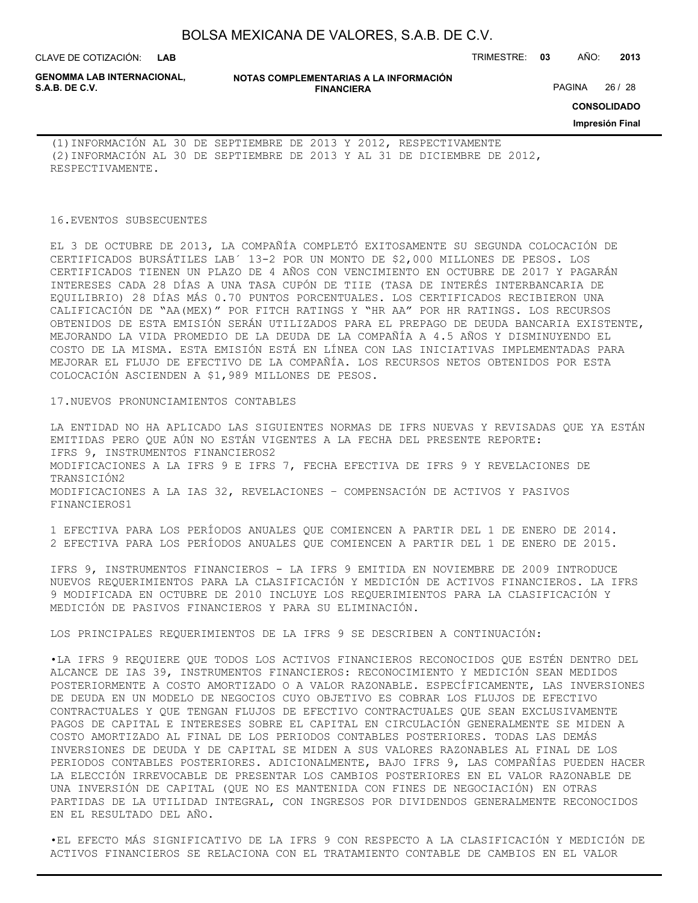**LAB**

CLAVE DE COTIZACIÓN: TRIMESTRE: **03** AÑO: **2013**

**GENOMMA LAB INTERNACIONAL,**

**NOTAS COMPLEMENTARIAS A LA INFORMACIÓN FINANCIERA**

PAGINA 26 / 28

**CONSOLIDADO**

**Impresión Final**

(1)INFORMACIÓN AL 30 DE SEPTIEMBRE DE 2013 Y 2012, RESPECTIVAMENTE (2)INFORMACIÓN AL 30 DE SEPTIEMBRE DE 2013 Y AL 31 DE DICIEMBRE DE 2012, RESPECTIVAMENTE.

#### 16.EVENTOS SUBSECUENTES

EL 3 DE OCTUBRE DE 2013, LA COMPAÑÍA COMPLETÓ EXITOSAMENTE SU SEGUNDA COLOCACIÓN DE CERTIFICADOS BURSÁTILES LAB´ 13-2 POR UN MONTO DE \$2,000 MILLONES DE PESOS. LOS CERTIFICADOS TIENEN UN PLAZO DE 4 AÑOS CON VENCIMIENTO EN OCTUBRE DE 2017 Y PAGARÁN INTERESES CADA 28 DÍAS A UNA TASA CUPÓN DE TIIE (TASA DE INTERÉS INTERBANCARIA DE EQUILIBRIO) 28 DÍAS MÁS 0.70 PUNTOS PORCENTUALES. LOS CERTIFICADOS RECIBIERON UNA CALIFICACIÓN DE "AA(MEX)" POR FITCH RATINGS Y "HR AA" POR HR RATINGS. LOS RECURSOS OBTENIDOS DE ESTA EMISIÓN SERÁN UTILIZADOS PARA EL PREPAGO DE DEUDA BANCARIA EXISTENTE, MEJORANDO LA VIDA PROMEDIO DE LA DEUDA DE LA COMPAÑÍA A 4.5 AÑOS Y DISMINUYENDO EL COSTO DE LA MISMA. ESTA EMISIÓN ESTÁ EN LÍNEA CON LAS INICIATIVAS IMPLEMENTADAS PARA MEJORAR EL FLUJO DE EFECTIVO DE LA COMPAÑÍA. LOS RECURSOS NETOS OBTENIDOS POR ESTA COLOCACIÓN ASCIENDEN A \$1,989 MILLONES DE PESOS.

#### 17.NUEVOS PRONUNCIAMIENTOS CONTABLES

LA ENTIDAD NO HA APLICADO LAS SIGUIENTES NORMAS DE IFRS NUEVAS Y REVISADAS QUE YA ESTÁN EMITIDAS PERO QUE AÚN NO ESTÁN VIGENTES A LA FECHA DEL PRESENTE REPORTE: IFRS 9, INSTRUMENTOS FINANCIEROS2 MODIFICACIONES A LA IFRS 9 E IFRS 7, FECHA EFECTIVA DE IFRS 9 Y REVELACIONES DE TRANSICIÓN2 MODIFICACIONES A LA IAS 32, REVELACIONES – COMPENSACIÓN DE ACTIVOS Y PASIVOS FINANCIEROS1

1 EFECTIVA PARA LOS PERÍODOS ANUALES QUE COMIENCEN A PARTIR DEL 1 DE ENERO DE 2014. 2 EFECTIVA PARA LOS PERÍODOS ANUALES QUE COMIENCEN A PARTIR DEL 1 DE ENERO DE 2015.

IFRS 9, INSTRUMENTOS FINANCIEROS - LA IFRS 9 EMITIDA EN NOVIEMBRE DE 2009 INTRODUCE NUEVOS REQUERIMIENTOS PARA LA CLASIFICACIÓN Y MEDICIÓN DE ACTIVOS FINANCIEROS. LA IFRS 9 MODIFICADA EN OCTUBRE DE 2010 INCLUYE LOS REQUERIMIENTOS PARA LA CLASIFICACIÓN Y MEDICIÓN DE PASIVOS FINANCIEROS Y PARA SU ELIMINACIÓN.

LOS PRINCIPALES REQUERIMIENTOS DE LA IFRS 9 SE DESCRIBEN A CONTINUACIÓN:

•LA IFRS 9 REQUIERE QUE TODOS LOS ACTIVOS FINANCIEROS RECONOCIDOS QUE ESTÉN DENTRO DEL ALCANCE DE IAS 39, INSTRUMENTOS FINANCIEROS: RECONOCIMIENTO Y MEDICIÓN SEAN MEDIDOS POSTERIORMENTE A COSTO AMORTIZADO O A VALOR RAZONABLE. ESPECÍFICAMENTE, LAS INVERSIONES DE DEUDA EN UN MODELO DE NEGOCIOS CUYO OBJETIVO ES COBRAR LOS FLUJOS DE EFECTIVO CONTRACTUALES Y QUE TENGAN FLUJOS DE EFECTIVO CONTRACTUALES QUE SEAN EXCLUSIVAMENTE PAGOS DE CAPITAL E INTERESES SOBRE EL CAPITAL EN CIRCULACIÓN GENERALMENTE SE MIDEN A COSTO AMORTIZADO AL FINAL DE LOS PERIODOS CONTABLES POSTERIORES. TODAS LAS DEMÁS INVERSIONES DE DEUDA Y DE CAPITAL SE MIDEN A SUS VALORES RAZONABLES AL FINAL DE LOS PERIODOS CONTABLES POSTERIORES. ADICIONALMENTE, BAJO IFRS 9, LAS COMPAÑÍAS PUEDEN HACER LA ELECCIÓN IRREVOCABLE DE PRESENTAR LOS CAMBIOS POSTERIORES EN EL VALOR RAZONABLE DE UNA INVERSIÓN DE CAPITAL (QUE NO ES MANTENIDA CON FINES DE NEGOCIACIÓN) EN OTRAS PARTIDAS DE LA UTILIDAD INTEGRAL, CON INGRESOS POR DIVIDENDOS GENERALMENTE RECONOCIDOS EN EL RESULTADO DEL AÑO.

•EL EFECTO MÁS SIGNIFICATIVO DE LA IFRS 9 CON RESPECTO A LA CLASIFICACIÓN Y MEDICIÓN DE ACTIVOS FINANCIEROS SE RELACIONA CON EL TRATAMIENTO CONTABLE DE CAMBIOS EN EL VALOR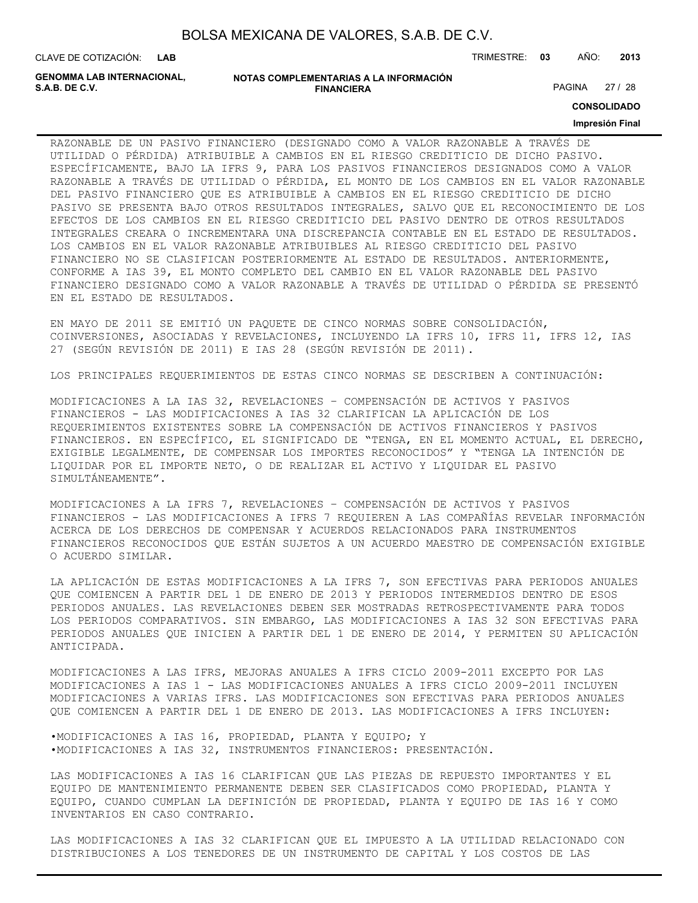CLAVE DE COTIZACIÓN: TRIMESTRE: **03** AÑO: **2013 LAB**

**GENOMMA LAB INTERNACIONAL,**

**NOTAS COMPLEMENTARIAS A LA INFORMACIÓN FINANCIERA**

PAGINA 27 / 28

**CONSOLIDADO**

#### **Impresión Final**

RAZONABLE DE UN PASIVO FINANCIERO (DESIGNADO COMO A VALOR RAZONABLE A TRAVÉS DE UTILIDAD O PÉRDIDA) ATRIBUIBLE A CAMBIOS EN EL RIESGO CREDITICIO DE DICHO PASIVO. ESPECÍFICAMENTE, BAJO LA IFRS 9, PARA LOS PASIVOS FINANCIEROS DESIGNADOS COMO A VALOR RAZONABLE A TRAVÉS DE UTILIDAD O PÉRDIDA, EL MONTO DE LOS CAMBIOS EN EL VALOR RAZONABLE DEL PASIVO FINANCIERO QUE ES ATRIBUIBLE A CAMBIOS EN EL RIESGO CREDITICIO DE DICHO PASIVO SE PRESENTA BAJO OTROS RESULTADOS INTEGRALES, SALVO QUE EL RECONOCIMIENTO DE LOS EFECTOS DE LOS CAMBIOS EN EL RIESGO CREDITICIO DEL PASIVO DENTRO DE OTROS RESULTADOS INTEGRALES CREARA O INCREMENTARA UNA DISCREPANCIA CONTABLE EN EL ESTADO DE RESULTADOS. LOS CAMBIOS EN EL VALOR RAZONABLE ATRIBUIBLES AL RIESGO CREDITICIO DEL PASIVO FINANCIERO NO SE CLASIFICAN POSTERIORMENTE AL ESTADO DE RESULTADOS. ANTERIORMENTE, CONFORME A IAS 39, EL MONTO COMPLETO DEL CAMBIO EN EL VALOR RAZONABLE DEL PASIVO FINANCIERO DESIGNADO COMO A VALOR RAZONABLE A TRAVÉS DE UTILIDAD O PÉRDIDA SE PRESENTÓ EN EL ESTADO DE RESULTADOS.

EN MAYO DE 2011 SE EMITIÓ UN PAQUETE DE CINCO NORMAS SOBRE CONSOLIDACIÓN, COINVERSIONES, ASOCIADAS Y REVELACIONES, INCLUYENDO LA IFRS 10, IFRS 11, IFRS 12, IAS 27 (SEGÚN REVISIÓN DE 2011) E IAS 28 (SEGÚN REVISIÓN DE 2011).

LOS PRINCIPALES REQUERIMIENTOS DE ESTAS CINCO NORMAS SE DESCRIBEN A CONTINUACIÓN:

MODIFICACIONES A LA IAS 32, REVELACIONES – COMPENSACIÓN DE ACTIVOS Y PASIVOS FINANCIEROS - LAS MODIFICACIONES A IAS 32 CLARIFICAN LA APLICACIÓN DE LOS REQUERIMIENTOS EXISTENTES SOBRE LA COMPENSACIÓN DE ACTIVOS FINANCIEROS Y PASIVOS FINANCIEROS. EN ESPECÍFICO, EL SIGNIFICADO DE "TENGA, EN EL MOMENTO ACTUAL, EL DERECHO, EXIGIBLE LEGALMENTE, DE COMPENSAR LOS IMPORTES RECONOCIDOS" Y "TENGA LA INTENCIÓN DE LIQUIDAR POR EL IMPORTE NETO, O DE REALIZAR EL ACTIVO Y LIQUIDAR EL PASIVO SIMULTÁNEAMENTE".

MODIFICACIONES A LA IFRS 7, REVELACIONES – COMPENSACIÓN DE ACTIVOS Y PASIVOS FINANCIEROS - LAS MODIFICACIONES A IFRS 7 REQUIEREN A LAS COMPAÑÍAS REVELAR INFORMACIÓN ACERCA DE LOS DERECHOS DE COMPENSAR Y ACUERDOS RELACIONADOS PARA INSTRUMENTOS FINANCIEROS RECONOCIDOS QUE ESTÁN SUJETOS A UN ACUERDO MAESTRO DE COMPENSACIÓN EXIGIBLE O ACUERDO SIMILAR.

LA APLICACIÓN DE ESTAS MODIFICACIONES A LA IFRS 7, SON EFECTIVAS PARA PERIODOS ANUALES QUE COMIENCEN A PARTIR DEL 1 DE ENERO DE 2013 Y PERIODOS INTERMEDIOS DENTRO DE ESOS PERIODOS ANUALES. LAS REVELACIONES DEBEN SER MOSTRADAS RETROSPECTIVAMENTE PARA TODOS LOS PERIODOS COMPARATIVOS. SIN EMBARGO, LAS MODIFICACIONES A IAS 32 SON EFECTIVAS PARA PERIODOS ANUALES QUE INICIEN A PARTIR DEL 1 DE ENERO DE 2014, Y PERMITEN SU APLICACIÓN ANTICIPADA.

MODIFICACIONES A LAS IFRS, MEJORAS ANUALES A IFRS CICLO 2009-2011 EXCEPTO POR LAS MODIFICACIONES A IAS 1 - LAS MODIFICACIONES ANUALES A IFRS CICLO 2009-2011 INCLUYEN MODIFICACIONES A VARIAS IFRS. LAS MODIFICACIONES SON EFECTIVAS PARA PERIODOS ANUALES QUE COMIENCEN A PARTIR DEL 1 DE ENERO DE 2013. LAS MODIFICACIONES A IFRS INCLUYEN:

•MODIFICACIONES A IAS 16, PROPIEDAD, PLANTA Y EQUIPO; Y •MODIFICACIONES A IAS 32, INSTRUMENTOS FINANCIEROS: PRESENTACIÓN.

LAS MODIFICACIONES A IAS 16 CLARIFICAN QUE LAS PIEZAS DE REPUESTO IMPORTANTES Y EL EQUIPO DE MANTENIMIENTO PERMANENTE DEBEN SER CLASIFICADOS COMO PROPIEDAD, PLANTA Y EQUIPO, CUANDO CUMPLAN LA DEFINICIÓN DE PROPIEDAD, PLANTA Y EQUIPO DE IAS 16 Y COMO INVENTARIOS EN CASO CONTRARIO.

LAS MODIFICACIONES A IAS 32 CLARIFICAN QUE EL IMPUESTO A LA UTILIDAD RELACIONADO CON DISTRIBUCIONES A LOS TENEDORES DE UN INSTRUMENTO DE CAPITAL Y LOS COSTOS DE LAS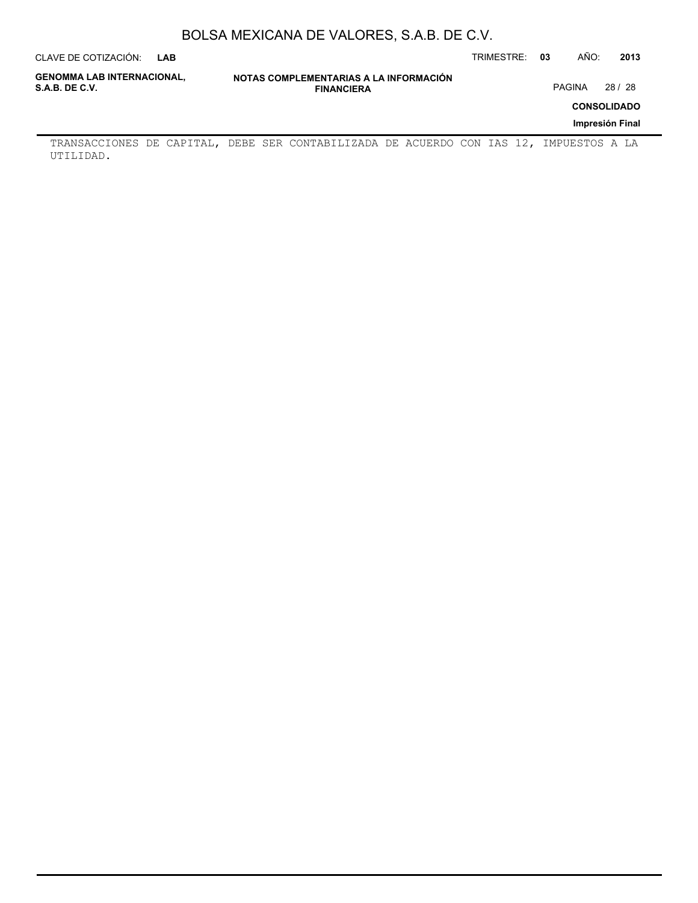| CLAVE DE COTIZACIÓN:                                | LAB |                   |                                        | TRIMESTRE: | 03 | AÑO:   | 2013               |
|-----------------------------------------------------|-----|-------------------|----------------------------------------|------------|----|--------|--------------------|
| <b>GENOMMA LAB INTERNACIONAL,</b><br>S.A.B. DE C.V. |     | <b>FINANCIERA</b> | NOTAS COMPLEMENTARIAS A LA INFORMACIÓN |            |    | PAGINA | 28 / 28            |
|                                                     |     |                   |                                        |            |    |        | <b>CONSOLIDADO</b> |
|                                                     |     |                   |                                        |            |    |        | Impresión Final    |
|                                                     |     |                   |                                        |            |    |        |                    |

TRANSACCIONES DE CAPITAL, DEBE SER CONTABILIZADA DE ACUERDO CON IAS 12, IMPUESTOS A LA UTILIDAD.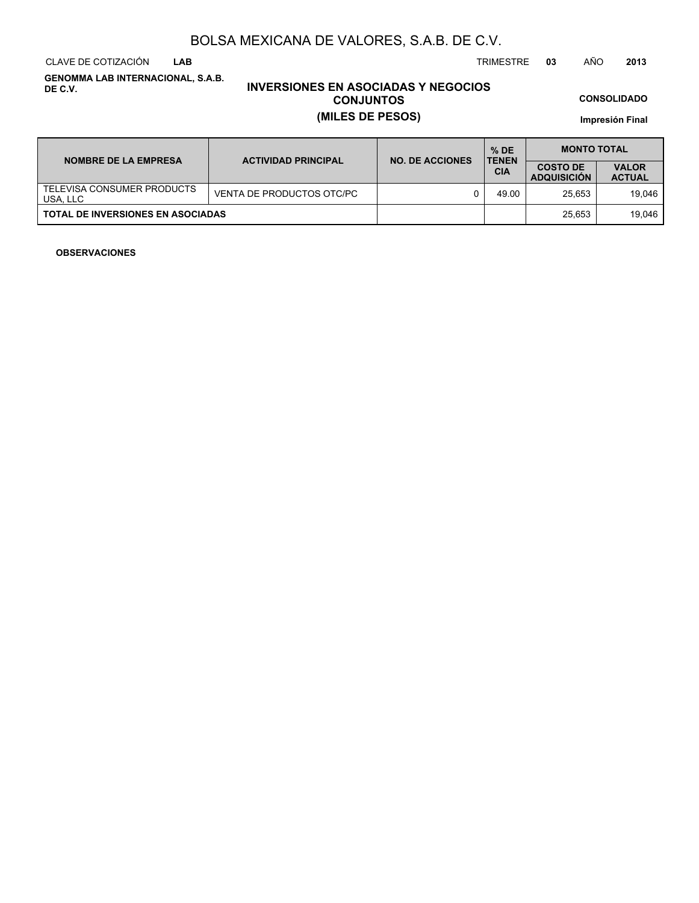CLAVE DE COTIZACIÓN TRIMESTRE **03** AÑO **2013 LAB**

**GENOMMA LAB INTERNACIONAL, S.A.B. DE C.V.**

# **INVERSIONES EN ASOCIADAS Y NEGOCIOS CONJUNTOS (MILES DE PESOS)**

**CONSOLIDADO**

**Impresión Final**

| <b>NOMBRE DE LA EMPRESA</b>              | <b>ACTIVIDAD PRINCIPAL</b> | <b>NO. DE ACCIONES</b> | $%$ DE<br><b>TENEN</b> | <b>MONTO TOTAL</b>                    |                               |  |  |
|------------------------------------------|----------------------------|------------------------|------------------------|---------------------------------------|-------------------------------|--|--|
|                                          |                            |                        | <b>CIA</b>             | <b>COSTO DE</b><br><b>ADQUISICION</b> | <b>VALOR</b><br><b>ACTUAL</b> |  |  |
| TELEVISA CONSUMER PRODUCTS<br>USA, LLC   | VENTA DE PRODUCTOS OTC/PC  |                        | 49.00                  | 25.653                                | 19.046                        |  |  |
| <b>TOTAL DE INVERSIONES EN ASOCIADAS</b> |                            |                        |                        | 25.653                                | 19.046                        |  |  |

### **OBSERVACIONES**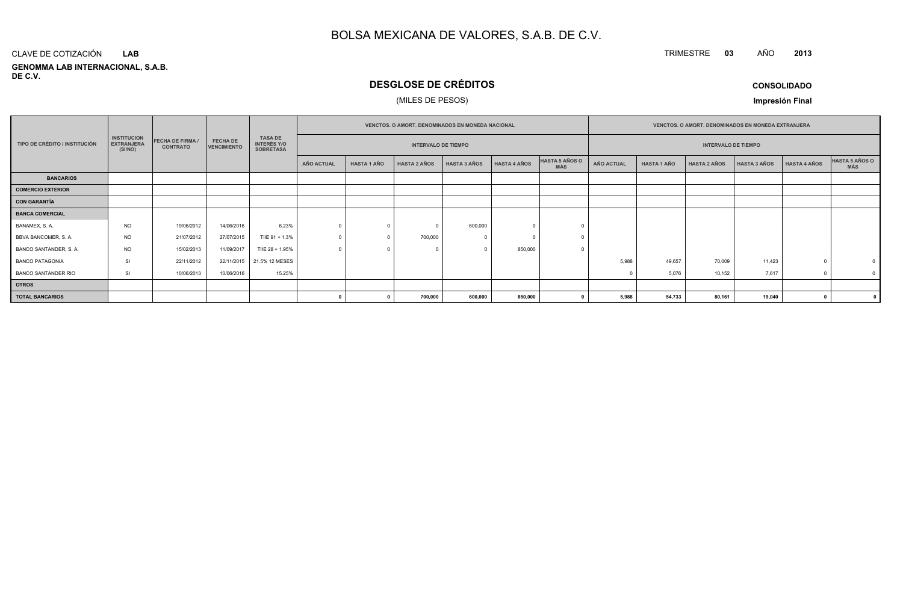#### **GENOMMA LAB INTERNACIONAL, S.A.B. DE C.V.**CLAVE DE COTIZACIÓN**LAB**

# **DESGLOSE DE CRÉDITOS**

### (MILES DE PESOS)

**CONSOLIDADO**

**<sup>2013</sup>**

TRIMESTRE **<sup>03</sup>** AÑO

**Impresión Final**

|                               |                                                    |                                            |                                       |                                                          |                   |                    |                            | <b>VENCTOS, O AMORT, DENOMINADOS EN MONEDA NACIONAL</b> |                     | <b>VENCTOS, O AMORT, DENOMINADOS EN MONEDA EXTRANJERA</b> |                   |                    |                            |                     |                     |                              |
|-------------------------------|----------------------------------------------------|--------------------------------------------|---------------------------------------|----------------------------------------------------------|-------------------|--------------------|----------------------------|---------------------------------------------------------|---------------------|-----------------------------------------------------------|-------------------|--------------------|----------------------------|---------------------|---------------------|------------------------------|
| TIPO DE CRÉDITO / INSTITUCIÓN | <b>INSTITUCION</b><br><b>EXTRANJERA</b><br>(SI/NO) | <b>FECHA DE FIRMA /</b><br><b>CONTRATO</b> | <b>FECHA DE</b><br><b>VENCIMIENTO</b> | <b>TASA DE</b><br><b>INTERÉS Y/O</b><br><b>SOBRETASA</b> |                   |                    | <b>INTERVALO DE TIEMPO</b> |                                                         |                     |                                                           |                   |                    | <b>INTERVALO DE TIEMPO</b> |                     |                     |                              |
|                               |                                                    |                                            |                                       |                                                          | <b>AÑO ACTUAL</b> | <b>HASTA 1 AÑO</b> | <b>HASTA 2 AÑOS</b>        | <b>HASTA 3 AÑOS</b>                                     | <b>HASTA 4 AÑOS</b> | HASTA 5 AÑOS O<br><b>MÁS</b>                              | <b>AÑO ACTUAL</b> | <b>HASTA 1 AÑO</b> | <b>HASTA 2 AÑOS</b>        | <b>HASTA 3 AÑOS</b> | <b>HASTA 4 AÑOS</b> | HASTA 5 AÑOS O<br><b>MÁS</b> |
| <b>BANCARIOS</b>              |                                                    |                                            |                                       |                                                          |                   |                    |                            |                                                         |                     |                                                           |                   |                    |                            |                     |                     |                              |
| <b>COMERCIO EXTERIOR</b>      |                                                    |                                            |                                       |                                                          |                   |                    |                            |                                                         |                     |                                                           |                   |                    |                            |                     |                     |                              |
| <b>CON GARANTÍA</b>           |                                                    |                                            |                                       |                                                          |                   |                    |                            |                                                         |                     |                                                           |                   |                    |                            |                     |                     |                              |
| <b>BANCA COMERCIAL</b>        |                                                    |                                            |                                       |                                                          |                   |                    |                            |                                                         |                     |                                                           |                   |                    |                            |                     |                     |                              |
| BANAMEX, S. A.                | <b>NO</b>                                          | 19/06/2012                                 | 14/06/2016                            | 6.23%                                                    | $\Omega$          |                    |                            | 600,000                                                 |                     |                                                           |                   |                    |                            |                     |                     |                              |
| BBVA BANCOMER, S.A.           | <b>NO</b>                                          | 21/07/2012                                 | 27/07/2015                            | TIIE 91 + 1.3%                                           |                   |                    | 700,000                    |                                                         |                     |                                                           |                   |                    |                            |                     |                     |                              |
| BANCO SANTANDER, S. A.        | <b>NO</b>                                          | 15/02/2013                                 | 11/09/2017                            | TIIE 28 + 1.95%                                          |                   |                    |                            |                                                         | 850,000             |                                                           |                   |                    |                            |                     |                     |                              |
| <b>BANCO PATAGONIA</b>        | <b>SI</b>                                          | 22/11/2012                                 |                                       | 22/11/2015 21.5% 12 MESES                                |                   |                    |                            |                                                         |                     |                                                           | 5.988             | 49.657             | 70,009                     | 11,423              |                     |                              |
| BANCO SANTANDER RIO           | SI                                                 | 10/06/2013                                 | 10/06/2016                            | 15.25%                                                   |                   |                    |                            |                                                         |                     |                                                           |                   | 5,076              | 10,152                     | 7,617               |                     |                              |
| <b>OTROS</b>                  |                                                    |                                            |                                       |                                                          |                   |                    |                            |                                                         |                     |                                                           |                   |                    |                            |                     |                     |                              |
| <b>TOTAL BANCARIOS</b>        |                                                    |                                            |                                       |                                                          |                   |                    | 700,000                    | 600,000                                                 | 850,000             |                                                           | 5,988             | 54,733             | 80,161                     | 19,040              |                     |                              |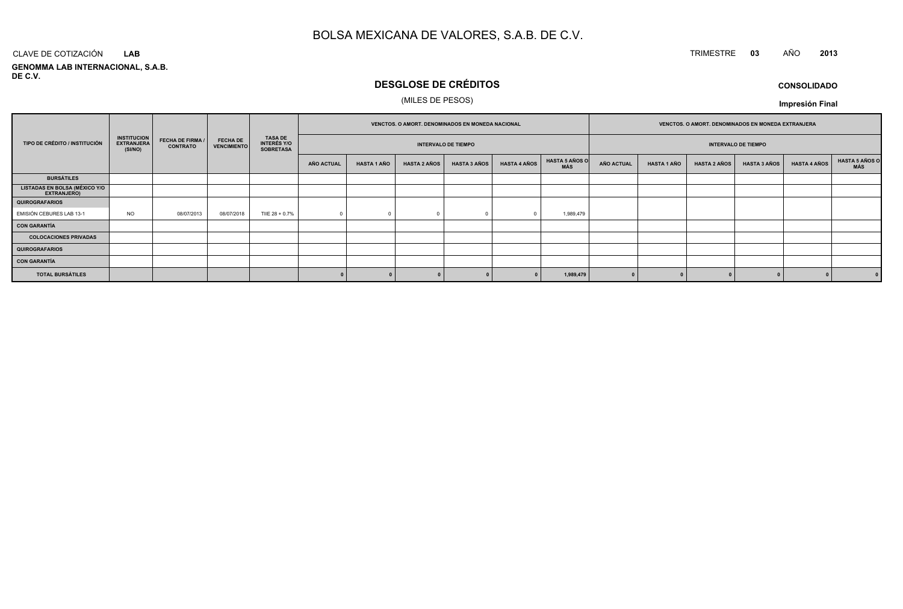# TRIMESTRE **<sup>03</sup>** AÑO **<sup>2013</sup>**

**GENOMMA LAB INTERNACIONAL, S.A.B. DE C.V.**CLAVE DE COTIZACIÓN**LAB**

# **DESGLOSE DE CRÉDITOS**

### (MILES DE PESOS)

**CONSOLIDADOImpresión Final**

|                                                     |                                                    |                                            |                                       |                                                          |            | VENCTOS. O AMORT. DENOMINADOS EN MONEDA NACIONAL |                     |                            |              |                              | VENCTOS. O AMORT. DENOMINADOS EN MONEDA EXTRANJERA |                    |                     |                            |                     |                       |
|-----------------------------------------------------|----------------------------------------------------|--------------------------------------------|---------------------------------------|----------------------------------------------------------|------------|--------------------------------------------------|---------------------|----------------------------|--------------|------------------------------|----------------------------------------------------|--------------------|---------------------|----------------------------|---------------------|-----------------------|
| TIPO DE CRÉDITO / INSTITUCIÓN                       | <b>INSTITUCION</b><br><b>EXTRANJERA</b><br>(SI/NO) | <b>FECHA DE FIRMA /</b><br><b>CONTRATO</b> | <b>FECHA DE</b><br><b>VENCIMIENTO</b> | <b>TASA DE</b><br><b>INTERÉS Y/O</b><br><b>SOBRETASA</b> |            |                                                  |                     | <b>INTERVALO DE TIEMPO</b> |              |                              |                                                    |                    |                     | <b>INTERVALO DE TIEMPO</b> |                     |                       |
|                                                     |                                                    |                                            |                                       |                                                          | AÑO ACTUAL | <b>HASTA 1 AÑO</b>                               | <b>HASTA 2 AÑOS</b> | <b>HASTA 3 AÑOS</b>        | HASTA 4 AÑOS | <b>HASTA 5 AÑOS O</b><br>MÁS | <b>AÑO ACTUAL</b>                                  | <b>HASTA 1 AÑO</b> | <b>HASTA 2 AÑOS</b> | <b>HASTA 3 AÑOS</b>        | <b>HASTA 4 AÑOS</b> | HASTA 5 AÑOS C<br>MÁS |
| <b>BURSÁTILES</b>                                   |                                                    |                                            |                                       |                                                          |            |                                                  |                     |                            |              |                              |                                                    |                    |                     |                            |                     |                       |
| <b>LISTADAS EN BOLSA (MÉXICO Y/O</b><br>EXTRANJERO) |                                                    |                                            |                                       |                                                          |            |                                                  |                     |                            |              |                              |                                                    |                    |                     |                            |                     |                       |
| <b>QUIROGRAFARIOS</b>                               |                                                    |                                            |                                       |                                                          |            |                                                  |                     |                            |              |                              |                                                    |                    |                     |                            |                     |                       |
| EMISIÓN CEBURES LAB 13-1                            | <b>NO</b>                                          | 08/07/2013                                 | 08/07/2018                            | TIIE 28 + 0.7%                                           |            |                                                  |                     |                            |              | 1,989,479                    |                                                    |                    |                     |                            |                     |                       |
| <b>CON GARANTÍA</b>                                 |                                                    |                                            |                                       |                                                          |            |                                                  |                     |                            |              |                              |                                                    |                    |                     |                            |                     |                       |
| <b>COLOCACIONES PRIVADAS</b>                        |                                                    |                                            |                                       |                                                          |            |                                                  |                     |                            |              |                              |                                                    |                    |                     |                            |                     |                       |
| <b>QUIROGRAFARIOS</b>                               |                                                    |                                            |                                       |                                                          |            |                                                  |                     |                            |              |                              |                                                    |                    |                     |                            |                     |                       |
| <b>CON GARANTÍA</b>                                 |                                                    |                                            |                                       |                                                          |            |                                                  |                     |                            |              |                              |                                                    |                    |                     |                            |                     |                       |
| <b>TOTAL BURSÁTILES</b>                             |                                                    |                                            |                                       |                                                          |            |                                                  |                     |                            |              | 1,989,479                    |                                                    |                    |                     |                            |                     | $\mathbf{0}$          |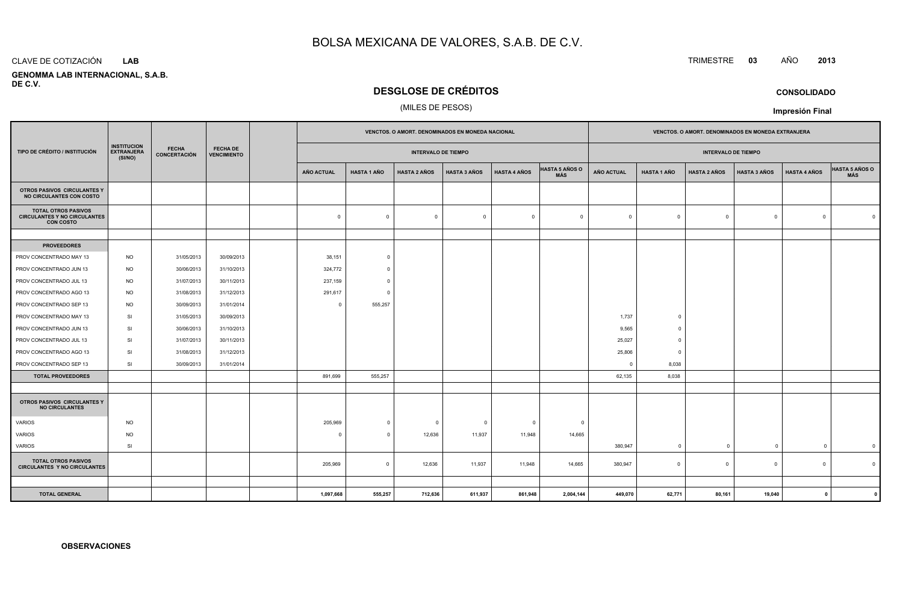#### CLAVE DE COTIZACIÓN**LAB**

 **GENOMMA LAB INTERNACIONAL, S.A.B.DE C.V.**

## **DESGLOSE DE CRÉDITOS**

### (MILES DE PESOS)

| TIPO DE CRÉDITO / INSTITUCIÓN                                                         | <b>INSTITUCION</b><br><b>EXTRANJERA</b><br>(SI/NO) | <b>FECHA</b><br><b>CONCERTACIÓN</b> | <b>FECHA DE</b><br><b>VENCIMIENTO</b> |  | VENCTOS. O AMORT. DENOMINADOS EN MONEDA NACIONAL |                         |                     |                         | VENCTOS. O AMORT. DENOMINADOS EN MONEDA EXTRANJERA |                              |                   |                    |                     |                     |                     |                              |
|---------------------------------------------------------------------------------------|----------------------------------------------------|-------------------------------------|---------------------------------------|--|--------------------------------------------------|-------------------------|---------------------|-------------------------|----------------------------------------------------|------------------------------|-------------------|--------------------|---------------------|---------------------|---------------------|------------------------------|
|                                                                                       |                                                    |                                     |                                       |  | <b>INTERVALO DE TIEMPO</b>                       |                         |                     |                         |                                                    | <b>INTERVALO DE TIEMPO</b>   |                   |                    |                     |                     |                     |                              |
|                                                                                       |                                                    |                                     |                                       |  | <b>AÑO ACTUAL</b>                                | <b>HASTA 1 AÑO</b>      | <b>HASTA 2 AÑOS</b> | <b>HASTA 3 AÑOS</b>     | <b>HASTA 4 AÑOS</b>                                | <b>HASTA 5 AÑOS O</b><br>MÁS | <b>AÑO ACTUAL</b> | <b>HASTA 1 AÑO</b> | <b>HASTA 2 AÑOS</b> | <b>HASTA 3 AÑOS</b> | <b>HASTA 4 AÑOS</b> | <b>HASTA 5 AÑOS O</b><br>MÁS |
| OTROS PASIVOS CIRCULANTES Y<br>NO CIRCULANTES CON COSTO                               |                                                    |                                     |                                       |  |                                                  |                         |                     |                         |                                                    |                              |                   |                    |                     |                     |                     |                              |
| <b>TOTAL OTROS PASIVOS</b><br><b>CIRCULANTES Y NO CIRCULANTES</b><br><b>CON COSTO</b> |                                                    |                                     |                                       |  | $\mathbf 0$                                      | $\mathbf 0$             | $\mathbf 0$         | $\overline{\mathbf{0}}$ | $\overline{0}$                                     | $\overline{0}$               | $\Omega$          | $\circ$            | $\Omega$            | $\mathbf{0}$        | $\Omega$            | $\overline{0}$               |
|                                                                                       |                                                    |                                     |                                       |  |                                                  |                         |                     |                         |                                                    |                              |                   |                    |                     |                     |                     |                              |
| <b>PROVEEDORES</b>                                                                    |                                                    |                                     |                                       |  |                                                  |                         |                     |                         |                                                    |                              |                   |                    |                     |                     |                     |                              |
| PROV CONCENTRADO MAY 13                                                               | <b>NO</b>                                          | 31/05/2013                          | 30/09/2013                            |  | 38,151                                           | $\circ$                 |                     |                         |                                                    |                              |                   |                    |                     |                     |                     |                              |
| PROV CONCENTRADO JUN 13                                                               | <b>NO</b>                                          | 30/06/2013                          | 31/10/2013                            |  | 324,772                                          | $\Omega$                |                     |                         |                                                    |                              |                   |                    |                     |                     |                     |                              |
| PROV CONCENTRADO JUL 13                                                               | <b>NO</b>                                          | 31/07/2013                          | 30/11/2013                            |  | 237,159                                          | $\overline{0}$          |                     |                         |                                                    |                              |                   |                    |                     |                     |                     |                              |
| PROV CONCENTRADO AGO 13                                                               | <b>NO</b>                                          | 31/08/2013                          | 31/12/2013                            |  | 291,617                                          | $\Omega$                |                     |                         |                                                    |                              |                   |                    |                     |                     |                     |                              |
| PROV CONCENTRADO SEP 13                                                               | <b>NO</b>                                          | 30/09/2013                          | 31/01/2014                            |  | $\Omega$                                         | 555,257                 |                     |                         |                                                    |                              |                   |                    |                     |                     |                     |                              |
| PROV CONCENTRADO MAY 13                                                               | SI                                                 | 31/05/2013                          | 30/09/2013                            |  |                                                  |                         |                     |                         |                                                    |                              | 1,737             | $\overline{0}$     |                     |                     |                     |                              |
| PROV CONCENTRADO JUN 13                                                               | SI                                                 | 30/06/2013                          | 31/10/2013                            |  |                                                  |                         |                     |                         |                                                    |                              | 9,565             | $^{\circ}$         |                     |                     |                     |                              |
| PROV CONCENTRADO JUL 13                                                               | SI                                                 | 31/07/2013                          | 30/11/2013                            |  |                                                  |                         |                     |                         |                                                    |                              | 25,027            | $\overline{0}$     |                     |                     |                     |                              |
| PROV CONCENTRADO AGO 13                                                               | SI                                                 | 31/08/2013                          | 31/12/2013                            |  |                                                  |                         |                     |                         |                                                    |                              | 25,806            | $\overline{0}$     |                     |                     |                     |                              |
| PROV CONCENTRADO SEP 13                                                               | SI                                                 | 30/09/2013                          | 31/01/2014                            |  |                                                  |                         |                     |                         |                                                    |                              | $\Omega$          | 8,038              |                     |                     |                     |                              |
| <b>TOTAL PROVEEDORES</b>                                                              |                                                    |                                     |                                       |  | 891,699                                          | 555,257                 |                     |                         |                                                    |                              | 62,135            | 8,038              |                     |                     |                     |                              |
|                                                                                       |                                                    |                                     |                                       |  |                                                  |                         |                     |                         |                                                    |                              |                   |                    |                     |                     |                     |                              |
| OTROS PASIVOS CIRCULANTES Y<br><b>NO CIRCULANTES</b>                                  |                                                    |                                     |                                       |  |                                                  |                         |                     |                         |                                                    |                              |                   |                    |                     |                     |                     |                              |
| <b>VARIOS</b>                                                                         | <b>NO</b>                                          |                                     |                                       |  | 205,969                                          | $\circ$                 | $\mathbf 0$         | $\overline{0}$          | $^{\circ}$                                         | $\overline{\mathbf{0}}$      |                   |                    |                     |                     |                     |                              |
| VARIOS                                                                                | <b>NO</b>                                          |                                     |                                       |  | $\Omega$                                         | $\Omega$                | 12,636              | 11,937                  | 11,948                                             | 14,665                       |                   |                    |                     |                     |                     |                              |
| VARIOS                                                                                | SI                                                 |                                     |                                       |  |                                                  |                         |                     |                         |                                                    |                              | 380,947           | $\overline{0}$     | $\mathbf{0}$        | $\overline{0}$      | $\mathbf{0}$        | $\overline{0}$               |
| <b>TOTAL OTROS PASIVOS</b><br><b>CIRCULANTES Y NO CIRCULANTES</b>                     |                                                    |                                     |                                       |  | 205,969                                          | $\overline{\mathbf{0}}$ | 12,636              | 11,937                  | 11,948                                             | 14,665                       | 380,947           | $\mathbf 0$        | $\overline{0}$      | $\mathbf{0}$        | $\Omega$            | $\Omega$                     |
|                                                                                       |                                                    |                                     |                                       |  |                                                  |                         |                     |                         |                                                    |                              |                   |                    |                     |                     |                     |                              |
| <b>TOTAL GENERAL</b>                                                                  |                                                    |                                     |                                       |  | 1,097,668                                        | 555,257                 | 712,636             | 611,937                 | 861,948                                            | 2,004,144                    | 449,070           | 62,771             | 80,161              | 19,040              | $\mathbf{0}$        |                              |

**CONSOLIDADO**

**Impresión Final**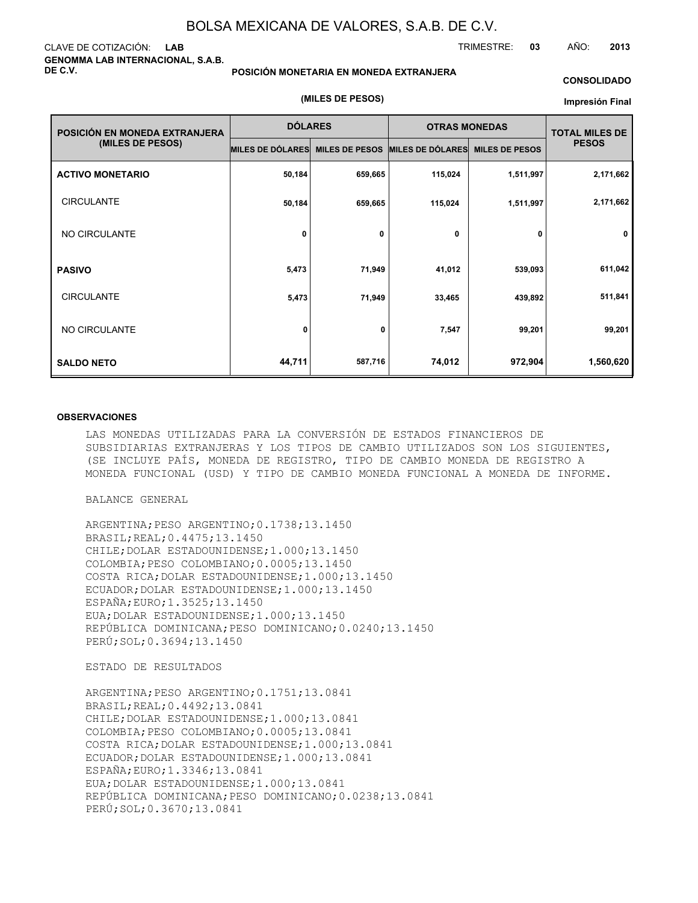**(MILES DE PESOS)**

#### CLAVE DE COTIZACIÓN: **LAB GENOMMA LAB INTERNACIONAL, S.A.B. DE C.V.**

#### **POSICIÓN MONETARIA EN MONEDA EXTRANJERA**

#### **CONSOLIDADO**

#### **Impresión Final**

TRIMESTRE: **03** AÑO: **2013**

| POSICIÓN EN MONEDA EXTRANJERA                                                                | <b>DÓLARES</b>   |                       | <b>OTRAS MONEDAS</b>    | <b>TOTAL MILES DE</b> |              |
|----------------------------------------------------------------------------------------------|------------------|-----------------------|-------------------------|-----------------------|--------------|
| (MILES DE PESOS)<br><b>CIRCULANTE</b><br>NO CIRCULANTE<br><b>CIRCULANTE</b><br>NO CIRCULANTE | MILES DE DÓLARES | <b>MILES DE PESOS</b> | <b>MILES DE DÓLARES</b> | <b>MILES DE PESOS</b> | <b>PESOS</b> |
| <b>ACTIVO MONETARIO</b>                                                                      | 50,184           | 659,665               | 115,024                 | 1,511,997             | 2,171,662    |
|                                                                                              | 50,184           | 659,665               | 115,024                 | 1,511,997             | 2,171,662    |
|                                                                                              | 0                | 0                     | 0                       | 0                     | 0            |
| <b>PASIVO</b>                                                                                | 5,473            | 71,949                | 41,012                  | 539,093               | 611,042      |
|                                                                                              | 5,473            | 71,949                | 33,465                  | 439,892               | 511,841      |
|                                                                                              | 0                | 0                     | 7,547                   | 99,201                | 99,201       |
| <b>SALDO NETO</b>                                                                            | 44,711           | 587,716               | 74,012                  | 972,904               | 1,560,620    |

#### **OBSERVACIONES**

LAS MONEDAS UTILIZADAS PARA LA CONVERSIÓN DE ESTADOS FINANCIEROS DE SUBSIDIARIAS EXTRANJERAS Y LOS TIPOS DE CAMBIO UTILIZADOS SON LOS SIGUIENTES, (SE INCLUYE PAÍS, MONEDA DE REGISTRO, TIPO DE CAMBIO MONEDA DE REGISTRO A MONEDA FUNCIONAL (USD) Y TIPO DE CAMBIO MONEDA FUNCIONAL A MONEDA DE INFORME.

BALANCE GENERAL

ARGENTINA;PESO ARGENTINO;0.1738;13.1450 BRASIL;REAL;0.4475;13.1450 CHILE;DOLAR ESTADOUNIDENSE;1.000;13.1450 COLOMBIA;PESO COLOMBIANO;0.0005;13.1450 COSTA RICA;DOLAR ESTADOUNIDENSE;1.000;13.1450 ECUADOR;DOLAR ESTADOUNIDENSE;1.000;13.1450 ESPAÑA;EURO;1.3525;13.1450 EUA;DOLAR ESTADOUNIDENSE;1.000;13.1450 REPÚBLICA DOMINICANA;PESO DOMINICANO;0.0240;13.1450 PERÚ;SOL;0.3694;13.1450

ESTADO DE RESULTADOS

ARGENTINA;PESO ARGENTINO;0.1751;13.0841 BRASIL;REAL;0.4492;13.0841 CHILE;DOLAR ESTADOUNIDENSE;1.000;13.0841 COLOMBIA;PESO COLOMBIANO;0.0005;13.0841 COSTA RICA;DOLAR ESTADOUNIDENSE;1.000;13.0841 ECUADOR;DOLAR ESTADOUNIDENSE;1.000;13.0841 ESPAÑA;EURO;1.3346;13.0841 EUA;DOLAR ESTADOUNIDENSE;1.000;13.0841 REPÚBLICA DOMINICANA;PESO DOMINICANO;0.0238;13.0841 PERÚ;SOL;0.3670;13.0841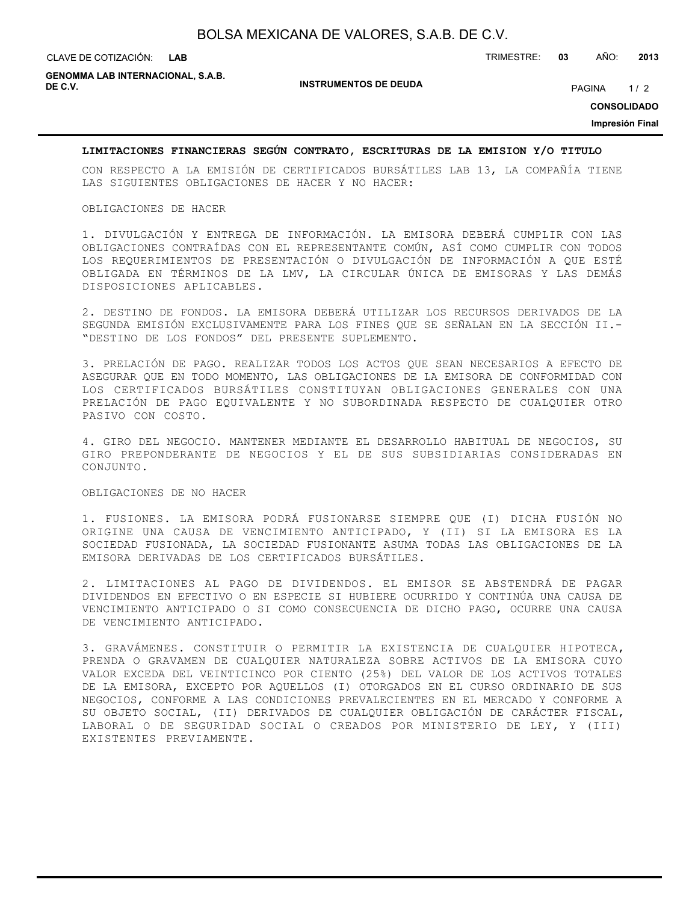| BOLSA MEXICANA DE VALORES, S.A.B. DE C.V. |  |  |  |  |  |  |
|-------------------------------------------|--|--|--|--|--|--|
|-------------------------------------------|--|--|--|--|--|--|

**LAB**

CLAVE DE COTIZACIÓN: TRIMESTRE: **03** AÑO: **2013**

**INSTRUMENTOS DE DEUDA DE C.V.** PAGINA 1 / 2 **GENOMMA LAB INTERNACIONAL, S.A.B.**

**CONSOLIDADO**

**Impresión Final**

### **LIMITACIONES FINANCIERAS SEGÚN CONTRATO, ESCRITURAS DE LA EMISION Y/O TITULO**

CON RESPECTO A LA EMISIÓN DE CERTIFICADOS BURSÁTILES LAB 13, LA COMPAÑÍA TIENE LAS SIGUIENTES OBLIGACIONES DE HACER Y NO HACER:

#### OBLIGACIONES DE HACER

1. DIVULGACIÓN Y ENTREGA DE INFORMACIÓN. LA EMISORA DEBERÁ CUMPLIR CON LAS OBLIGACIONES CONTRAÍDAS CON EL REPRESENTANTE COMÚN, ASÍ COMO CUMPLIR CON TODOS LOS REQUERIMIENTOS DE PRESENTACIÓN O DIVULGACIÓN DE INFORMACIÓN A QUE ESTÉ OBLIGADA EN TÉRMINOS DE LA LMV, LA CIRCULAR ÚNICA DE EMISORAS Y LAS DEMÁS DISPOSICIONES APLICABLES.

2. DESTINO DE FONDOS. LA EMISORA DEBERÁ UTILIZAR LOS RECURSOS DERIVADOS DE LA SEGUNDA EMISIÓN EXCLUSIVAMENTE PARA LOS FINES QUE SE SEÑALAN EN LA SECCIÓN II.- "DESTINO DE LOS FONDOS" DEL PRESENTE SUPLEMENTO.

3. PRELACIÓN DE PAGO. REALIZAR TODOS LOS ACTOS QUE SEAN NECESARIOS A EFECTO DE ASEGURAR QUE EN TODO MOMENTO, LAS OBLIGACIONES DE LA EMISORA DE CONFORMIDAD CON LOS CERTIFICADOS BURSÁTILES CONSTITUYAN OBLIGACIONES GENERALES CON UNA PRELACIÓN DE PAGO EQUIVALENTE Y NO SUBORDINADA RESPECTO DE CUALQUIER OTRO PASIVO CON COSTO.

4. GIRO DEL NEGOCIO. MANTENER MEDIANTE EL DESARROLLO HABITUAL DE NEGOCIOS, SU GIRO PREPONDERANTE DE NEGOCIOS Y EL DE SUS SUBSIDIARIAS CONSIDERADAS EN CONJUNTO.

#### OBLIGACIONES DE NO HACER

1. FUSIONES. LA EMISORA PODRÁ FUSIONARSE SIEMPRE QUE (I) DICHA FUSIÓN NO ORIGINE UNA CAUSA DE VENCIMIENTO ANTICIPADO, Y (II) SI LA EMISORA ES LA SOCIEDAD FUSIONADA, LA SOCIEDAD FUSIONANTE ASUMA TODAS LAS OBLIGACIONES DE LA EMISORA DERIVADAS DE LOS CERTIFICADOS BURSÁTILES.

2. LIMITACIONES AL PAGO DE DIVIDENDOS. EL EMISOR SE ABSTENDRÁ DE PAGAR DIVIDENDOS EN EFECTIVO O EN ESPECIE SI HUBIERE OCURRIDO Y CONTINÚA UNA CAUSA DE VENCIMIENTO ANTICIPADO O SI COMO CONSECUENCIA DE DICHO PAGO, OCURRE UNA CAUSA DE VENCIMIENTO ANTICIPADO.

3. GRAVÁMENES. CONSTITUIR O PERMITIR LA EXISTENCIA DE CUALQUIER HIPOTECA, PRENDA O GRAVAMEN DE CUALQUIER NATURALEZA SOBRE ACTIVOS DE LA EMISORA CUYO VALOR EXCEDA DEL VEINTICINCO POR CIENTO (25%) DEL VALOR DE LOS ACTIVOS TOTALES DE LA EMISORA, EXCEPTO POR AQUELLOS (I) OTORGADOS EN EL CURSO ORDINARIO DE SUS NEGOCIOS, CONFORME A LAS CONDICIONES PREVALECIENTES EN EL MERCADO Y CONFORME A SU OBJETO SOCIAL, (II) DERIVADOS DE CUALQUIER OBLIGACIÓN DE CARÁCTER FISCAL, LABORAL O DE SEGURIDAD SOCIAL O CREADOS POR MINISTERIO DE LEY, Y (III) EXISTENTES PREVIAMENTE.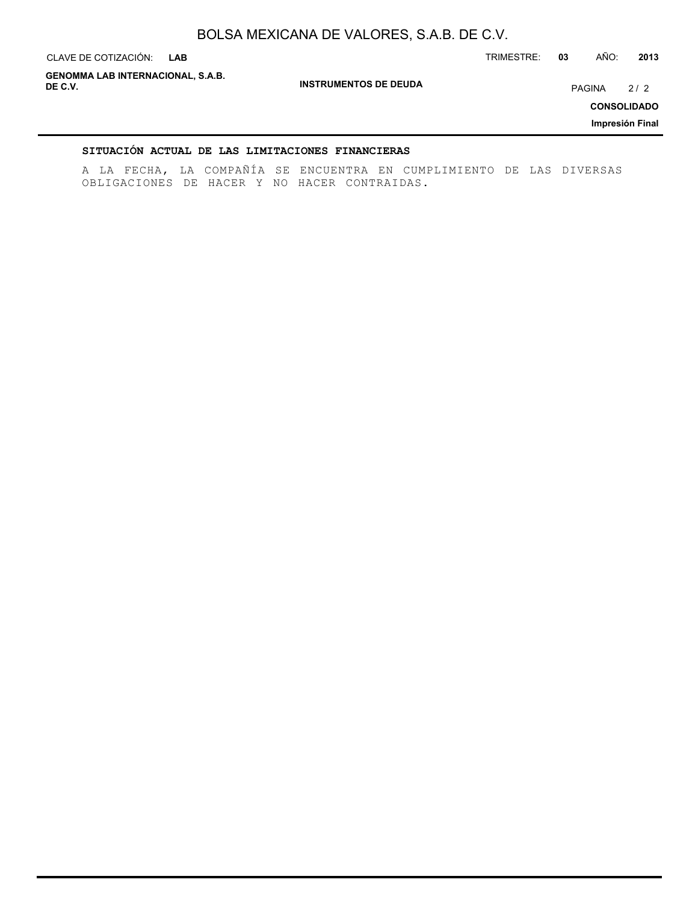**INSTRUMENTOS DE DEUDA** CLAVE DE COTIZACIÓN: TRIMESTRE: **03** AÑO: **2013 CONSOLIDADO Impresión Final** CLAVE DE COTIZACIÓN: LAB **GENOMMA LAB INTERNACIONAL, S.A.B. DE C.V.** PAGINA 2 / 2

### **SITUACIÓN ACTUAL DE LAS LIMITACIONES FINANCIERAS**

A LA FECHA, LA COMPAÑÍA SE ENCUENTRA EN CUMPLIMIENTO DE LAS DIVERSAS OBLIGACIONES DE HACER Y NO HACER CONTRAIDAS.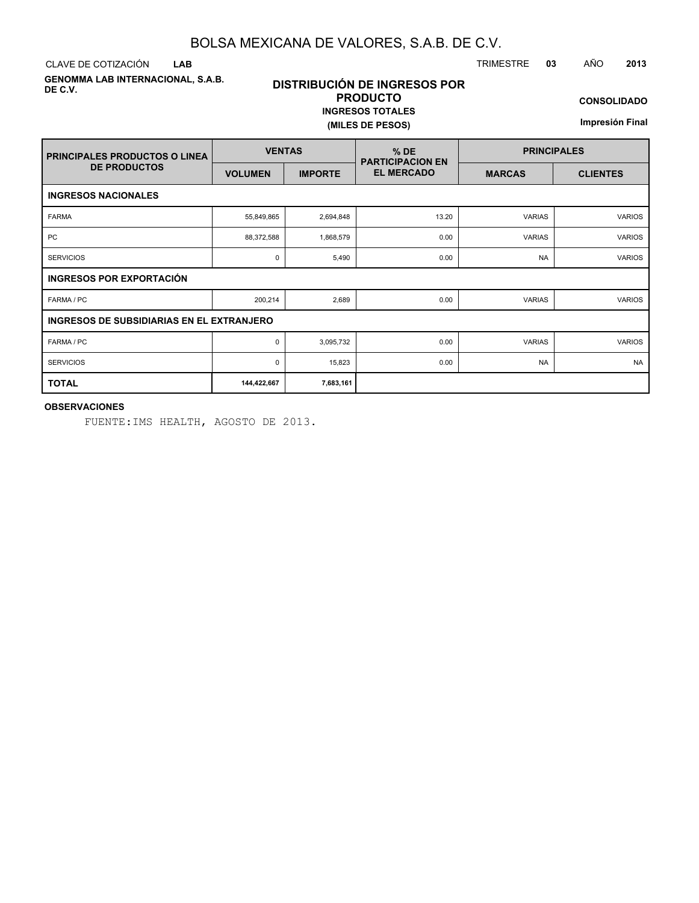CLAVE DE COTIZACIÓN TRIMESTRE **03** AÑO **2013 LAB**

**GENOMMA LAB INTERNACIONAL, S.A.B. DE C.V.**

## **DISTRIBUCIÓN DE INGRESOS POR PRODUCTO INGRESOS TOTALES**

**(MILES DE PESOS)**

**CONSOLIDADO**

**Impresión Final**

| <b>PRINCIPALES PRODUCTOS O LINEA</b> | <b>VENTAS</b>                                    |                | $%$ DE<br><b>PARTICIPACION EN</b> | <b>PRINCIPALES</b> |                 |  |  |  |  |
|--------------------------------------|--------------------------------------------------|----------------|-----------------------------------|--------------------|-----------------|--|--|--|--|
| <b>DE PRODUCTOS</b>                  | <b>VOLUMEN</b>                                   | <b>IMPORTE</b> | <b>EL MERCADO</b>                 | <b>MARCAS</b>      | <b>CLIENTES</b> |  |  |  |  |
| <b>INGRESOS NACIONALES</b>           |                                                  |                |                                   |                    |                 |  |  |  |  |
| <b>FARMA</b>                         | 55,849,865                                       | 2,694,848      | 13.20                             | <b>VARIAS</b>      | <b>VARIOS</b>   |  |  |  |  |
| <b>PC</b>                            | 88,372,588                                       | 1,868,579      | 0.00                              | <b>VARIAS</b>      | <b>VARIOS</b>   |  |  |  |  |
| <b>SERVICIOS</b>                     | 0                                                | 5,490          | 0.00                              | <b>NA</b>          | <b>VARIOS</b>   |  |  |  |  |
| INGRESOS POR EXPORTACIÓN             |                                                  |                |                                   |                    |                 |  |  |  |  |
| FARMA / PC                           | 200,214                                          | 2,689          | 0.00                              | <b>VARIAS</b>      | <b>VARIOS</b>   |  |  |  |  |
|                                      | <b>INGRESOS DE SUBSIDIARIAS EN EL EXTRANJERO</b> |                |                                   |                    |                 |  |  |  |  |
| FARMA / PC                           | 0                                                | 3,095,732      | 0.00                              | <b>VARIAS</b>      | <b>VARIOS</b>   |  |  |  |  |
| <b>SERVICIOS</b>                     | 0                                                | 15,823         | 0.00                              | <b>NA</b>          | <b>NA</b>       |  |  |  |  |
| <b>TOTAL</b>                         | 144,422,667                                      | 7,683,161      |                                   |                    |                 |  |  |  |  |

### **OBSERVACIONES**

FUENTE:IMS HEALTH, AGOSTO DE 2013.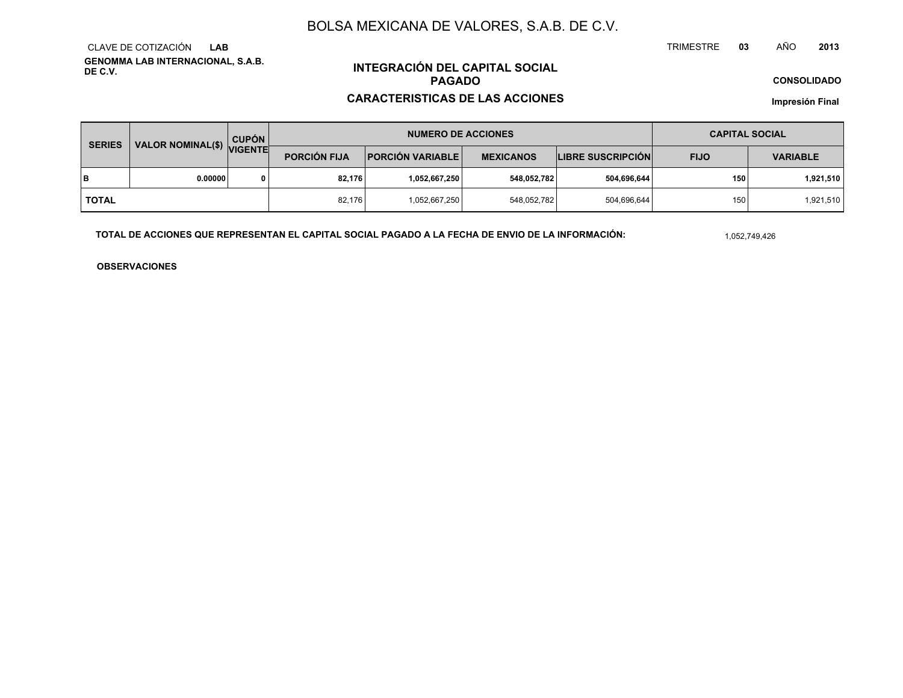**GENOMMA LAB INTERNACIONAL, S.A.B. DE C.V.**CLAVE DE COTIZACIÓN**LAB**

# **INTEGRACIÓN DEL CAPITAL SOCIALPAGADO**

### **CARACTERISTICAS DE LAS ACCIONES**

**CONSOLIDADO**

**Impresión Final**

| <b>SERIES</b> | VALOR NOMINAL(\$) VIGENTE | <b>CUPÓN</b> |                     | <b>NUMERO DE ACCIONES</b> | <b>CAPITAL SOCIAL</b> |                          |             |                 |
|---------------|---------------------------|--------------|---------------------|---------------------------|-----------------------|--------------------------|-------------|-----------------|
|               |                           |              | <b>PORCIÓN FIJA</b> | <b>PORCIÓN VARIABLE</b>   | <b>MEXICANOS</b>      | <b>LIBRE SUSCRIPCIÓN</b> | <b>FIJO</b> | <b>VARIABLE</b> |
| lв            | 0.00000                   |              | 82.176              | ا 1,052,667,250.          | 548,052,782           | 504,696,644              | 150         | 1,921,510       |
| I TOTAL       |                           |              | 82.176              | 1,052,667,250             | 548,052,782           | 504,696,644              | 150         | 1,921,510       |

**TOTAL DE ACCIONES QUE REPRESENTAN EL CAPITAL SOCIAL PAGADO A LA FECHA DE ENVIO DE LA INFORMACIÓN:**

1,052,749,426

TRIMESTRE

**OBSERVACIONES**

 **<sup>03</sup>** AÑO**<sup>2013</sup>**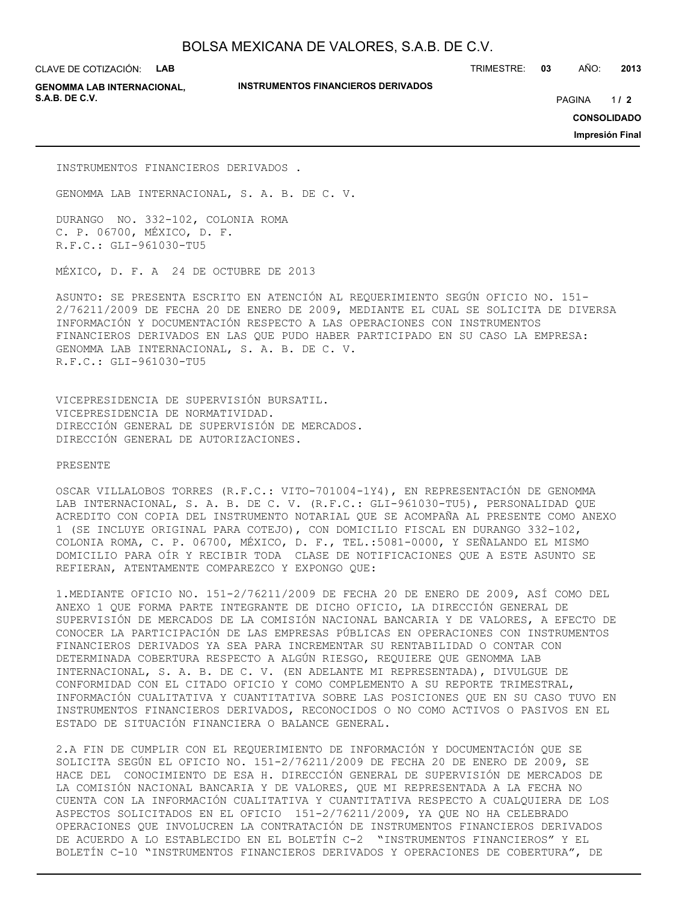CLAVE DE COTIZACIÓN: **LAB**

**GENOMMA LAB INTERNACIONAL, S.A.B. DE C.V.** PAGINA **/ 2**

**INSTRUMENTOS FINANCIEROS DERIVADOS**

TRIMESTRE: **03** AÑO: **2013**

 $1/2$ 

**CONSOLIDADO**

**Impresión Final**

INSTRUMENTOS FINANCIEROS DERIVADOS .

GENOMMA LAB INTERNACIONAL, S. A. B. DE C. V.

DURANGO NO. 332-102, COLONIA ROMA C. P. 06700, MÉXICO, D. F. R.F.C.: GLI-961030-TU5

MÉXICO, D. F. A 24 DE OCTUBRE DE 2013

ASUNTO: SE PRESENTA ESCRITO EN ATENCIÓN AL REQUERIMIENTO SEGÚN OFICIO NO. 151- 2/76211/2009 DE FECHA 20 DE ENERO DE 2009, MEDIANTE EL CUAL SE SOLICITA DE DIVERSA INFORMACIÓN Y DOCUMENTACIÓN RESPECTO A LAS OPERACIONES CON INSTRUMENTOS FINANCIEROS DERIVADOS EN LAS QUE PUDO HABER PARTICIPADO EN SU CASO LA EMPRESA: GENOMMA LAB INTERNACIONAL, S. A. B. DE C. V. R.F.C.: GLI-961030-TU5

VICEPRESIDENCIA DE SUPERVISIÓN BURSATIL. VICEPRESIDENCIA DE NORMATIVIDAD. DIRECCIÓN GENERAL DE SUPERVISIÓN DE MERCADOS. DIRECCIÓN GENERAL DE AUTORIZACIONES.

PRESENTE

OSCAR VILLALOBOS TORRES (R.F.C.: VITO-701004-1Y4), EN REPRESENTACIÓN DE GENOMMA LAB INTERNACIONAL, S. A. B. DE C. V. (R.F.C.: GLI-961030-TU5), PERSONALIDAD QUE ACREDITO CON COPIA DEL INSTRUMENTO NOTARIAL QUE SE ACOMPAÑA AL PRESENTE COMO ANEXO 1 (SE INCLUYE ORIGINAL PARA COTEJO), CON DOMICILIO FISCAL EN DURANGO 332-102, COLONIA ROMA, C. P. 06700, MÉXICO, D. F., TEL.:5081-0000, Y SEÑALANDO EL MISMO DOMICILIO PARA OÍR Y RECIBIR TODA CLASE DE NOTIFICACIONES QUE A ESTE ASUNTO SE REFIERAN, ATENTAMENTE COMPAREZCO Y EXPONGO QUE:

1.MEDIANTE OFICIO NO. 151-2/76211/2009 DE FECHA 20 DE ENERO DE 2009, ASÍ COMO DEL ANEXO 1 QUE FORMA PARTE INTEGRANTE DE DICHO OFICIO, LA DIRECCIÓN GENERAL DE SUPERVISIÓN DE MERCADOS DE LA COMISIÓN NACIONAL BANCARIA Y DE VALORES, A EFECTO DE CONOCER LA PARTICIPACIÓN DE LAS EMPRESAS PÚBLICAS EN OPERACIONES CON INSTRUMENTOS FINANCIEROS DERIVADOS YA SEA PARA INCREMENTAR SU RENTABILIDAD O CONTAR CON DETERMINADA COBERTURA RESPECTO A ALGÚN RIESGO, REQUIERE QUE GENOMMA LAB INTERNACIONAL, S. A. B. DE C. V. (EN ADELANTE MI REPRESENTADA), DIVULGUE DE CONFORMIDAD CON EL CITADO OFICIO Y COMO COMPLEMENTO A SU REPORTE TRIMESTRAL, INFORMACIÓN CUALITATIVA Y CUANTITATIVA SOBRE LAS POSICIONES QUE EN SU CASO TUVO EN INSTRUMENTOS FINANCIEROS DERIVADOS, RECONOCIDOS O NO COMO ACTIVOS O PASIVOS EN EL ESTADO DE SITUACIÓN FINANCIERA O BALANCE GENERAL.

2.A FIN DE CUMPLIR CON EL REQUERIMIENTO DE INFORMACIÓN Y DOCUMENTACIÓN QUE SE SOLICITA SEGÚN EL OFICIO NO. 151-2/76211/2009 DE FECHA 20 DE ENERO DE 2009, SE HACE DEL CONOCIMIENTO DE ESA H. DIRECCIÓN GENERAL DE SUPERVISIÓN DE MERCADOS DE LA COMISIÓN NACIONAL BANCARIA Y DE VALORES, QUE MI REPRESENTADA A LA FECHA NO CUENTA CON LA INFORMACIÓN CUALITATIVA Y CUANTITATIVA RESPECTO A CUALQUIERA DE LOS ASPECTOS SOLICITADOS EN EL OFICIO 151-2/76211/2009, YA QUE NO HA CELEBRADO OPERACIONES QUE INVOLUCREN LA CONTRATACIÓN DE INSTRUMENTOS FINANCIEROS DERIVADOS DE ACUERDO A LO ESTABLECIDO EN EL BOLETÍN C-2 "INSTRUMENTOS FINANCIEROS" Y EL BOLETÍN C-10 "INSTRUMENTOS FINANCIEROS DERIVADOS Y OPERACIONES DE COBERTURA", DE